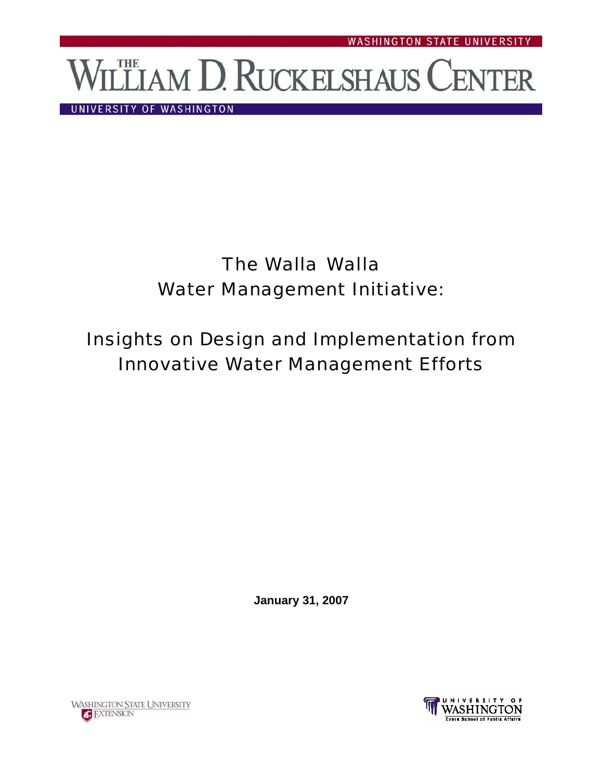# LLIAM D. RUCKELSHAUS CENTER

UNIVERSITY OF WASHINGTON

# The Walla Walla Water Management Initiative:

# Insights on Design and Implementation from Innovative Water Management Efforts

**January 31, 2007**



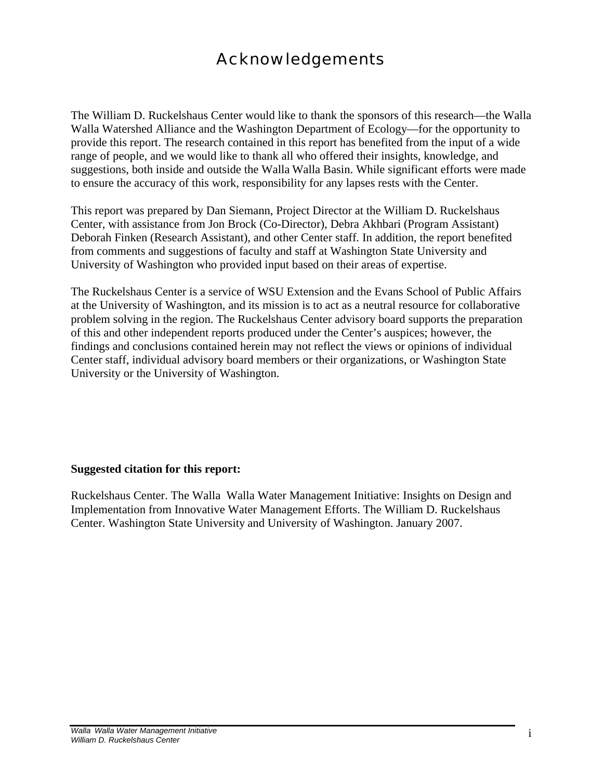## Acknowledgements

The William D. Ruckelshaus Center would like to thank the sponsors of this research—the Walla Walla Watershed Alliance and the Washington Department of Ecology—for the opportunity to provide this report. The research contained in this report has benefited from the input of a wide range of people, and we would like to thank all who offered their insights, knowledge, and suggestions, both inside and outside the Walla Walla Basin. While significant efforts were made to ensure the accuracy of this work, responsibility for any lapses rests with the Center.

This report was prepared by Dan Siemann, Project Director at the William D. Ruckelshaus Center, with assistance from Jon Brock (Co-Director), Debra Akhbari (Program Assistant) Deborah Finken (Research Assistant), and other Center staff. In addition, the report benefited from comments and suggestions of faculty and staff at Washington State University and University of Washington who provided input based on their areas of expertise.

The Ruckelshaus Center is a service of WSU Extension and the Evans School of Public Affairs at the University of Washington, and its mission is to act as a neutral resource for collaborative problem solving in the region. The Ruckelshaus Center advisory board supports the preparation of this and other independent reports produced under the Center's auspices; however, the findings and conclusions contained herein may not reflect the views or opinions of individual Center staff, individual advisory board members or their organizations, or Washington State University or the University of Washington.

#### **Suggested citation for this report:**

Ruckelshaus Center. The Walla Walla Water Management Initiative: Insights on Design and Implementation from Innovative Water Management Efforts. The William D. Ruckelshaus Center. Washington State University and University of Washington. January 2007.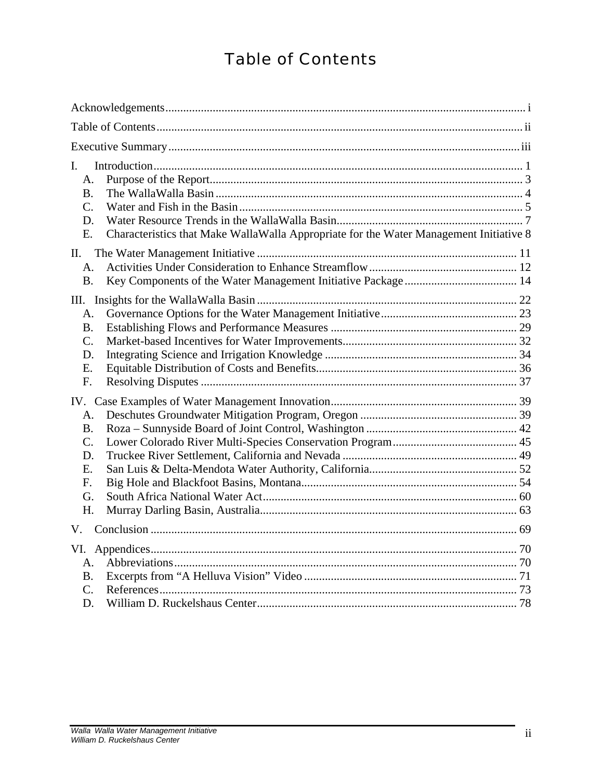## Table of Contents

| L.<br>A.<br>B <sub>1</sub><br>$C_{\cdot}$<br>D.<br>Characteristics that Make WallaWalla Appropriate for the Water Management Initiative 8<br>Ε. |  |
|-------------------------------------------------------------------------------------------------------------------------------------------------|--|
| II.<br>A <sub>1</sub><br><b>B.</b>                                                                                                              |  |
| $A_{\cdot}$<br>$\mathbf{B}$ .<br>$C_{\cdot}$<br>D.<br>E.<br>F.                                                                                  |  |
| A.<br><b>B.</b><br>$\mathcal{C}$ .<br>D.<br>E.<br>F.<br>G.<br>H.                                                                                |  |
| V.                                                                                                                                              |  |
| $A_{-}$<br><b>B.</b><br>$C_{\cdot}$<br>D.                                                                                                       |  |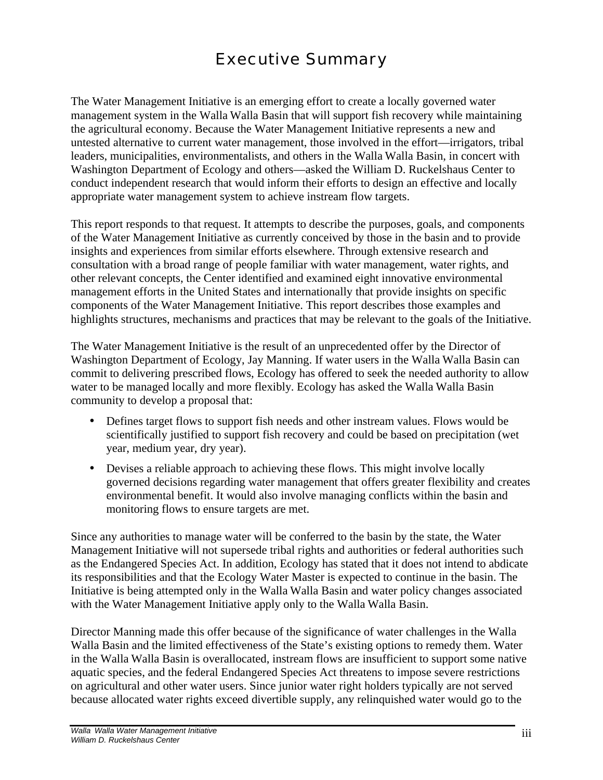## Executive Summary

The Water Management Initiative is an emerging effort to create a locally governed water management system in the Walla Walla Basin that will support fish recovery while maintaining the agricultural economy. Because the Water Management Initiative represents a new and untested alternative to current water management, those involved in the effort—irrigators, tribal leaders, municipalities, environmentalists, and others in the Walla Walla Basin, in concert with Washington Department of Ecology and others—asked the William D. Ruckelshaus Center to conduct independent research that would inform their efforts to design an effective and locally appropriate water management system to achieve instream flow targets.

This report responds to that request. It attempts to describe the purposes, goals, and components of the Water Management Initiative as currently conceived by those in the basin and to provide insights and experiences from similar efforts elsewhere. Through extensive research and consultation with a broad range of people familiar with water management, water rights, and other relevant concepts, the Center identified and examined eight innovative environmental management efforts in the United States and internationally that provide insights on specific components of the Water Management Initiative. This report describes those examples and highlights structures, mechanisms and practices that may be relevant to the goals of the Initiative.

The Water Management Initiative is the result of an unprecedented offer by the Director of Washington Department of Ecology, Jay Manning. If water users in the Walla Walla Basin can commit to delivering prescribed flows, Ecology has offered to seek the needed authority to allow water to be managed locally and more flexibly. Ecology has asked the Walla Walla Basin community to develop a proposal that:

- Defines target flows to support fish needs and other instream values. Flows would be scientifically justified to support fish recovery and could be based on precipitation (wet year, medium year, dry year).
- Devises a reliable approach to achieving these flows. This might involve locally governed decisions regarding water management that offers greater flexibility and creates environmental benefit. It would also involve managing conflicts within the basin and monitoring flows to ensure targets are met.

Since any authorities to manage water will be conferred to the basin by the state, the Water Management Initiative will not supersede tribal rights and authorities or federal authorities such as the Endangered Species Act. In addition, Ecology has stated that it does not intend to abdicate its responsibilities and that the Ecology Water Master is expected to continue in the basin. The Initiative is being attempted only in the Walla Walla Basin and water policy changes associated with the Water Management Initiative apply only to the Walla Walla Basin.

Director Manning made this offer because of the significance of water challenges in the Walla Walla Basin and the limited effectiveness of the State's existing options to remedy them. Water in the Walla Walla Basin is overallocated, instream flows are insufficient to support some native aquatic species, and the federal Endangered Species Act threatens to impose severe restrictions on agricultural and other water users. Since junior water right holders typically are not served because allocated water rights exceed divertible supply, any relinquished water would go to the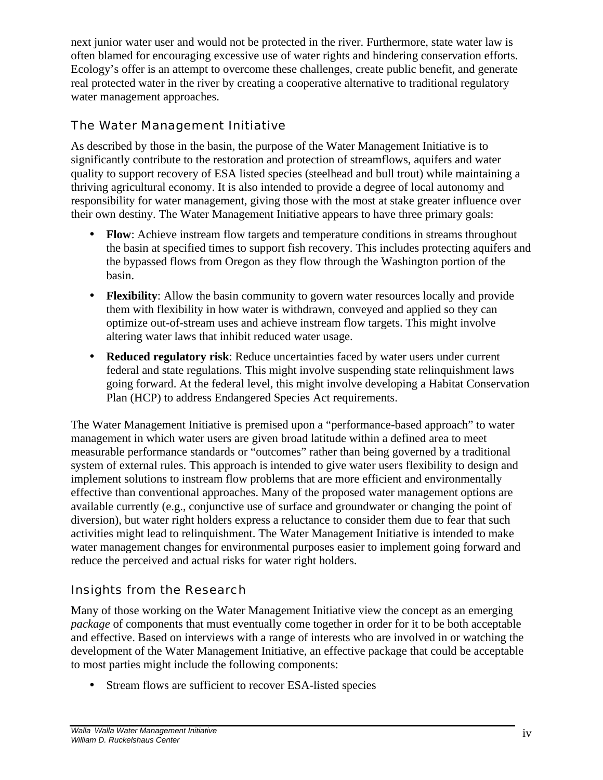next junior water user and would not be protected in the river. Furthermore, state water law is often blamed for encouraging excessive use of water rights and hindering conservation efforts. Ecology's offer is an attempt to overcome these challenges, create public benefit, and generate real protected water in the river by creating a cooperative alternative to traditional regulatory water management approaches.

## The Water Management Initiative

As described by those in the basin, the purpose of the Water Management Initiative is to significantly contribute to the restoration and protection of streamflows, aquifers and water quality to support recovery of ESA listed species (steelhead and bull trout) while maintaining a thriving agricultural economy. It is also intended to provide a degree of local autonomy and responsibility for water management, giving those with the most at stake greater influence over their own destiny. The Water Management Initiative appears to have three primary goals:

- **Flow**: Achieve instream flow targets and temperature conditions in streams throughout the basin at specified times to support fish recovery. This includes protecting aquifers and the bypassed flows from Oregon as they flow through the Washington portion of the basin.
- **Flexibility**: Allow the basin community to govern water resources locally and provide them with flexibility in how water is withdrawn, conveyed and applied so they can optimize out-of-stream uses and achieve instream flow targets. This might involve altering water laws that inhibit reduced water usage.
- **Reduced regulatory risk**: Reduce uncertainties faced by water users under current federal and state regulations. This might involve suspending state relinquishment laws going forward. At the federal level, this might involve developing a Habitat Conservation Plan (HCP) to address Endangered Species Act requirements.

The Water Management Initiative is premised upon a "performance-based approach" to water management in which water users are given broad latitude within a defined area to meet measurable performance standards or "outcomes" rather than being governed by a traditional system of external rules. This approach is intended to give water users flexibility to design and implement solutions to instream flow problems that are more efficient and environmentally effective than conventional approaches. Many of the proposed water management options are available currently (e.g., conjunctive use of surface and groundwater or changing the point of diversion), but water right holders express a reluctance to consider them due to fear that such activities might lead to relinquishment. The Water Management Initiative is intended to make water management changes for environmental purposes easier to implement going forward and reduce the perceived and actual risks for water right holders.

## Insights from the Research

Many of those working on the Water Management Initiative view the concept as an emerging *package* of components that must eventually come together in order for it to be both acceptable and effective. Based on interviews with a range of interests who are involved in or watching the development of the Water Management Initiative, an effective package that could be acceptable to most parties might include the following components:

• Stream flows are sufficient to recover ESA-listed species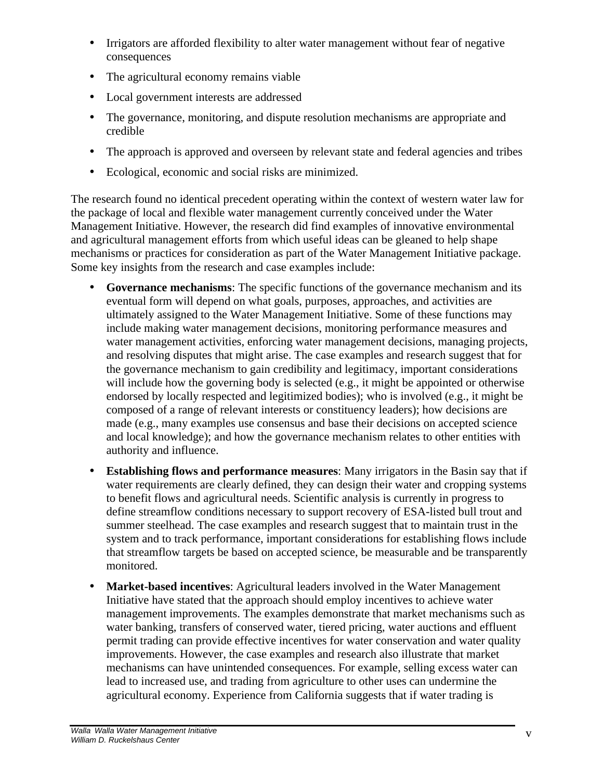- Irrigators are afforded flexibility to alter water management without fear of negative consequences
- The agricultural economy remains viable
- Local government interests are addressed
- The governance, monitoring, and dispute resolution mechanisms are appropriate and credible
- The approach is approved and overseen by relevant state and federal agencies and tribes
- Ecological, economic and social risks are minimized.

The research found no identical precedent operating within the context of western water law for the package of local and flexible water management currently conceived under the Water Management Initiative. However, the research did find examples of innovative environmental and agricultural management efforts from which useful ideas can be gleaned to help shape mechanisms or practices for consideration as part of the Water Management Initiative package. Some key insights from the research and case examples include:

- **Governance mechanisms:** The specific functions of the governance mechanism and its eventual form will depend on what goals, purposes, approaches, and activities are ultimately assigned to the Water Management Initiative. Some of these functions may include making water management decisions, monitoring performance measures and water management activities, enforcing water management decisions, managing projects, and resolving disputes that might arise. The case examples and research suggest that for the governance mechanism to gain credibility and legitimacy, important considerations will include how the governing body is selected (e.g., it might be appointed or otherwise endorsed by locally respected and legitimized bodies); who is involved (e.g., it might be composed of a range of relevant interests or constituency leaders); how decisions are made (e.g., many examples use consensus and base their decisions on accepted science and local knowledge); and how the governance mechanism relates to other entities with authority and influence.
- **Establishing flows and performance measures**: Many irrigators in the Basin say that if water requirements are clearly defined, they can design their water and cropping systems to benefit flows and agricultural needs. Scientific analysis is currently in progress to define streamflow conditions necessary to support recovery of ESA-listed bull trout and summer steelhead. The case examples and research suggest that to maintain trust in the system and to track performance, important considerations for establishing flows include that streamflow targets be based on accepted science, be measurable and be transparently monitored.
- **Market-based incentives**: Agricultural leaders involved in the Water Management Initiative have stated that the approach should employ incentives to achieve water management improvements. The examples demonstrate that market mechanisms such as water banking, transfers of conserved water, tiered pricing, water auctions and effluent permit trading can provide effective incentives for water conservation and water quality improvements. However, the case examples and research also illustrate that market mechanisms can have unintended consequences. For example, selling excess water can lead to increased use, and trading from agriculture to other uses can undermine the agricultural economy. Experience from California suggests that if water trading is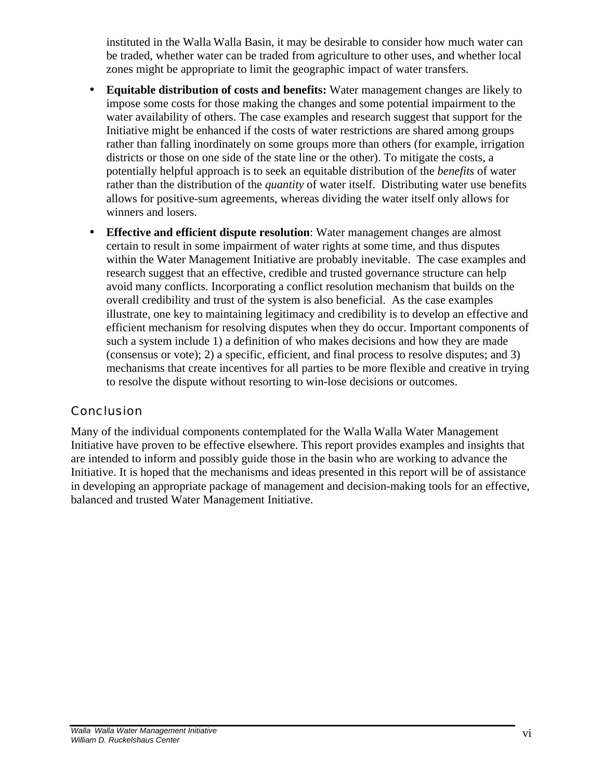instituted in the Walla Walla Basin, it may be desirable to consider how much water can be traded, whether water can be traded from agriculture to other uses, and whether local zones might be appropriate to limit the geographic impact of water transfers.

- **Equitable distribution of costs and benefits:** Water management changes are likely to impose some costs for those making the changes and some potential impairment to the water availability of others. The case examples and research suggest that support for the Initiative might be enhanced if the costs of water restrictions are shared among groups rather than falling inordinately on some groups more than others (for example, irrigation districts or those on one side of the state line or the other). To mitigate the costs, a potentially helpful approach is to seek an equitable distribution of the *benefits* of water rather than the distribution of the *quantity* of water itself. Distributing water use benefits allows for positive-sum agreements, whereas dividing the water itself only allows for winners and losers.
- **Effective and efficient dispute resolution**: Water management changes are almost certain to result in some impairment of water rights at some time, and thus disputes within the Water Management Initiative are probably inevitable. The case examples and research suggest that an effective, credible and trusted governance structure can help avoid many conflicts. Incorporating a conflict resolution mechanism that builds on the overall credibility and trust of the system is also beneficial. As the case examples illustrate, one key to maintaining legitimacy and credibility is to develop an effective and efficient mechanism for resolving disputes when they do occur. Important components of such a system include 1) a definition of who makes decisions and how they are made (consensus or vote); 2) a specific, efficient, and final process to resolve disputes; and 3) mechanisms that create incentives for all parties to be more flexible and creative in trying to resolve the dispute without resorting to win-lose decisions or outcomes.

#### Conclusion

Many of the individual components contemplated for the Walla Walla Water Management Initiative have proven to be effective elsewhere. This report provides examples and insights that are intended to inform and possibly guide those in the basin who are working to advance the Initiative. It is hoped that the mechanisms and ideas presented in this report will be of assistance in developing an appropriate package of management and decision-making tools for an effective, balanced and trusted Water Management Initiative.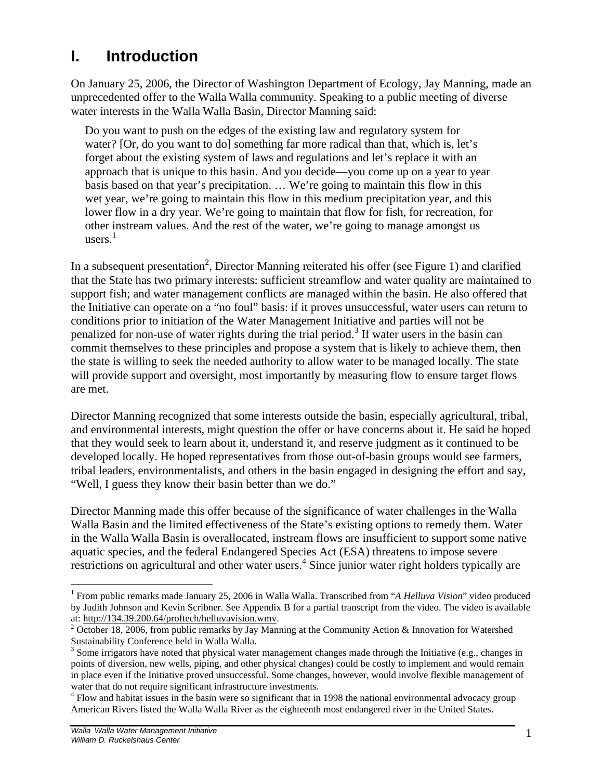## **I. Introduction**

On January 25, 2006, the Director of Washington Department of Ecology, Jay Manning, made an unprecedented offer to the Walla Walla community. Speaking to a public meeting of diverse water interests in the Walla Walla Basin, Director Manning said:

Do you want to push on the edges of the existing law and regulatory system for water? [Or, do you want to do] something far more radical than that, which is, let's forget about the existing system of laws and regulations and let's replace it with an approach that is unique to this basin. And you decide—you come up on a year to year basis based on that year's precipitation. … We're going to maintain this flow in this wet year, we're going to maintain this flow in this medium precipitation year, and this lower flow in a dry year. We're going to maintain that flow for fish, for recreation, for other instream values. And the rest of the water, we're going to manage amongst us users. 1

In a subsequent presentation<sup>2</sup>, Director Manning reiterated his offer (see Figure 1) and clarified that the State has two primary interests: sufficient streamflow and water quality are maintained to support fish; and water management conflicts are managed within the basin. He also offered that the Initiative can operate on a "no foul" basis: if it proves unsuccessful, water users can return to conditions prior to initiation of the Water Management Initiative and parties will not be penalized for non-use of water rights during the trial period.<sup>3</sup> If water users in the basin can commit themselves to these principles and propose a system that is likely to achieve them, then the state is willing to seek the needed authority to allow water to be managed locally. The state will provide support and oversight, most importantly by measuring flow to ensure target flows are met.

Director Manning recognized that some interests outside the basin, especially agricultural, tribal, and environmental interests, might question the offer or have concerns about it. He said he hoped that they would seek to learn about it, understand it, and reserve judgment as it continued to be developed locally. He hoped representatives from those out-of-basin groups would see farmers, tribal leaders, environmentalists, and others in the basin engaged in designing the effort and say, "Well, I guess they know their basin better than we do."

Director Manning made this offer because of the significance of water challenges in the Walla Walla Basin and the limited effectiveness of the State's existing options to remedy them. Water in the Walla Walla Basin is overallocated, instream flows are insufficient to support some native aquatic species, and the federal Endangered Species Act (ESA) threatens to impose severe restrictions on agricultural and other water users.<sup>4</sup> Since junior water right holders typically are

1

<sup>&</sup>lt;sup>1</sup> From public remarks made January 25, 2006 in Walla Walla. Transcribed from "A Helluva Vision" video produced by Judith Johnson and Kevin Scribner. See Appendix B for a partial transcript from the video. The video is available at: http://134.39.200.64/proftech/helluvavision.wmv.

<sup>&</sup>lt;sup>2</sup> October 18, 2006, from public remarks by Jay Manning at the Community Action & Innovation for Watershed Sustainability Conference held in Walla Walla.

 $3$  Some irrigators have noted that physical water management changes made through the Initiative (e.g., changes in points of diversion, new wells, piping, and other physical changes) could be costly to implement and would remain in place even if the Initiative proved unsuccessful. Some changes, however, would involve flexible management of water that do not require significant infrastructure investments.

<sup>&</sup>lt;sup>4</sup> Flow and habitat issues in the basin were so significant that in 1998 the national environmental advocacy group American Rivers listed the Walla Walla River as the eighteenth most endangered river in the United States.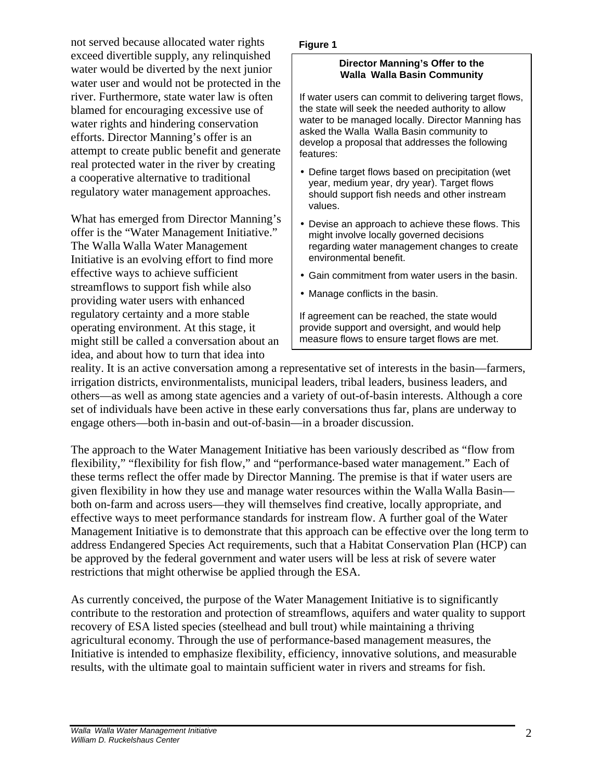not served because allocated water rights exceed divertible supply, any relinquished water would be diverted by the next junior water user and would not be protected in the river. Furthermore, state water law is often blamed for encouraging excessive use of water rights and hindering conservation efforts. Director Manning's offer is an attempt to create public benefit and generate real protected water in the river by creating a cooperative alternative to traditional regulatory water management approaches.

What has emerged from Director Manning's offer is the "Water Management Initiative." The Walla Walla Water Management Initiative is an evolving effort to find more effective ways to achieve sufficient streamflows to support fish while also providing water users with enhanced regulatory certainty and a more stable operating environment. At this stage, it might still be called a conversation about an idea, and about how to turn that idea into

#### **Figure 1**

#### **Director Manning's Offer to the Walla Walla Basin Community**

If water users can commit to delivering target flows, the state will seek the needed authority to allow water to be managed locally. Director Manning has asked the Walla Walla Basin community to develop a proposal that addresses the following features:

- Define target flows based on precipitation (wet year, medium year, dry year). Target flows should support fish needs and other instream values.
- Devise an approach to achieve these flows. This might involve locally governed decisions regarding water management changes to create environmental benefit.
- Gain commitment from water users in the basin.
- Manage conflicts in the basin.

If agreement can be reached, the state would provide support and oversight, and would help measure flows to ensure target flows are met.

reality. It is an active conversation among a representative set of interests in the basin—farmers, irrigation districts, environmentalists, municipal leaders, tribal leaders, business leaders, and others—as well as among state agencies and a variety of out-of-basin interests. Although a core set of individuals have been active in these early conversations thus far, plans are underway to engage others—both in-basin and out-of-basin—in a broader discussion.

The approach to the Water Management Initiative has been variously described as "flow from flexibility," "flexibility for fish flow," and "performance-based water management." Each of these terms reflect the offer made by Director Manning. The premise is that if water users are given flexibility in how they use and manage water resources within the Walla Walla Basin both on-farm and across users—they will themselves find creative, locally appropriate, and effective ways to meet performance standards for instream flow. A further goal of the Water Management Initiative is to demonstrate that this approach can be effective over the long term to address Endangered Species Act requirements, such that a Habitat Conservation Plan (HCP) can be approved by the federal government and water users will be less at risk of severe water restrictions that might otherwise be applied through the ESA.

As currently conceived, the purpose of the Water Management Initiative is to significantly contribute to the restoration and protection of streamflows, aquifers and water quality to support recovery of ESA listed species (steelhead and bull trout) while maintaining a thriving agricultural economy. Through the use of performance-based management measures, the Initiative is intended to emphasize flexibility, efficiency, innovative solutions, and measurable results, with the ultimate goal to maintain sufficient water in rivers and streams for fish.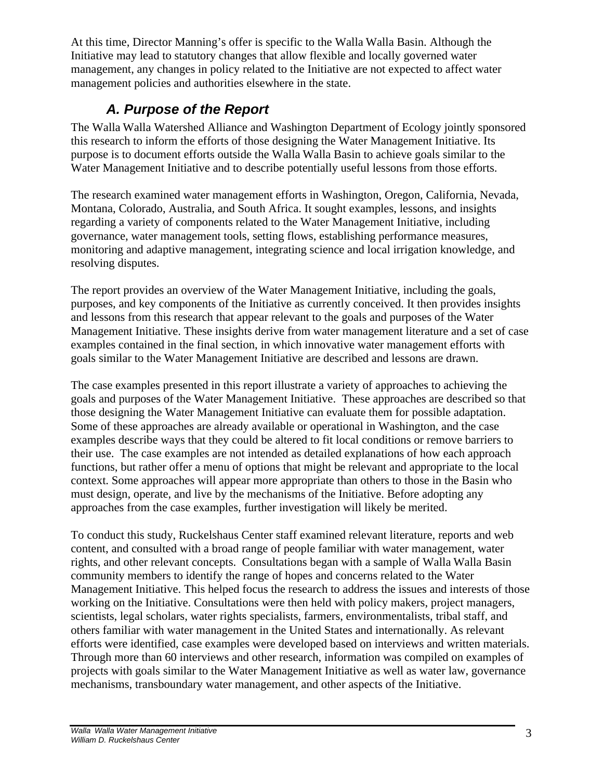At this time, Director Manning's offer is specific to the Walla Walla Basin. Although the Initiative may lead to statutory changes that allow flexible and locally governed water management, any changes in policy related to the Initiative are not expected to affect water management policies and authorities elsewhere in the state.

## *A. Purpose of the Report*

The Walla Walla Watershed Alliance and Washington Department of Ecology jointly sponsored this research to inform the efforts of those designing the Water Management Initiative. Its purpose is to document efforts outside the Walla Walla Basin to achieve goals similar to the Water Management Initiative and to describe potentially useful lessons from those efforts.

The research examined water management efforts in Washington, Oregon, California, Nevada, Montana, Colorado, Australia, and South Africa. It sought examples, lessons, and insights regarding a variety of components related to the Water Management Initiative, including governance, water management tools, setting flows, establishing performance measures, monitoring and adaptive management, integrating science and local irrigation knowledge, and resolving disputes.

The report provides an overview of the Water Management Initiative, including the goals, purposes, and key components of the Initiative as currently conceived. It then provides insights and lessons from this research that appear relevant to the goals and purposes of the Water Management Initiative. These insights derive from water management literature and a set of case examples contained in the final section, in which innovative water management efforts with goals similar to the Water Management Initiative are described and lessons are drawn.

The case examples presented in this report illustrate a variety of approaches to achieving the goals and purposes of the Water Management Initiative. These approaches are described so that those designing the Water Management Initiative can evaluate them for possible adaptation. Some of these approaches are already available or operational in Washington, and the case examples describe ways that they could be altered to fit local conditions or remove barriers to their use. The case examples are not intended as detailed explanations of how each approach functions, but rather offer a menu of options that might be relevant and appropriate to the local context. Some approaches will appear more appropriate than others to those in the Basin who must design, operate, and live by the mechanisms of the Initiative. Before adopting any approaches from the case examples, further investigation will likely be merited.

To conduct this study, Ruckelshaus Center staff examined relevant literature, reports and web content, and consulted with a broad range of people familiar with water management, water rights, and other relevant concepts. Consultations began with a sample of Walla Walla Basin community members to identify the range of hopes and concerns related to the Water Management Initiative. This helped focus the research to address the issues and interests of those working on the Initiative. Consultations were then held with policy makers, project managers, scientists, legal scholars, water rights specialists, farmers, environmentalists, tribal staff, and others familiar with water management in the United States and internationally. As relevant efforts were identified, case examples were developed based on interviews and written materials. Through more than 60 interviews and other research, information was compiled on examples of projects with goals similar to the Water Management Initiative as well as water law, governance mechanisms, transboundary water management, and other aspects of the Initiative.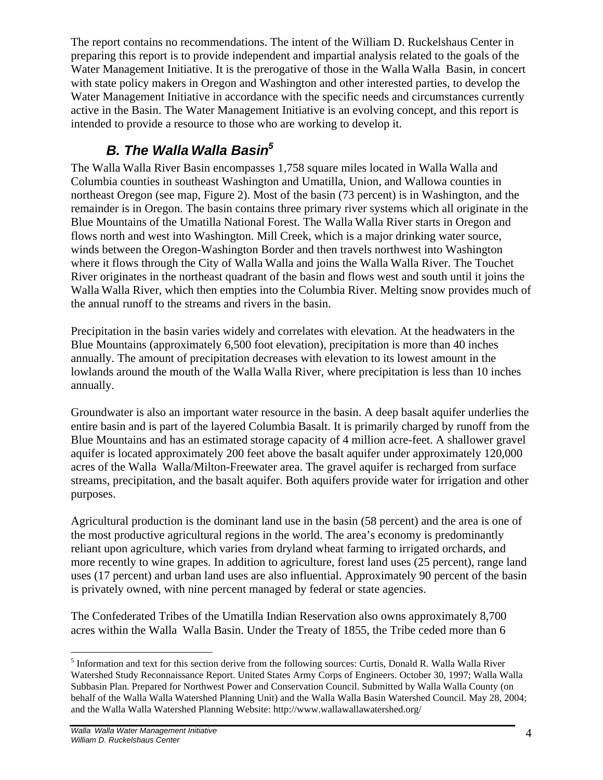The report contains no recommendations. The intent of the William D. Ruckelshaus Center in preparing this report is to provide independent and impartial analysis related to the goals of the Water Management Initiative. It is the prerogative of those in the Walla Walla Basin, in concert with state policy makers in Oregon and Washington and other interested parties, to develop the Water Management Initiative in accordance with the specific needs and circumstances currently active in the Basin. The Water Management Initiative is an evolving concept, and this report is intended to provide a resource to those who are working to develop it.

## *B. The Walla Walla Basin<sup>5</sup>*

The Walla Walla River Basin encompasses 1,758 square miles located in Walla Walla and Columbia counties in southeast Washington and Umatilla, Union, and Wallowa counties in northeast Oregon (see map, Figure 2). Most of the basin (73 percent) is in Washington, and the remainder is in Oregon. The basin contains three primary river systems which all originate in the Blue Mountains of the Umatilla National Forest. The Walla Walla River starts in Oregon and flows north and west into Washington. Mill Creek, which is a major drinking water source, winds between the Oregon-Washington Border and then travels northwest into Washington where it flows through the City of Walla Walla and joins the Walla Walla River. The Touchet River originates in the northeast quadrant of the basin and flows west and south until it joins the Walla Walla River, which then empties into the Columbia River. Melting snow provides much of the annual runoff to the streams and rivers in the basin.

Precipitation in the basin varies widely and correlates with elevation. At the headwaters in the Blue Mountains (approximately 6,500 foot elevation), precipitation is more than 40 inches annually. The amount of precipitation decreases with elevation to its lowest amount in the lowlands around the mouth of the Walla Walla River, where precipitation is less than 10 inches annually.

Groundwater is also an important water resource in the basin. A deep basalt aquifer underlies the entire basin and is part of the layered Columbia Basalt. It is primarily charged by runoff from the Blue Mountains and has an estimated storage capacity of 4 million acre-feet. A shallower gravel aquifer is located approximately 200 feet above the basalt aquifer under approximately 120,000 acres of the Walla Walla/Milton-Freewater area. The gravel aquifer is recharged from surface streams, precipitation, and the basalt aquifer. Both aquifers provide water for irrigation and other purposes.

Agricultural production is the dominant land use in the basin (58 percent) and the area is one of the most productive agricultural regions in the world. The area's economy is predominantly reliant upon agriculture, which varies from dryland wheat farming to irrigated orchards, and more recently to wine grapes. In addition to agriculture, forest land uses (25 percent), range land uses (17 percent) and urban land uses are also influential. Approximately 90 percent of the basin is privately owned, with nine percent managed by federal or state agencies.

The Confederated Tribes of the Umatilla Indian Reservation also owns approximately 8,700 acres within the Walla Walla Basin. Under the Treaty of 1855, the Tribe ceded more than 6

 $\overline{a}$ <sup>5</sup> Information and text for this section derive from the following sources: Curtis, Donald R. Walla Walla River Watershed Study Reconnaissance Report. United States Army Corps of Engineers. October 30, 1997; Walla Walla Subbasin Plan. Prepared for Northwest Power and Conservation Council. Submitted by Walla Walla County (on behalf of the Walla Walla Watershed Planning Unit) and the Walla Walla Basin Watershed Council. May 28, 2004; and the Walla Walla Watershed Planning Website: http://www.wallawallawatershed.org/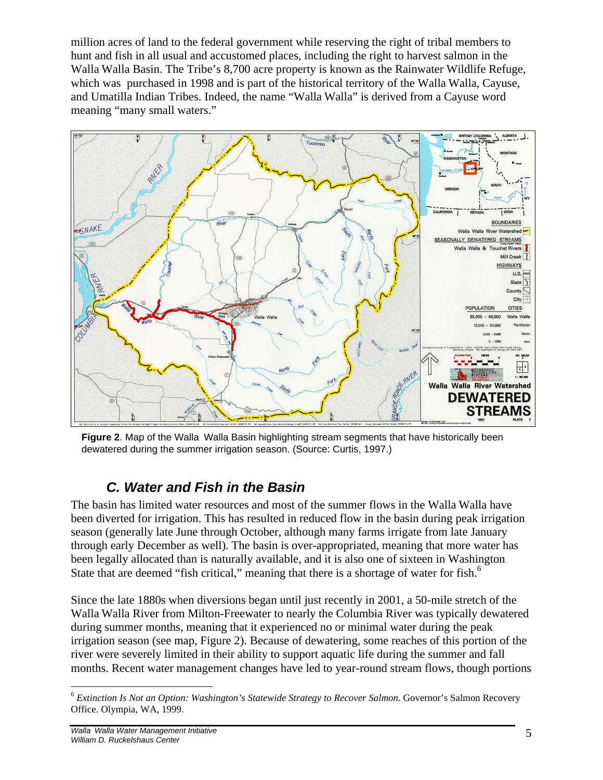million acres of land to the federal government while reserving the right of tribal members to hunt and fish in all usual and accustomed places, including the right to harvest salmon in the Walla Walla Basin. The Tribe's 8,700 acre property is known as the Rainwater Wildlife Refuge, which was purchased in 1998 and is part of the historical territory of the Walla Walla, Cayuse, and Umatilla Indian Tribes. Indeed, the name "Walla Walla" is derived from a Cayuse word meaning "many small waters."



**Figure 2**. Map of the Walla Walla Basin highlighting stream segments that have historically been dewatered during the summer irrigation season. (Source: Curtis, 1997.)

## *C. Water and Fish in the Basin*

The basin has limited water resources and most of the summer flows in the Walla Walla have been diverted for irrigation. This has resulted in reduced flow in the basin during peak irrigation season (generally late June through October, although many farms irrigate from late January through early December as well). The basin is over-appropriated, meaning that more water has been legally allocated than is naturally available, and it is also one of sixteen in Washington State that are deemed "fish critical," meaning that there is a shortage of water for fish.<sup>6</sup>

Since the late 1880s when diversions began until just recently in 2001, a 50-mile stretch of the Walla Walla River from Milton-Freewater to nearly the Columbia River was typically dewatered during summer months, meaning that it experienced no or minimal water during the peak irrigation season (see map, Figure 2). Because of dewatering, some reaches of this portion of the river were severely limited in their ability to support aquatic life during the summer and fall months. Recent water management changes have led to year-round stream flows, though portions

 $\overline{a}$ <sup>6</sup> *Extinction Is Not an Option: Washington's Statewide Strategy to Recover Salmon*. Governor's Salmon Recovery Office. Olympia, WA, 1999.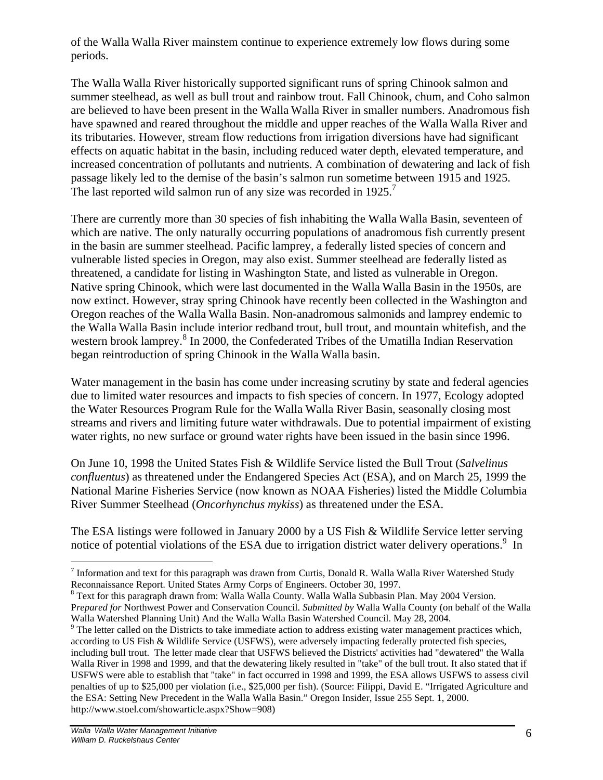of the Walla Walla River mainstem continue to experience extremely low flows during some periods.

The Walla Walla River historically supported significant runs of spring Chinook salmon and summer steelhead, as well as bull trout and rainbow trout. Fall Chinook, chum, and Coho salmon are believed to have been present in the Walla Walla River in smaller numbers. Anadromous fish have spawned and reared throughout the middle and upper reaches of the Walla Walla River and its tributaries. However, stream flow reductions from irrigation diversions have had significant effects on aquatic habitat in the basin, including reduced water depth, elevated temperature, and increased concentration of pollutants and nutrients. A combination of dewatering and lack of fish passage likely led to the demise of the basin's salmon run sometime between 1915 and 1925. The last reported wild salmon run of any size was recorded in  $1925$ .<sup>7</sup>

There are currently more than 30 species of fish inhabiting the Walla Walla Basin, seventeen of which are native. The only naturally occurring populations of anadromous fish currently present in the basin are summer steelhead. Pacific lamprey, a federally listed species of concern and vulnerable listed species in Oregon, may also exist. Summer steelhead are federally listed as threatened, a candidate for listing in Washington State, and listed as vulnerable in Oregon. Native spring Chinook, which were last documented in the Walla Walla Basin in the 1950s, are now extinct. However, stray spring Chinook have recently been collected in the Washington and Oregon reaches of the Walla Walla Basin. Non-anadromous salmonids and lamprey endemic to the Walla Walla Basin include interior redband trout, bull trout, and mountain whitefish, and the western brook lamprey.<sup>8</sup> In 2000, the Confederated Tribes of the Umatilla Indian Reservation began reintroduction of spring Chinook in the Walla Walla basin.

Water management in the basin has come under increasing scrutiny by state and federal agencies due to limited water resources and impacts to fish species of concern. In 1977, Ecology adopted the Water Resources Program Rule for the Walla Walla River Basin, seasonally closing most streams and rivers and limiting future water withdrawals. Due to potential impairment of existing water rights, no new surface or ground water rights have been issued in the basin since 1996.

On June 10, 1998 the United States Fish & Wildlife Service listed the Bull Trout (*Salvelinus confluentus*) as threatened under the Endangered Species Act (ESA), and on March 25, 1999 the National Marine Fisheries Service (now known as NOAA Fisheries) listed the Middle Columbia River Summer Steelhead (*Oncorhynchus mykiss*) as threatened under the ESA.

The ESA listings were followed in January 2000 by a US Fish & Wildlife Service letter serving notice of potential violations of the ESA due to irrigation district water delivery operations.<sup>9</sup> In

Walla Watershed Planning Unit) And the Walla Walla Basin Watershed Council. May 28, 2004.

<sup>&</sup>lt;u>.</u> <sup>7</sup> Information and text for this paragraph was drawn from Curtis, Donald R. Walla Walla River Watershed Study Reconnaissance Report. United States Army Corps of Engineers. October 30, 1997.

<sup>&</sup>lt;sup>8</sup> Text for this paragraph drawn from: Walla Walla County. Walla Walla Subbasin Plan. May 2004 Version. P*repared for* Northwest Power and Conservation Council. *Submitted by* Walla Walla County (on behalf of the Walla

 $9<sup>9</sup>$  The letter called on the Districts to take immediate action to address existing water management practices which, according to US Fish & Wildlife Service (USFWS), were adversely impacting federally protected fish species, including bull trout. The letter made clear that USFWS believed the Districts' activities had "dewatered" the Walla Walla River in 1998 and 1999, and that the dewatering likely resulted in "take" of the bull trout. It also stated that if USFWS were able to establish that "take" in fact occurred in 1998 and 1999, the ESA allows USFWS to assess civil penalties of up to \$25,000 per violation (i.e., \$25,000 per fish). (Source: Filippi, David E. "Irrigated Agriculture and the ESA: Setting New Precedent in the Walla Walla Basin." Oregon Insider, Issue 255 Sept. 1, 2000. http://www.stoel.com/showarticle.aspx?Show=908)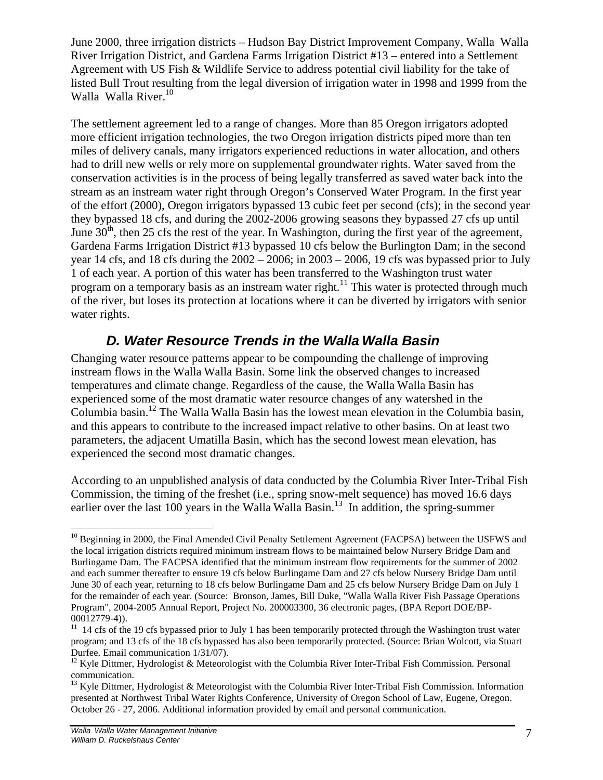June 2000, three irrigation districts – Hudson Bay District Improvement Company, Walla Walla River Irrigation District, and Gardena Farms Irrigation District #13 – entered into a Settlement Agreement with US Fish & Wildlife Service to address potential civil liability for the take of listed Bull Trout resulting from the legal diversion of irrigation water in 1998 and 1999 from the Walla Walla River. 10

The settlement agreement led to a range of changes. More than 85 Oregon irrigators adopted more efficient irrigation technologies, the two Oregon irrigation districts piped more than ten miles of delivery canals, many irrigators experienced reductions in water allocation, and others had to drill new wells or rely more on supplemental groundwater rights. Water saved from the conservation activities is in the process of being legally transferred as saved water back into the stream as an instream water right through Oregon's Conserved Water Program. In the first year of the effort (2000), Oregon irrigators bypassed 13 cubic feet per second (cfs); in the second year they bypassed 18 cfs, and during the 2002-2006 growing seasons they bypassed 27 cfs up until June  $30<sup>th</sup>$ , then 25 cfs the rest of the year. In Washington, during the first year of the agreement, Gardena Farms Irrigation District #13 bypassed 10 cfs below the Burlington Dam; in the second year 14 cfs, and 18 cfs during the 2002 – 2006; in 2003 – 2006, 19 cfs was bypassed prior to July 1 of each year. A portion of this water has been transferred to the Washington trust water program on a temporary basis as an instream water right.<sup>11</sup> This water is protected through much of the river, but loses its protection at locations where it can be diverted by irrigators with senior water rights.

## *D. Water Resource Trends in the Walla Walla Basin*

Changing water resource patterns appear to be compounding the challenge of improving instream flows in the Walla Walla Basin. Some link the observed changes to increased temperatures and climate change. Regardless of the cause, the Walla Walla Basin has experienced some of the most dramatic water resource changes of any watershed in the Columbia basin.<sup>12</sup> The Walla Walla Basin has the lowest mean elevation in the Columbia basin, and this appears to contribute to the increased impact relative to other basins. On at least two parameters, the adjacent Umatilla Basin, which has the second lowest mean elevation, has experienced the second most dramatic changes.

According to an unpublished analysis of data conducted by the Columbia River Inter-Tribal Fish Commission, the timing of the freshet (i.e., spring snow-melt sequence) has moved 16.6 days earlier over the last 100 years in the Walla Walla Basin.<sup>13</sup> In addition, the spring-summer

 $\overline{a}$ <sup>10</sup> Beginning in 2000, the Final Amended Civil Penalty Settlement Agreement (FACPSA) between the USFWS and the local irrigation districts required minimum instream flows to be maintained below Nursery Bridge Dam and Burlingame Dam. The FACPSA identified that the minimum instream flow requirements for the summer of 2002 and each summer thereafter to ensure 19 cfs below Burlingame Dam and 27 cfs below Nursery Bridge Dam until June 30 of each year, returning to 18 cfs below Burlingame Dam and 25 cfs below Nursery Bridge Dam on July 1 for the remainder of each year. (Source: Bronson, James, Bill Duke, "Walla Walla River Fish Passage Operations Program", 2004-2005 Annual Report, Project No. 200003300, 36 electronic pages, (BPA Report DOE/BP-00012779-4)).

<sup>&</sup>lt;sup>11</sup> 14 cfs of the 19 cfs bypassed prior to July 1 has been temporarily protected through the Washington trust water program; and 13 cfs of the 18 cfs bypassed has also been temporarily protected. (Source: Brian Wolcott, via Stuart Durfee. Email communication 1/31/07).

<sup>&</sup>lt;sup>12</sup> Kyle Dittmer, Hydrologist & Meteorologist with the Columbia River Inter-Tribal Fish Commission. Personal communication.

<sup>&</sup>lt;sup>13</sup> Kyle Dittmer, Hydrologist & Meteorologist with the Columbia River Inter-Tribal Fish Commission. Information presented at Northwest Tribal Water Rights Conference, University of Oregon School of Law, Eugene, Oregon. October 26 - 27, 2006. Additional information provided by email and personal communication.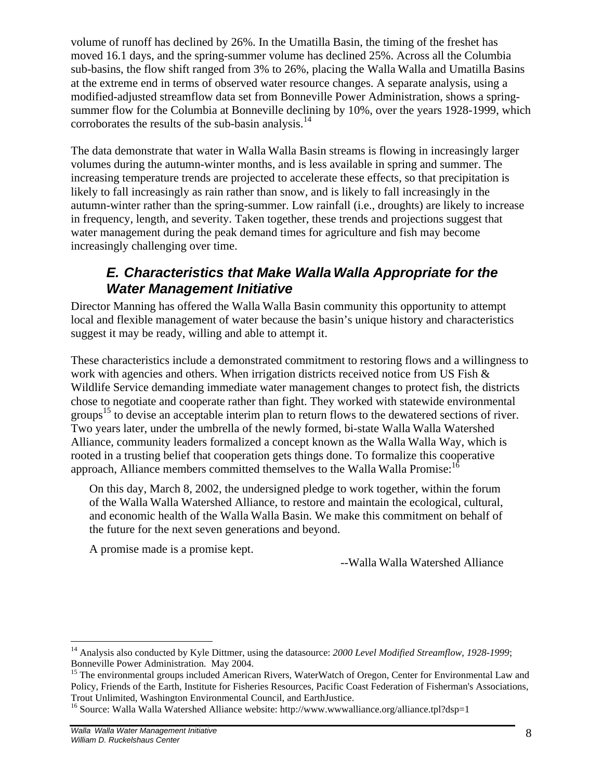volume of runoff has declined by 26%. In the Umatilla Basin, the timing of the freshet has moved 16.1 days, and the spring-summer volume has declined 25%. Across all the Columbia sub-basins, the flow shift ranged from 3% to 26%, placing the Walla Walla and Umatilla Basins at the extreme end in terms of observed water resource changes. A separate analysis, using a modified-adjusted streamflow data set from Bonneville Power Administration, shows a springsummer flow for the Columbia at Bonneville declining by 10%, over the years 1928-1999, which corroborates the results of the sub-basin analysis.<sup>14</sup>

The data demonstrate that water in Walla Walla Basin streams is flowing in increasingly larger volumes during the autumn-winter months, and is less available in spring and summer. The increasing temperature trends are projected to accelerate these effects, so that precipitation is likely to fall increasingly as rain rather than snow, and is likely to fall increasingly in the autumn-winter rather than the spring-summer. Low rainfall (i.e., droughts) are likely to increase in frequency, length, and severity. Taken together, these trends and projections suggest that water management during the peak demand times for agriculture and fish may become increasingly challenging over time.

## *E. Characteristics that Make Walla Walla Appropriate for the Water Management Initiative*

Director Manning has offered the Walla Walla Basin community this opportunity to attempt local and flexible management of water because the basin's unique history and characteristics suggest it may be ready, willing and able to attempt it.

These characteristics include a demonstrated commitment to restoring flows and a willingness to work with agencies and others. When irrigation districts received notice from US Fish & Wildlife Service demanding immediate water management changes to protect fish, the districts chose to negotiate and cooperate rather than fight. They worked with statewide environmental groups<sup>15</sup> to devise an acceptable interim plan to return flows to the dewatered sections of river. Two years later, under the umbrella of the newly formed, bi-state Walla Walla Watershed Alliance, community leaders formalized a concept known as the Walla Walla Way, which is rooted in a trusting belief that cooperation gets things done. To formalize this cooperative approach, Alliance members committed themselves to the Walla Walla Promise:<sup>16</sup>

On this day, March 8, 2002, the undersigned pledge to work together, within the forum of the Walla Walla Watershed Alliance, to restore and maintain the ecological, cultural, and economic health of the Walla Walla Basin. We make this commitment on behalf of the future for the next seven generations and beyond.

A promise made is a promise kept.

--Walla Walla Watershed Alliance

1

<sup>&</sup>lt;sup>14</sup> Analysis also conducted by Kyle Dittmer, using the datasource: 2000 Level Modified Streamflow, 1928-1999; Bonneville Power Administration. May 2004.

<sup>&</sup>lt;sup>15</sup> The environmental groups included American Rivers, WaterWatch of Oregon, Center for Environmental Law and Policy, Friends of the Earth, Institute for Fisheries Resources, Pacific Coast Federation of Fisherman's Associations, Trout Unlimited, Washington Environmental Council, and EarthJustice.

<sup>&</sup>lt;sup>16</sup> Source: Walla Walla Watershed Alliance website: http://www.wwwalliance.org/alliance.tpl?dsp=1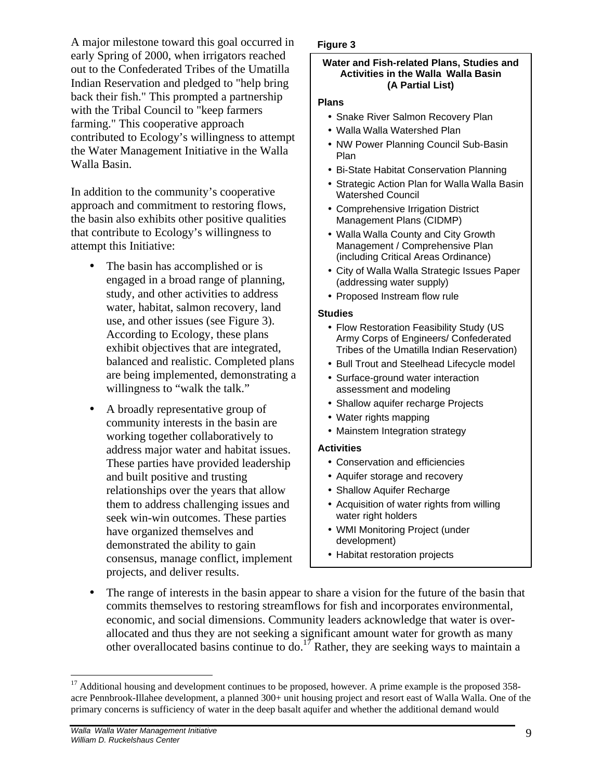A major milestone toward this goal occurred in early Spring of 2000, when irrigators reached out to the Confederated Tribes of the Umatilla Indian Reservation and pledged to "help bring back their fish." This prompted a partnership with the Tribal Council to "keep farmers farming." This cooperative approach contributed to Ecology's willingness to attempt the Water Management Initiative in the Walla Walla Basin.

In addition to the community's cooperative approach and commitment to restoring flows, the basin also exhibits other positive qualities that contribute to Ecology's willingness to attempt this Initiative:

- The basin has accomplished or is engaged in a broad range of planning, study, and other activities to address water, habitat, salmon recovery, land use, and other issues (see Figure 3). According to Ecology, these plans exhibit objectives that are integrated, balanced and realistic. Completed plans are being implemented, demonstrating a willingness to "walk the talk."
- A broadly representative group of community interests in the basin are working together collaboratively to address major water and habitat issues. These parties have provided leadership and built positive and trusting relationships over the years that allow them to address challenging issues and seek win-win outcomes. These parties have organized themselves and demonstrated the ability to gain consensus, manage conflict, implement projects, and deliver results.

#### **Figure 3**

#### **Water and Fish-related Plans, Studies and Activities in the Walla Walla Basin (A Partial List)**

#### **Plans**

- Snake River Salmon Recovery Plan
- Walla Walla Watershed Plan
- NW Power Planning Council Sub-Basin Plan
- Bi-State Habitat Conservation Planning
- Strategic Action Plan for Walla Walla Basin Watershed Council
- Comprehensive Irrigation District Management Plans (CIDMP)
- Walla Walla County and City Growth Management / Comprehensive Plan (including Critical Areas Ordinance)
- City of Walla Walla Strategic Issues Paper (addressing water supply)
- Proposed Instream flow rule

#### **Studies**

- Flow Restoration Feasibility Study (US Army Corps of Engineers/ Confederated Tribes of the Umatilla Indian Reservation)
- Bull Trout and Steelhead Lifecycle model
- Surface-ground water interaction assessment and modeling
- Shallow aquifer recharge Projects
- Water rights mapping
- Mainstem Integration strategy

#### **Activities**

- Conservation and efficiencies
- Aquifer storage and recovery
- Shallow Aquifer Recharge
- Acquisition of water rights from willing water right holders
- WMI Monitoring Project (under development)
- Habitat restoration projects
- The range of interests in the basin appear to share a vision for the future of the basin that commits themselves to restoring streamflows for fish and incorporates environmental, economic, and social dimensions. Community leaders acknowledge that water is overallocated and thus they are not seeking a significant amount water for growth as many other overallocated basins continue to do.<sup>17</sup> Rather, they are seeking ways to maintain a

 $\overline{a}$ 

 $17$  Additional housing and development continues to be proposed, however. A prime example is the proposed 358acre Pennbrook-Illahee development, a planned 300+ unit housing project and resort east of Walla Walla. One of the primary concerns is sufficiency of water in the deep basalt aquifer and whether the additional demand would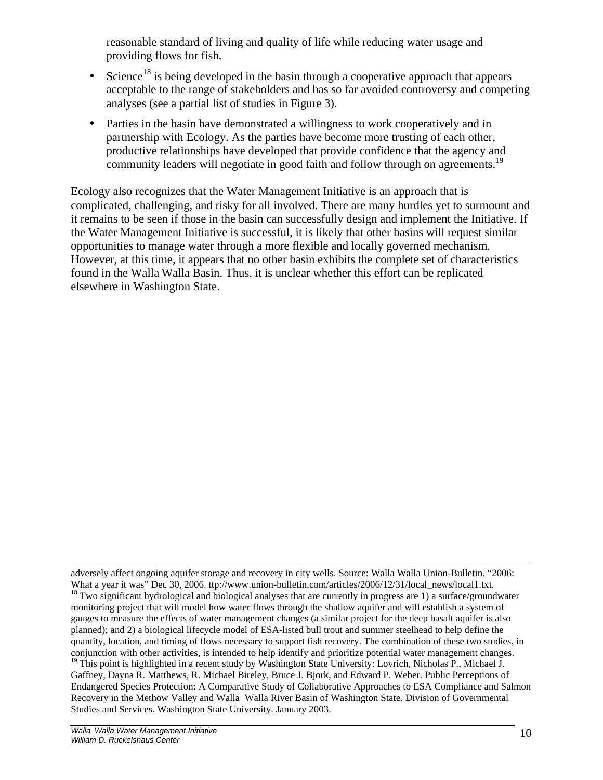reasonable standard of living and quality of life while reducing water usage and providing flows for fish.

- Science<sup>18</sup> is being developed in the basin through a cooperative approach that appears acceptable to the range of stakeholders and has so far avoided controversy and competing analyses (see a partial list of studies in Figure 3).
- Parties in the basin have demonstrated a willingness to work cooperatively and in partnership with Ecology. As the parties have become more trusting of each other, productive relationships have developed that provide confidence that the agency and community leaders will negotiate in good faith and follow through on agreements.<sup>19</sup>

Ecology also recognizes that the Water Management Initiative is an approach that is complicated, challenging, and risky for all involved. There are many hurdles yet to surmount and it remains to be seen if those in the basin can successfully design and implement the Initiative. If the Water Management Initiative is successful, it is likely that other basins will request similar opportunities to manage water through a more flexible and locally governed mechanism. However, at this time, it appears that no other basin exhibits the complete set of characteristics found in the Walla Walla Basin. Thus, it is unclear whether this effort can be replicated elsewhere in Washington State.

 $\overline{a}$ 

adversely affect ongoing aquifer storage and recovery in city wells. Source: Walla Walla Union-Bulletin. "2006: What a year it was" Dec 30, 2006. ttp://www.union-bulletin.com/articles/2006/12/31/local\_news/local1.txt. <sup>18</sup> Two significant hydrological and biological analyses that are currently in progress are 1) a surface/groundwater monitoring project that will model how water flows through the shallow aquifer and will establish a system of gauges to measure the effects of water management changes (a similar project for the deep basalt aquifer is also planned); and 2) a biological lifecycle model of ESA-listed bull trout and summer steelhead to help define the quantity, location, and timing of flows necessary to support fish recovery. The combination of these two studies, in conjunction with other activities, is intended to help identify and prioritize potential water management changes. <sup>19</sup> This point is highlighted in a recent study by Washington State University: Lovrich, Nicholas P., Michael J. Gaffney, Dayna R. Matthews, R. Michael Bireley, Bruce J. Bjork, and Edward P. Weber. Public Perceptions of Endangered Species Protection: A Comparative Study of Collaborative Approaches to ESA Compliance and Salmon Recovery in the Methow Valley and Walla Walla River Basin of Washington State. Division of Governmental Studies and Services. Washington State University. January 2003.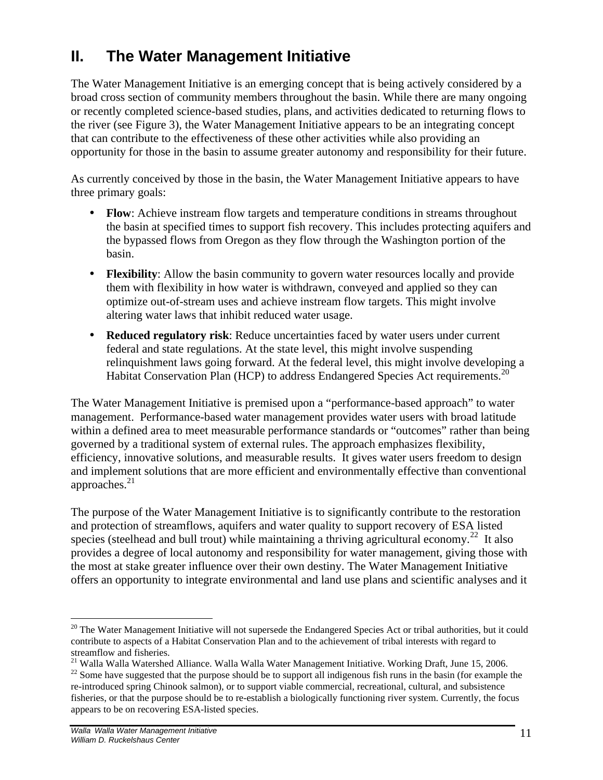## **II. The Water Management Initiative**

The Water Management Initiative is an emerging concept that is being actively considered by a broad cross section of community members throughout the basin. While there are many ongoing or recently completed science-based studies, plans, and activities dedicated to returning flows to the river (see Figure 3), the Water Management Initiative appears to be an integrating concept that can contribute to the effectiveness of these other activities while also providing an opportunity for those in the basin to assume greater autonomy and responsibility for their future.

As currently conceived by those in the basin, the Water Management Initiative appears to have three primary goals:

- **Flow**: Achieve instream flow targets and temperature conditions in streams throughout the basin at specified times to support fish recovery. This includes protecting aquifers and the bypassed flows from Oregon as they flow through the Washington portion of the basin.
- **Flexibility**: Allow the basin community to govern water resources locally and provide them with flexibility in how water is withdrawn, conveyed and applied so they can optimize out-of-stream uses and achieve instream flow targets. This might involve altering water laws that inhibit reduced water usage.
- **Reduced regulatory risk**: Reduce uncertainties faced by water users under current federal and state regulations. At the state level, this might involve suspending relinquishment laws going forward. At the federal level, this might involve developing a Habitat Conservation Plan (HCP) to address Endangered Species Act requirements.<sup>20</sup>

The Water Management Initiative is premised upon a "performance-based approach" to water management. Performance-based water management provides water users with broad latitude within a defined area to meet measurable performance standards or "outcomes" rather than being governed by a traditional system of external rules. The approach emphasizes flexibility, efficiency, innovative solutions, and measurable results. It gives water users freedom to design and implement solutions that are more efficient and environmentally effective than conventional approaches. $21$ 

The purpose of the Water Management Initiative is to significantly contribute to the restoration and protection of streamflows, aquifers and water quality to support recovery of ESA listed species (steelhead and bull trout) while maintaining a thriving agricultural economy.<sup>22</sup> It also provides a degree of local autonomy and responsibility for water management, giving those with the most at stake greater influence over their own destiny. The Water Management Initiative offers an opportunity to integrate environmental and land use plans and scientific analyses and it

 $\overline{a}$  $20$  The Water Management Initiative will not supersede the Endangered Species Act or tribal authorities, but it could contribute to aspects of a Habitat Conservation Plan and to the achievement of tribal interests with regard to streamflow and fisheries.

<sup>&</sup>lt;sup>21</sup> Walla Walla Watershed Alliance. Walla Walla Water Management Initiative. Working Draft, June 15, 2006.

 $22$  Some have suggested that the purpose should be to support all indigenous fish runs in the basin (for example the re-introduced spring Chinook salmon), or to support viable commercial, recreational, cultural, and subsistence fisheries, or that the purpose should be to re-establish a biologically functioning river system. Currently, the focus appears to be on recovering ESA-listed species.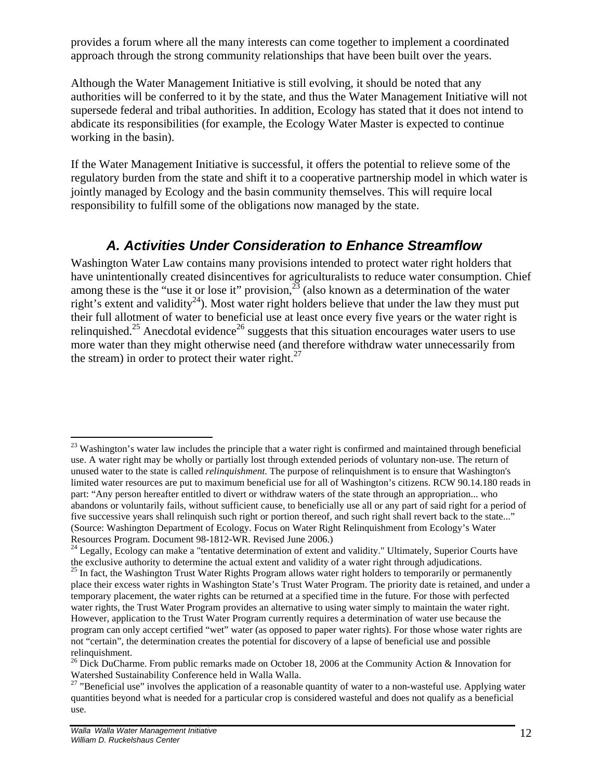provides a forum where all the many interests can come together to implement a coordinated approach through the strong community relationships that have been built over the years.

Although the Water Management Initiative is still evolving, it should be noted that any authorities will be conferred to it by the state, and thus the Water Management Initiative will not supersede federal and tribal authorities. In addition, Ecology has stated that it does not intend to abdicate its responsibilities (for example, the Ecology Water Master is expected to continue working in the basin).

If the Water Management Initiative is successful, it offers the potential to relieve some of the regulatory burden from the state and shift it to a cooperative partnership model in which water is jointly managed by Ecology and the basin community themselves. This will require local responsibility to fulfill some of the obligations now managed by the state.

## *A. Activities Under Consideration to Enhance Streamflow*

Washington Water Law contains many provisions intended to protect water right holders that have unintentionally created disincentives for agriculturalists to reduce water consumption. Chief among these is the "use it or lose it" provision,  $^{23}$  (also known as a determination of the water right's extent and validity<sup>24</sup>). Most water right holders believe that under the law they must put their full allotment of water to beneficial use at least once every five years or the water right is relinquished.<sup>25</sup> Anecdotal evidence<sup>26</sup> suggests that this situation encourages water users to use more water than they might otherwise need (and therefore withdraw water unnecessarily from the stream) in order to protect their water right. $27$ 

 $\overline{a}$ 

<sup>&</sup>lt;sup>23</sup> Washington's water law includes the principle that a water right is confirmed and maintained through beneficial use. A water right may be wholly or partially lost through extended periods of voluntary non-use. The return of unused water to the state is called *relinquishment*. The purpose of relinquishment is to ensure that Washington's limited water resources are put to maximum beneficial use for all of Washington's citizens. RCW 90.14.180 reads in part: "Any person hereafter entitled to divert or withdraw waters of the state through an appropriation... who abandons or voluntarily fails, without sufficient cause, to beneficially use all or any part of said right for a period of five successive years shall relinquish such right or portion thereof, and such right shall revert back to the state..." (Source: Washington Department of Ecology. Focus on Water Right Relinquishment from Ecology's Water Resources Program. Document 98-1812-WR. Revised June 2006.)

<sup>&</sup>lt;sup>24</sup> Legally, Ecology can make a "tentative determination of extent and validity." Ultimately, Superior Courts have the exclusive authority to determine the actual extent and validity of a water right through adjudications.

<sup>&</sup>lt;sup>25</sup> In fact, the Washington Trust Water Rights Program allows water right holders to temporarily or permanently place their excess water rights in Washington State's Trust Water Program. The priority date is retained, and under a temporary placement, the water rights can be returned at a specified time in the future. For those with perfected water rights, the Trust Water Program provides an alternative to using water simply to maintain the water right. However, application to the Trust Water Program currently requires a determination of water use because the program can only accept certified "wet" water (as opposed to paper water rights). For those whose water rights are not "certain", the determination creates the potential for discovery of a lapse of beneficial use and possible relinquishment.

<sup>&</sup>lt;sup>26</sup> Dick DuCharme. From public remarks made on October 18, 2006 at the Community Action & Innovation for Watershed Sustainability Conference held in Walla Walla.

<sup>&</sup>lt;sup>27</sup> "Beneficial use" involves the application of a reasonable quantity of water to a non-wasteful use. Applying water quantities beyond what is needed for a particular crop is considered wasteful and does not qualify as a beneficial use.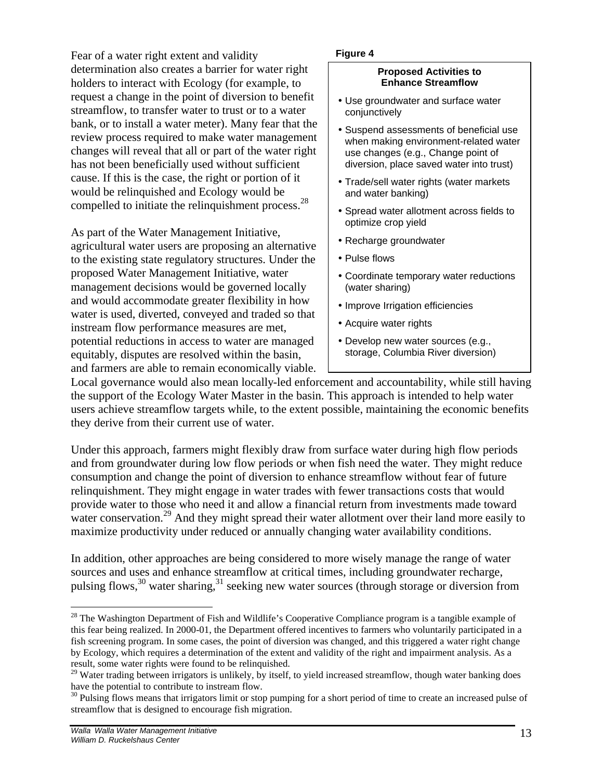Fear of a water right extent and validity determination also creates a barrier for water right holders to interact with Ecology (for example, to request a change in the point of diversion to benefit streamflow, to transfer water to trust or to a water bank, or to install a water meter). Many fear that the review process required to make water management changes will reveal that all or part of the water right has not been beneficially used without sufficient cause. If this is the case, the right or portion of it would be relinquished and Ecology would be compelled to initiate the relinquishment process.<sup>28</sup>

As part of the Water Management Initiative, agricultural water users are proposing an alternative to the existing state regulatory structures. Under the proposed Water Management Initiative, water management decisions would be governed locally and would accommodate greater flexibility in how water is used, diverted, conveyed and traded so that instream flow performance measures are met, potential reductions in access to water are managed equitably, disputes are resolved within the basin, and farmers are able to remain economically viable.

#### **Figure 4**

#### **Proposed Activities to Enhance Streamflow**

- Use groundwater and surface water conjunctively
- Suspend assessments of beneficial use when making environment-related water use changes (e.g., Change point of diversion, place saved water into trust)
- Trade/sell water rights (water markets and water banking)
- Spread water allotment across fields to optimize crop yield
- Recharge groundwater
- Pulse flows
- Coordinate temporary water reductions (water sharing)
- Improve Irrigation efficiencies
- Acquire water rights
- Develop new water sources (e.g., storage, Columbia River diversion)

Local governance would also mean locally-led enforcement and accountability, while still having the support of the Ecology Water Master in the basin. This approach is intended to help water users achieve streamflow targets while, to the extent possible, maintaining the economic benefits they derive from their current use of water.

Under this approach, farmers might flexibly draw from surface water during high flow periods and from groundwater during low flow periods or when fish need the water. They might reduce consumption and change the point of diversion to enhance streamflow without fear of future relinquishment. They might engage in water trades with fewer transactions costs that would provide water to those who need it and allow a financial return from investments made toward water conservation.<sup>29</sup> And they might spread their water allotment over their land more easily to maximize productivity under reduced or annually changing water availability conditions.

In addition, other approaches are being considered to more wisely manage the range of water sources and uses and enhance streamflow at critical times, including groundwater recharge, pulsing flows,<sup>30</sup> water sharing,<sup>31</sup> seeking new water sources (through storage or diversion from

<u>.</u>

 $28$  The Washington Department of Fish and Wildlife's Cooperative Compliance program is a tangible example of this fear being realized. In 2000-01, the Department offered incentives to farmers who voluntarily participated in a fish screening program. In some cases, the point of diversion was changed, and this triggered a water right change by Ecology, which requires a determination of the extent and validity of the right and impairment analysis. As a result, some water rights were found to be relinquished.

 $29$  Water trading between irrigators is unlikely, by itself, to yield increased streamflow, though water banking does have the potential to contribute to instream flow.

 $30$  Pulsing flows means that irrigators limit or stop pumping for a short period of time to create an increased pulse of streamflow that is designed to encourage fish migration.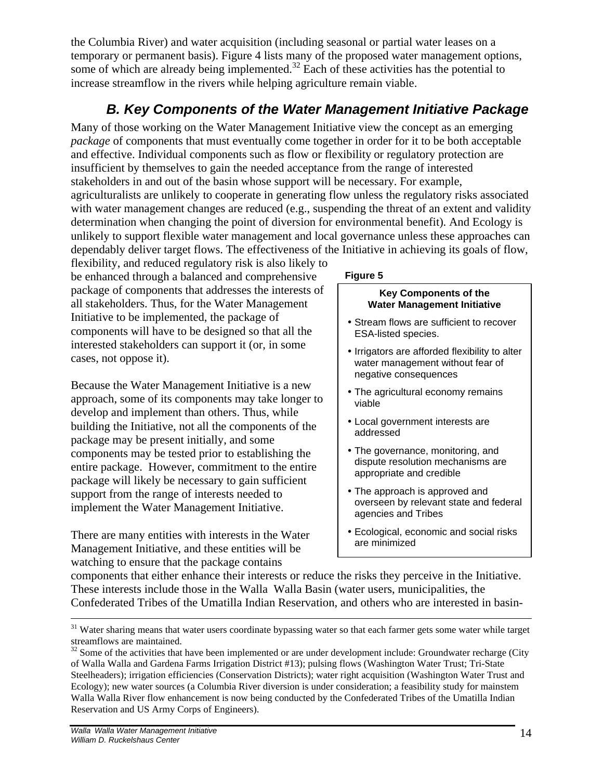the Columbia River) and water acquisition (including seasonal or partial water leases on a temporary or permanent basis). Figure 4 lists many of the proposed water management options, some of which are already being implemented.<sup>32</sup> Each of these activities has the potential to increase streamflow in the rivers while helping agriculture remain viable.

## *B. Key Components of the Water Management Initiative Package*

Many of those working on the Water Management Initiative view the concept as an emerging *package* of components that must eventually come together in order for it to be both acceptable and effective. Individual components such as flow or flexibility or regulatory protection are insufficient by themselves to gain the needed acceptance from the range of interested stakeholders in and out of the basin whose support will be necessary. For example, agriculturalists are unlikely to cooperate in generating flow unless the regulatory risks associated with water management changes are reduced (e.g., suspending the threat of an extent and validity determination when changing the point of diversion for environmental benefit). And Ecology is unlikely to support flexible water management and local governance unless these approaches can dependably deliver target flows. The effectiveness of the Initiative in achieving its goals of flow,

flexibility, and reduced regulatory risk is also likely to be enhanced through a balanced and comprehensive package of components that addresses the interests of all stakeholders. Thus, for the Water Management Initiative to be implemented, the package of components will have to be designed so that all the interested stakeholders can support it (or, in some cases, not oppose it).

Because the Water Management Initiative is a new approach, some of its components may take longer to develop and implement than others. Thus, while building the Initiative, not all the components of the package may be present initially, and some components may be tested prior to establishing the entire package. However, commitment to the entire package will likely be necessary to gain sufficient support from the range of interests needed to implement the Water Management Initiative.

There are many entities with interests in the Water Management Initiative, and these entities will be watching to ensure that the package contains

#### **Figure 5**

#### **Key Components of the Water Management Initiative**

- Stream flows are sufficient to recover ESA-listed species.
- Irrigators are afforded flexibility to alter water management without fear of negative consequences
- The agricultural economy remains viable
- Local government interests are addressed
- The governance, monitoring, and dispute resolution mechanisms are appropriate and credible
- The approach is approved and overseen by relevant state and federal agencies and Tribes
- Ecological, economic and social risks are minimized

components that either enhance their interests or reduce the risks they perceive in the Initiative. These interests include those in the Walla Walla Basin (water users, municipalities, the Confederated Tribes of the Umatilla Indian Reservation, and others who are interested in basin-

 $\overline{a}$ 

<sup>&</sup>lt;sup>31</sup> Water sharing means that water users coordinate bypassing water so that each farmer gets some water while target streamflows are maintained.

 $32$  Some of the activities that have been implemented or are under development include: Groundwater recharge (City of Walla Walla and Gardena Farms Irrigation District #13); pulsing flows (Washington Water Trust; Tri-State Steelheaders); irrigation efficiencies (Conservation Districts); water right acquisition (Washington Water Trust and Ecology); new water sources (a Columbia River diversion is under consideration; a feasibility study for mainstem Walla Walla River flow enhancement is now being conducted by the Confederated Tribes of the Umatilla Indian Reservation and US Army Corps of Engineers).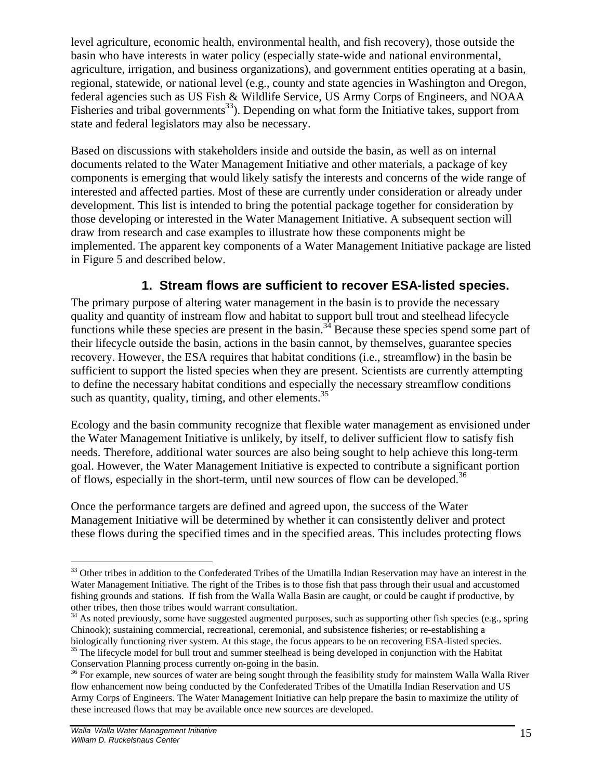level agriculture, economic health, environmental health, and fish recovery), those outside the basin who have interests in water policy (especially state-wide and national environmental, agriculture, irrigation, and business organizations), and government entities operating at a basin, regional, statewide, or national level (e.g., county and state agencies in Washington and Oregon, federal agencies such as US Fish & Wildlife Service, US Army Corps of Engineers, and NOAA Fisheries and tribal governments<sup>33</sup>). Depending on what form the Initiative takes, support from state and federal legislators may also be necessary.

Based on discussions with stakeholders inside and outside the basin, as well as on internal documents related to the Water Management Initiative and other materials, a package of key components is emerging that would likely satisfy the interests and concerns of the wide range of interested and affected parties. Most of these are currently under consideration or already under development. This list is intended to bring the potential package together for consideration by those developing or interested in the Water Management Initiative. A subsequent section will draw from research and case examples to illustrate how these components might be implemented. The apparent key components of a Water Management Initiative package are listed in Figure 5 and described below.

## **1. Stream flows are sufficient to recover ESA-listed species.**

The primary purpose of altering water management in the basin is to provide the necessary quality and quantity of instream flow and habitat to support bull trout and steelhead lifecycle functions while these species are present in the basin.<sup>34</sup> Because these species spend some part of their lifecycle outside the basin, actions in the basin cannot, by themselves, guarantee species recovery. However, the ESA requires that habitat conditions (i.e., streamflow) in the basin be sufficient to support the listed species when they are present. Scientists are currently attempting to define the necessary habitat conditions and especially the necessary streamflow conditions such as quantity, quality, timing, and other elements.  $35$ 

Ecology and the basin community recognize that flexible water management as envisioned under the Water Management Initiative is unlikely, by itself, to deliver sufficient flow to satisfy fish needs. Therefore, additional water sources are also being sought to help achieve this long-term goal. However, the Water Management Initiative is expected to contribute a significant portion of flows, especially in the short-term, until new sources of flow can be developed.<sup>36</sup>

Once the performance targets are defined and agreed upon, the success of the Water Management Initiative will be determined by whether it can consistently deliver and protect these flows during the specified times and in the specified areas. This includes protecting flows

<sup>&</sup>lt;u>.</u>  $33$  Other tribes in addition to the Confederated Tribes of the Umatilla Indian Reservation may have an interest in the Water Management Initiative. The right of the Tribes is to those fish that pass through their usual and accustomed fishing grounds and stations. If fish from the Walla Walla Basin are caught, or could be caught if productive, by other tribes, then those tribes would warrant consultation.

<sup>&</sup>lt;sup>34</sup> As noted previously, some have suggested augmented purposes, such as supporting other fish species (e.g., spring Chinook); sustaining commercial, recreational, ceremonial, and subsistence fisheries; or re-establishing a biologically functioning river system. At this stage, the focus appears to be on recovering ESA-listed species. <sup>35</sup> The lifecycle model for bull trout and summer steelhead is being developed in conjunction with the Habitat Conservation Planning process currently on-going in the basin.

<sup>&</sup>lt;sup>36</sup> For example, new sources of water are being sought through the feasibility study for mainstem Walla Walla River flow enhancement now being conducted by the Confederated Tribes of the Umatilla Indian Reservation and US Army Corps of Engineers. The Water Management Initiative can help prepare the basin to maximize the utility of these increased flows that may be available once new sources are developed.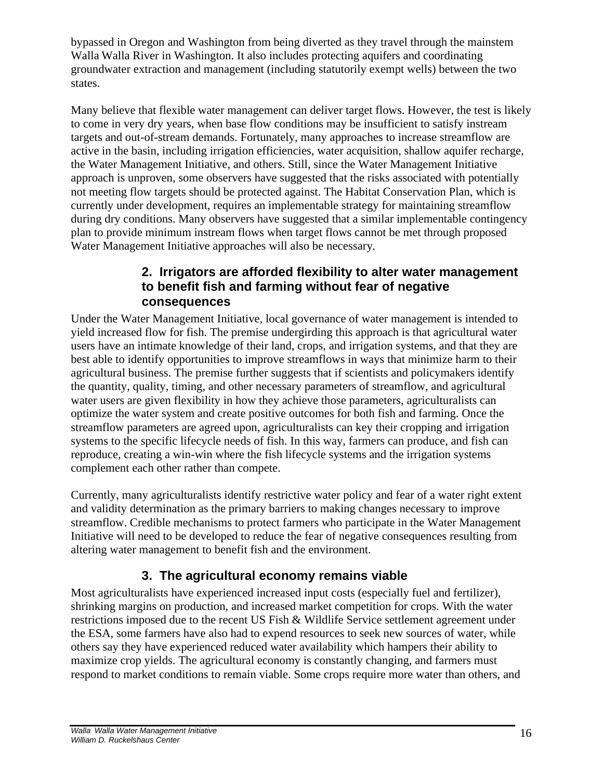bypassed in Oregon and Washington from being diverted as they travel through the mainstem Walla Walla River in Washington. It also includes protecting aquifers and coordinating groundwater extraction and management (including statutorily exempt wells) between the two states.

Many believe that flexible water management can deliver target flows. However, the test is likely to come in very dry years, when base flow conditions may be insufficient to satisfy instream targets and out-of-stream demands. Fortunately, many approaches to increase streamflow are active in the basin, including irrigation efficiencies, water acquisition, shallow aquifer recharge, the Water Management Initiative, and others. Still, since the Water Management Initiative approach is unproven, some observers have suggested that the risks associated with potentially not meeting flow targets should be protected against. The Habitat Conservation Plan, which is currently under development, requires an implementable strategy for maintaining streamflow during dry conditions. Many observers have suggested that a similar implementable contingency plan to provide minimum instream flows when target flows cannot be met through proposed Water Management Initiative approaches will also be necessary.

## **2. Irrigators are afforded flexibility to alter water management to benefit fish and farming without fear of negative consequences**

Under the Water Management Initiative, local governance of water management is intended to yield increased flow for fish. The premise undergirding this approach is that agricultural water users have an intimate knowledge of their land, crops, and irrigation systems, and that they are best able to identify opportunities to improve streamflows in ways that minimize harm to their agricultural business. The premise further suggests that if scientists and policymakers identify the quantity, quality, timing, and other necessary parameters of streamflow, and agricultural water users are given flexibility in how they achieve those parameters, agriculturalists can optimize the water system and create positive outcomes for both fish and farming. Once the streamflow parameters are agreed upon, agriculturalists can key their cropping and irrigation systems to the specific lifecycle needs of fish. In this way, farmers can produce, and fish can reproduce, creating a win-win where the fish lifecycle systems and the irrigation systems complement each other rather than compete.

Currently, many agriculturalists identify restrictive water policy and fear of a water right extent and validity determination as the primary barriers to making changes necessary to improve streamflow. Credible mechanisms to protect farmers who participate in the Water Management Initiative will need to be developed to reduce the fear of negative consequences resulting from altering water management to benefit fish and the environment.

## **3. The agricultural economy remains viable**

Most agriculturalists have experienced increased input costs (especially fuel and fertilizer), shrinking margins on production, and increased market competition for crops. With the water restrictions imposed due to the recent US Fish & Wildlife Service settlement agreement under the ESA, some farmers have also had to expend resources to seek new sources of water, while others say they have experienced reduced water availability which hampers their ability to maximize crop yields. The agricultural economy is constantly changing, and farmers must respond to market conditions to remain viable. Some crops require more water than others, and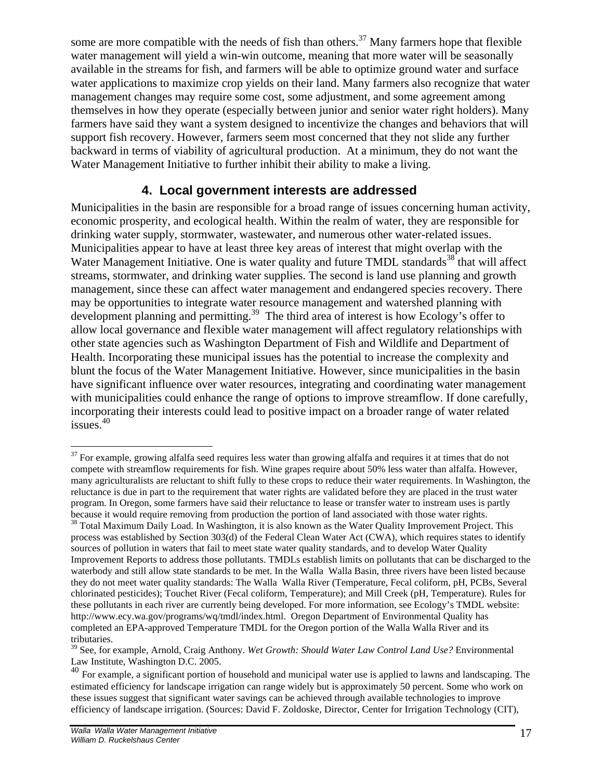some are more compatible with the needs of fish than others.<sup>37</sup> Many farmers hope that flexible water management will yield a win-win outcome, meaning that more water will be seasonally available in the streams for fish, and farmers will be able to optimize ground water and surface water applications to maximize crop yields on their land. Many farmers also recognize that water management changes may require some cost, some adjustment, and some agreement among themselves in how they operate (especially between junior and senior water right holders). Many farmers have said they want a system designed to incentivize the changes and behaviors that will support fish recovery. However, farmers seem most concerned that they not slide any further backward in terms of viability of agricultural production. At a minimum, they do not want the Water Management Initiative to further inhibit their ability to make a living.

## **4. Local government interests are addressed**

Municipalities in the basin are responsible for a broad range of issues concerning human activity, economic prosperity, and ecological health. Within the realm of water, they are responsible for drinking water supply, stormwater, wastewater, and numerous other water-related issues. Municipalities appear to have at least three key areas of interest that might overlap with the Water Management Initiative. One is water quality and future TMDL standards<sup>38</sup> that will affect streams, stormwater, and drinking water supplies. The second is land use planning and growth management, since these can affect water management and endangered species recovery. There may be opportunities to integrate water resource management and watershed planning with development planning and permitting. <sup>39</sup> The third area of interest is how Ecology's offer to allow local governance and flexible water management will affect regulatory relationships with other state agencies such as Washington Department of Fish and Wildlife and Department of Health. Incorporating these municipal issues has the potential to increase the complexity and blunt the focus of the Water Management Initiative. However, since municipalities in the basin have significant influence over water resources, integrating and coordinating water management with municipalities could enhance the range of options to improve streamflow. If done carefully, incorporating their interests could lead to positive impact on a broader range of water related issues.<sup>40</sup>

<sup>1</sup>  $37$  For example, growing alfalfa seed requires less water than growing alfalfa and requires it at times that do not compete with streamflow requirements for fish. Wine grapes require about 50% less water than alfalfa. However, many agriculturalists are reluctant to shift fully to these crops to reduce their water requirements. In Washington, the reluctance is due in part to the requirement that water rights are validated before they are placed in the trust water program. In Oregon, some farmers have said their reluctance to lease or transfer water to instream uses is partly because it would require removing from production the portion of land associated with those water rights.

<sup>&</sup>lt;sup>38</sup> Total Maximum Daily Load. In Washington, it is also known as the Water Quality Improvement Project. This process was established by Section 303(d) of the Federal Clean Water Act (CWA), which requires states to identify sources of pollution in waters that fail to meet state water quality standards, and to develop Water Quality Improvement Reports to address those pollutants. TMDLs establish limits on pollutants that can be discharged to the waterbody and still allow state standards to be met. In the Walla Walla Basin, three rivers have been listed because they do not meet water quality standards: The Walla Walla River (Temperature, Fecal coliform, pH, PCBs, Several chlorinated pesticides); Touchet River (Fecal coliform, Temperature); and Mill Creek (pH, Temperature). Rules for these pollutants in each river are currently being developed. For more information, see Ecology's TMDL website: http://www.ecy.wa.gov/programs/wq/tmdl/index.html. Oregon Department of Environmental Quality has completed an EPA-approved Temperature TMDL for the Oregon portion of the Walla Walla River and its tributaries.

<sup>39</sup> See, for example, Arnold, Craig Anthony. *Wet Growth: Should Water Law Control Land Use?* Environmental Law Institute, Washington D.C. 2005.

 $^{40}$  For example, a significant portion of household and municipal water use is applied to lawns and landscaping. The estimated efficiency for landscape irrigation can range widely but is approximately 50 percent. Some who work on these issues suggest that significant water savings can be achieved through available technologies to improve efficiency of landscape irrigation. (Sources: David F. Zoldoske, Director, Center for Irrigation Technology (CIT),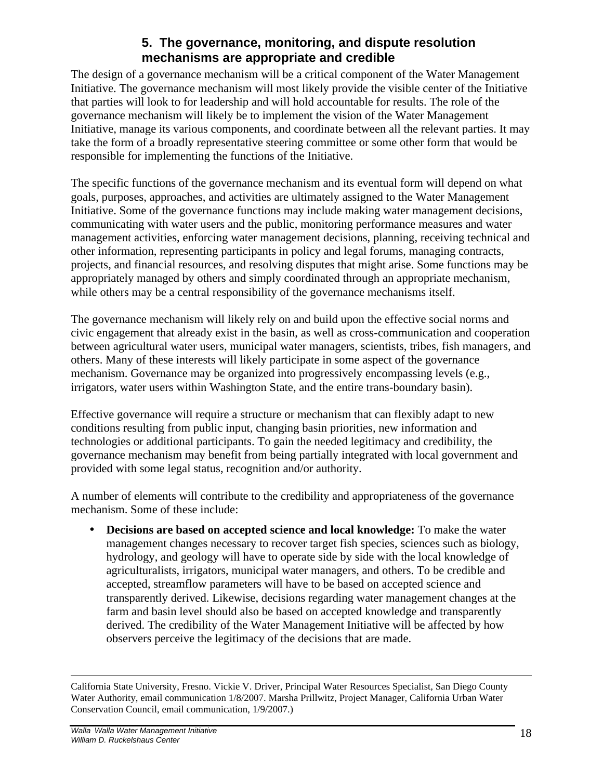## **5. The governance, monitoring, and dispute resolution mechanisms are appropriate and credible**

The design of a governance mechanism will be a critical component of the Water Management Initiative. The governance mechanism will most likely provide the visible center of the Initiative that parties will look to for leadership and will hold accountable for results. The role of the governance mechanism will likely be to implement the vision of the Water Management Initiative, manage its various components, and coordinate between all the relevant parties. It may take the form of a broadly representative steering committee or some other form that would be responsible for implementing the functions of the Initiative.

The specific functions of the governance mechanism and its eventual form will depend on what goals, purposes, approaches, and activities are ultimately assigned to the Water Management Initiative. Some of the governance functions may include making water management decisions, communicating with water users and the public, monitoring performance measures and water management activities, enforcing water management decisions, planning, receiving technical and other information, representing participants in policy and legal forums, managing contracts, projects, and financial resources, and resolving disputes that might arise. Some functions may be appropriately managed by others and simply coordinated through an appropriate mechanism, while others may be a central responsibility of the governance mechanisms itself.

The governance mechanism will likely rely on and build upon the effective social norms and civic engagement that already exist in the basin, as well as cross-communication and cooperation between agricultural water users, municipal water managers, scientists, tribes, fish managers, and others. Many of these interests will likely participate in some aspect of the governance mechanism. Governance may be organized into progressively encompassing levels (e.g., irrigators, water users within Washington State, and the entire trans-boundary basin).

Effective governance will require a structure or mechanism that can flexibly adapt to new conditions resulting from public input, changing basin priorities, new information and technologies or additional participants. To gain the needed legitimacy and credibility, the governance mechanism may benefit from being partially integrated with local government and provided with some legal status, recognition and/or authority.

A number of elements will contribute to the credibility and appropriateness of the governance mechanism. Some of these include:

• **Decisions are based on accepted science and local knowledge:** To make the water management changes necessary to recover target fish species, sciences such as biology, hydrology, and geology will have to operate side by side with the local knowledge of agriculturalists, irrigators, municipal water managers, and others. To be credible and accepted, streamflow parameters will have to be based on accepted science and transparently derived. Likewise, decisions regarding water management changes at the farm and basin level should also be based on accepted knowledge and transparently derived. The credibility of the Water Management Initiative will be affected by how observers perceive the legitimacy of the decisions that are made.

<sup>&</sup>lt;u>.</u> California State University, Fresno. Vickie V. Driver, Principal Water Resources Specialist, San Diego County Water Authority, email communication 1/8/2007. Marsha Prillwitz, Project Manager, California Urban Water Conservation Council, email communication, 1/9/2007.)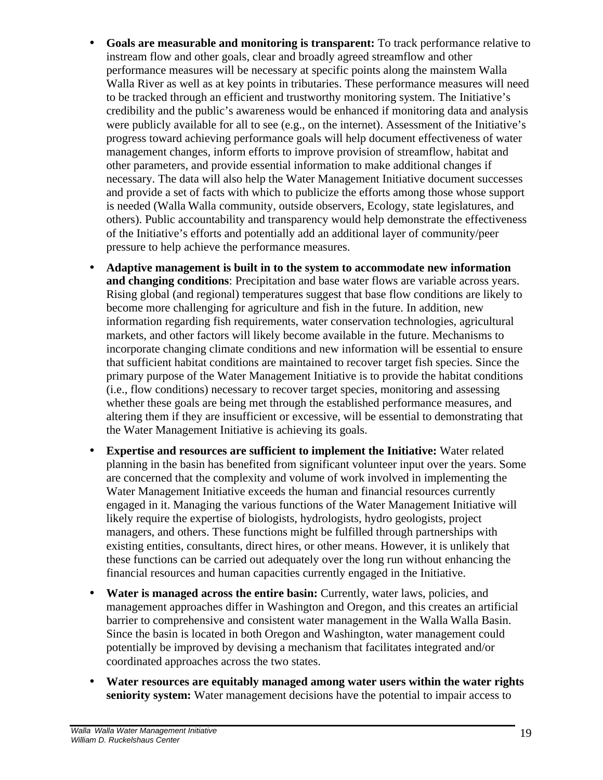- **Goals are measurable and monitoring is transparent:** To track performance relative to instream flow and other goals, clear and broadly agreed streamflow and other performance measures will be necessary at specific points along the mainstem Walla Walla River as well as at key points in tributaries. These performance measures will need to be tracked through an efficient and trustworthy monitoring system. The Initiative's credibility and the public's awareness would be enhanced if monitoring data and analysis were publicly available for all to see (e.g., on the internet). Assessment of the Initiative's progress toward achieving performance goals will help document effectiveness of water management changes, inform efforts to improve provision of streamflow, habitat and other parameters, and provide essential information to make additional changes if necessary. The data will also help the Water Management Initiative document successes and provide a set of facts with which to publicize the efforts among those whose support is needed (Walla Walla community, outside observers, Ecology, state legislatures, and others). Public accountability and transparency would help demonstrate the effectiveness of the Initiative's efforts and potentially add an additional layer of community/peer pressure to help achieve the performance measures.
- **Adaptive management is built in to the system to accommodate new information and changing conditions**: Precipitation and base water flows are variable across years. Rising global (and regional) temperatures suggest that base flow conditions are likely to become more challenging for agriculture and fish in the future. In addition, new information regarding fish requirements, water conservation technologies, agricultural markets, and other factors will likely become available in the future. Mechanisms to incorporate changing climate conditions and new information will be essential to ensure that sufficient habitat conditions are maintained to recover target fish species. Since the primary purpose of the Water Management Initiative is to provide the habitat conditions (i.e., flow conditions) necessary to recover target species, monitoring and assessing whether these goals are being met through the established performance measures, and altering them if they are insufficient or excessive, will be essential to demonstrating that the Water Management Initiative is achieving its goals.
- **Expertise and resources are sufficient to implement the Initiative:** Water related planning in the basin has benefited from significant volunteer input over the years. Some are concerned that the complexity and volume of work involved in implementing the Water Management Initiative exceeds the human and financial resources currently engaged in it. Managing the various functions of the Water Management Initiative will likely require the expertise of biologists, hydrologists, hydro geologists, project managers, and others. These functions might be fulfilled through partnerships with existing entities, consultants, direct hires, or other means. However, it is unlikely that these functions can be carried out adequately over the long run without enhancing the financial resources and human capacities currently engaged in the Initiative.
- **Water is managed across the entire basin:** Currently, water laws, policies, and management approaches differ in Washington and Oregon, and this creates an artificial barrier to comprehensive and consistent water management in the Walla Walla Basin. Since the basin is located in both Oregon and Washington, water management could potentially be improved by devising a mechanism that facilitates integrated and/or coordinated approaches across the two states.
- **Water resources are equitably managed among water users within the water rights seniority system:** Water management decisions have the potential to impair access to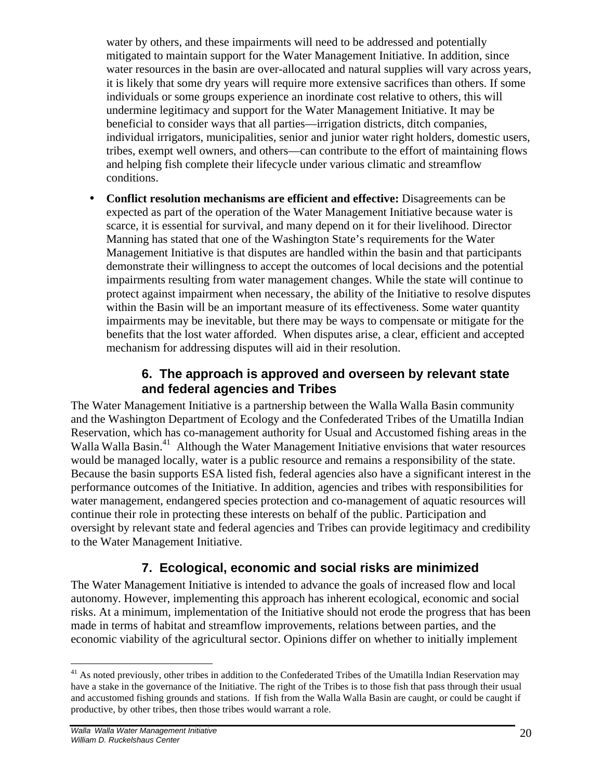water by others, and these impairments will need to be addressed and potentially mitigated to maintain support for the Water Management Initiative. In addition, since water resources in the basin are over-allocated and natural supplies will vary across years, it is likely that some dry years will require more extensive sacrifices than others. If some individuals or some groups experience an inordinate cost relative to others, this will undermine legitimacy and support for the Water Management Initiative. It may be beneficial to consider ways that all parties—irrigation districts, ditch companies, individual irrigators, municipalities, senior and junior water right holders, domestic users, tribes, exempt well owners, and others—can contribute to the effort of maintaining flows and helping fish complete their lifecycle under various climatic and streamflow conditions.

• **Conflict resolution mechanisms are efficient and effective:** Disagreements can be expected as part of the operation of the Water Management Initiative because water is scarce, it is essential for survival, and many depend on it for their livelihood. Director Manning has stated that one of the Washington State's requirements for the Water Management Initiative is that disputes are handled within the basin and that participants demonstrate their willingness to accept the outcomes of local decisions and the potential impairments resulting from water management changes. While the state will continue to protect against impairment when necessary, the ability of the Initiative to resolve disputes within the Basin will be an important measure of its effectiveness. Some water quantity impairments may be inevitable, but there may be ways to compensate or mitigate for the benefits that the lost water afforded. When disputes arise, a clear, efficient and accepted mechanism for addressing disputes will aid in their resolution.

## **6. The approach is approved and overseen by relevant state and federal agencies and Tribes**

The Water Management Initiative is a partnership between the Walla Walla Basin community and the Washington Department of Ecology and the Confederated Tribes of the Umatilla Indian Reservation, which has co-management authority for Usual and Accustomed fishing areas in the Walla Walla Basin.<sup>41</sup> Although the Water Management Initiative envisions that water resources would be managed locally, water is a public resource and remains a responsibility of the state. Because the basin supports ESA listed fish, federal agencies also have a significant interest in the performance outcomes of the Initiative. In addition, agencies and tribes with responsibilities for water management, endangered species protection and co-management of aquatic resources will continue their role in protecting these interests on behalf of the public. Participation and oversight by relevant state and federal agencies and Tribes can provide legitimacy and credibility to the Water Management Initiative.

## **7. Ecological, economic and social risks are minimized**

The Water Management Initiative is intended to advance the goals of increased flow and local autonomy. However, implementing this approach has inherent ecological, economic and social risks. At a minimum, implementation of the Initiative should not erode the progress that has been made in terms of habitat and streamflow improvements, relations between parties, and the economic viability of the agricultural sector. Opinions differ on whether to initially implement

1

 $41$  As noted previously, other tribes in addition to the Confederated Tribes of the Umatilla Indian Reservation may have a stake in the governance of the Initiative. The right of the Tribes is to those fish that pass through their usual and accustomed fishing grounds and stations. If fish from the Walla Walla Basin are caught, or could be caught if productive, by other tribes, then those tribes would warrant a role.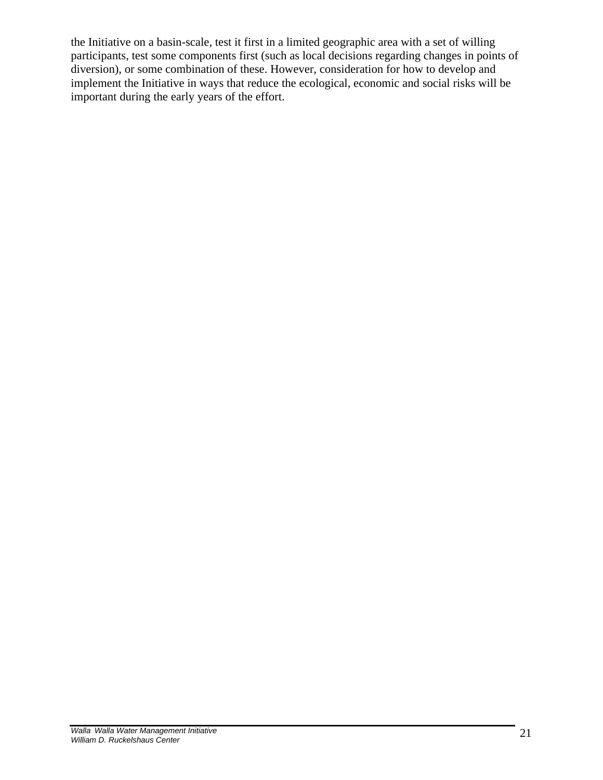the Initiative on a basin-scale, test it first in a limited geographic area with a set of willing participants, test some components first (such as local decisions regarding changes in points of diversion), or some combination of these. However, consideration for how to develop and implement the Initiative in ways that reduce the ecological, economic and social risks will be important during the early years of the effort.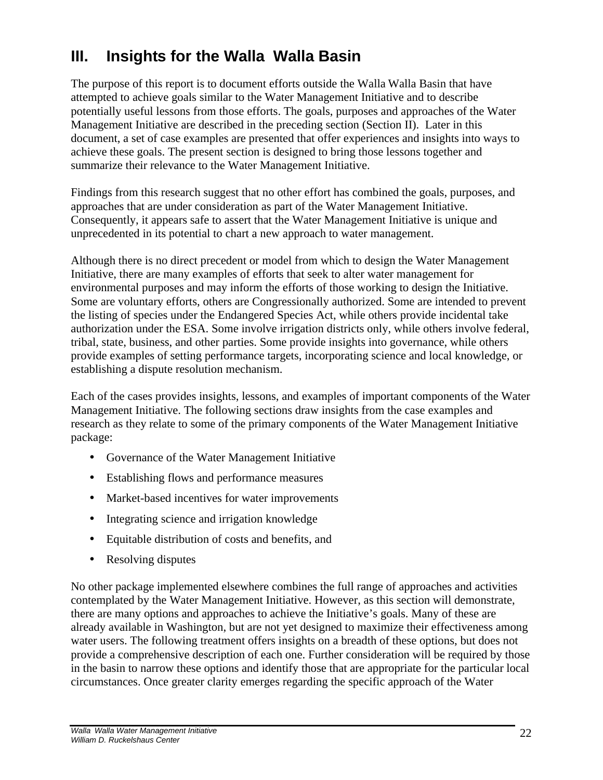## **III. Insights for the Walla Walla Basin**

The purpose of this report is to document efforts outside the Walla Walla Basin that have attempted to achieve goals similar to the Water Management Initiative and to describe potentially useful lessons from those efforts. The goals, purposes and approaches of the Water Management Initiative are described in the preceding section (Section II). Later in this document, a set of case examples are presented that offer experiences and insights into ways to achieve these goals. The present section is designed to bring those lessons together and summarize their relevance to the Water Management Initiative.

Findings from this research suggest that no other effort has combined the goals, purposes, and approaches that are under consideration as part of the Water Management Initiative. Consequently, it appears safe to assert that the Water Management Initiative is unique and unprecedented in its potential to chart a new approach to water management.

Although there is no direct precedent or model from which to design the Water Management Initiative, there are many examples of efforts that seek to alter water management for environmental purposes and may inform the efforts of those working to design the Initiative. Some are voluntary efforts, others are Congressionally authorized. Some are intended to prevent the listing of species under the Endangered Species Act, while others provide incidental take authorization under the ESA. Some involve irrigation districts only, while others involve federal, tribal, state, business, and other parties. Some provide insights into governance, while others provide examples of setting performance targets, incorporating science and local knowledge, or establishing a dispute resolution mechanism.

Each of the cases provides insights, lessons, and examples of important components of the Water Management Initiative. The following sections draw insights from the case examples and research as they relate to some of the primary components of the Water Management Initiative package:

- Governance of the Water Management Initiative
- Establishing flows and performance measures
- Market-based incentives for water improvements
- Integrating science and irrigation knowledge
- Equitable distribution of costs and benefits, and
- Resolving disputes

No other package implemented elsewhere combines the full range of approaches and activities contemplated by the Water Management Initiative. However, as this section will demonstrate, there are many options and approaches to achieve the Initiative's goals. Many of these are already available in Washington, but are not yet designed to maximize their effectiveness among water users. The following treatment offers insights on a breadth of these options, but does not provide a comprehensive description of each one. Further consideration will be required by those in the basin to narrow these options and identify those that are appropriate for the particular local circumstances. Once greater clarity emerges regarding the specific approach of the Water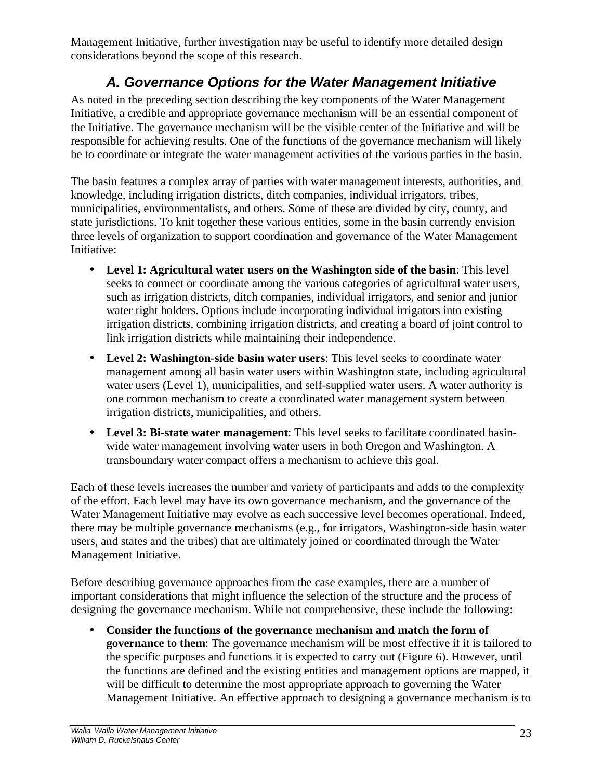Management Initiative, further investigation may be useful to identify more detailed design considerations beyond the scope of this research.

## *A. Governance Options for the Water Management Initiative*

As noted in the preceding section describing the key components of the Water Management Initiative, a credible and appropriate governance mechanism will be an essential component of the Initiative. The governance mechanism will be the visible center of the Initiative and will be responsible for achieving results. One of the functions of the governance mechanism will likely be to coordinate or integrate the water management activities of the various parties in the basin.

The basin features a complex array of parties with water management interests, authorities, and knowledge, including irrigation districts, ditch companies, individual irrigators, tribes, municipalities, environmentalists, and others. Some of these are divided by city, county, and state jurisdictions. To knit together these various entities, some in the basin currently envision three levels of organization to support coordination and governance of the Water Management Initiative:

- **Level 1: Agricultural water users on the Washington side of the basin**: This level seeks to connect or coordinate among the various categories of agricultural water users, such as irrigation districts, ditch companies, individual irrigators, and senior and junior water right holders. Options include incorporating individual irrigators into existing irrigation districts, combining irrigation districts, and creating a board of joint control to link irrigation districts while maintaining their independence.
- **Level 2: Washington-side basin water users**: This level seeks to coordinate water management among all basin water users within Washington state, including agricultural water users (Level 1), municipalities, and self-supplied water users. A water authority is one common mechanism to create a coordinated water management system between irrigation districts, municipalities, and others.
- **Level 3: Bi-state water management**: This level seeks to facilitate coordinated basinwide water management involving water users in both Oregon and Washington. A transboundary water compact offers a mechanism to achieve this goal.

Each of these levels increases the number and variety of participants and adds to the complexity of the effort. Each level may have its own governance mechanism, and the governance of the Water Management Initiative may evolve as each successive level becomes operational. Indeed, there may be multiple governance mechanisms (e.g., for irrigators, Washington-side basin water users, and states and the tribes) that are ultimately joined or coordinated through the Water Management Initiative.

Before describing governance approaches from the case examples, there are a number of important considerations that might influence the selection of the structure and the process of designing the governance mechanism. While not comprehensive, these include the following:

• **Consider the functions of the governance mechanism and match the form of governance to them**: The governance mechanism will be most effective if it is tailored to the specific purposes and functions it is expected to carry out (Figure 6). However, until the functions are defined and the existing entities and management options are mapped, it will be difficult to determine the most appropriate approach to governing the Water Management Initiative. An effective approach to designing a governance mechanism is to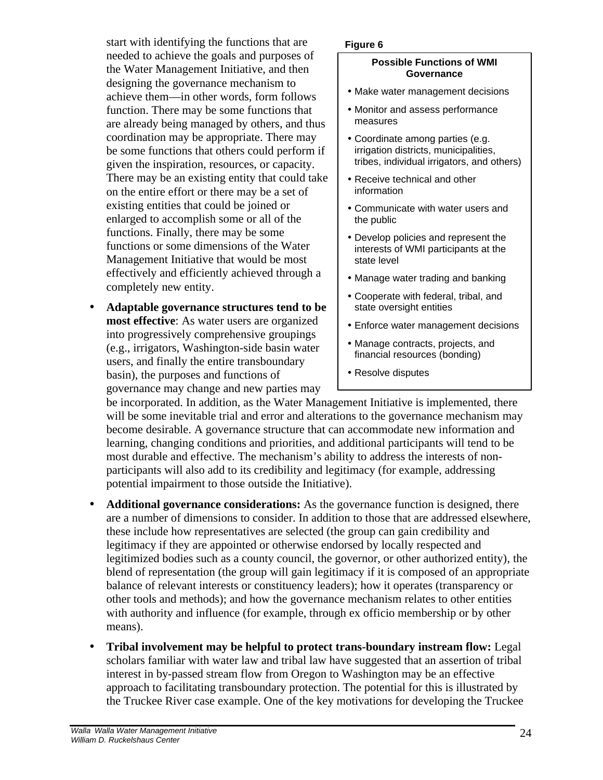start with identifying the functions that are needed to achieve the goals and purposes of the Water Management Initiative, and then designing the governance mechanism to achieve them—in other words, form follows function. There may be some functions that are already being managed by others, and thus coordination may be appropriate. There may be some functions that others could perform if given the inspiration, resources, or capacity. There may be an existing entity that could take on the entire effort or there may be a set of existing entities that could be joined or enlarged to accomplish some or all of the functions. Finally, there may be some functions or some dimensions of the Water Management Initiative that would be most effectively and efficiently achieved through a completely new entity.

• **Adaptable governance structures tend to be most effective**: As water users are organized into progressively comprehensive groupings (e.g., irrigators, Washington-side basin water users, and finally the entire transboundary basin), the purposes and functions of governance may change and new parties may

#### **Figure 6**

#### **Possible Functions of WMI Governance**

- Make water management decisions
- Monitor and assess performance measures
- Coordinate among parties (e.g. irrigation districts, municipalities, tribes, individual irrigators, and others)
- Receive technical and other information
- Communicate with water users and the public
- Develop policies and represent the interests of WMI participants at the state level
- Manage water trading and banking
- Cooperate with federal, tribal, and state oversight entities
- Enforce water management decisions
- Manage contracts, projects, and financial resources (bonding)
- Resolve disputes

be incorporated. In addition, as the Water Management Initiative is implemented, there will be some inevitable trial and error and alterations to the governance mechanism may become desirable. A governance structure that can accommodate new information and learning, changing conditions and priorities, and additional participants will tend to be most durable and effective. The mechanism's ability to address the interests of nonparticipants will also add to its credibility and legitimacy (for example, addressing potential impairment to those outside the Initiative).

- **Additional governance considerations:** As the governance function is designed, there are a number of dimensions to consider. In addition to those that are addressed elsewhere, these include how representatives are selected (the group can gain credibility and legitimacy if they are appointed or otherwise endorsed by locally respected and legitimized bodies such as a county council, the governor, or other authorized entity), the blend of representation (the group will gain legitimacy if it is composed of an appropriate balance of relevant interests or constituency leaders); how it operates (transparency or other tools and methods); and how the governance mechanism relates to other entities with authority and influence (for example, through ex officio membership or by other means).
- **Tribal involvement may be helpful to protect trans-boundary instream flow:** Legal scholars familiar with water law and tribal law have suggested that an assertion of tribal interest in by-passed stream flow from Oregon to Washington may be an effective approach to facilitating transboundary protection. The potential for this is illustrated by the Truckee River case example. One of the key motivations for developing the Truckee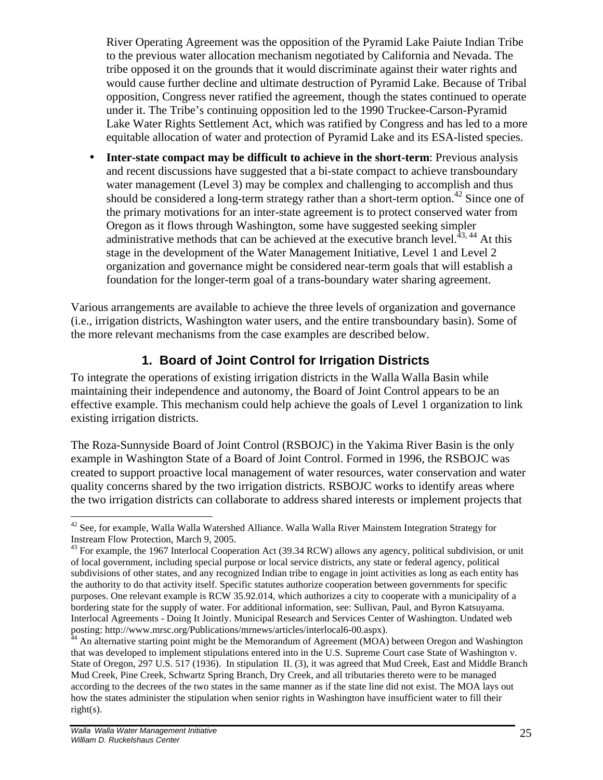River Operating Agreement was the opposition of the Pyramid Lake Paiute Indian Tribe to the previous water allocation mechanism negotiated by California and Nevada. The tribe opposed it on the grounds that it would discriminate against their water rights and would cause further decline and ultimate destruction of Pyramid Lake. Because of Tribal opposition, Congress never ratified the agreement, though the states continued to operate under it. The Tribe's continuing opposition led to the 1990 Truckee-Carson-Pyramid Lake Water Rights Settlement Act, which was ratified by Congress and has led to a more equitable allocation of water and protection of Pyramid Lake and its ESA-listed species.

• **Inter-state compact may be difficult to achieve in the short-term**: Previous analysis and recent discussions have suggested that a bi-state compact to achieve transboundary water management (Level 3) may be complex and challenging to accomplish and thus should be considered a long-term strategy rather than a short-term option.<sup>42</sup> Since one of the primary motivations for an inter-state agreement is to protect conserved water from Oregon as it flows through Washington, some have suggested seeking simpler administrative methods that can be achieved at the executive branch level. $^{43, 44}$  At this stage in the development of the Water Management Initiative, Level 1 and Level 2 organization and governance might be considered near-term goals that will establish a foundation for the longer-term goal of a trans-boundary water sharing agreement.

Various arrangements are available to achieve the three levels of organization and governance (i.e., irrigation districts, Washington water users, and the entire transboundary basin). Some of the more relevant mechanisms from the case examples are described below.

## **1. Board of Joint Control for Irrigation Districts**

To integrate the operations of existing irrigation districts in the Walla Walla Basin while maintaining their independence and autonomy, the Board of Joint Control appears to be an effective example. This mechanism could help achieve the goals of Level 1 organization to link existing irrigation districts.

The Roza-Sunnyside Board of Joint Control (RSBOJC) in the Yakima River Basin is the only example in Washington State of a Board of Joint Control. Formed in 1996, the RSBOJC was created to support proactive local management of water resources, water conservation and water quality concerns shared by the two irrigation districts. RSBOJC works to identify areas where the two irrigation districts can collaborate to address shared interests or implement projects that

 $\overline{a}$ 

 $42$  See, for example, Walla Walla Watershed Alliance. Walla Walla River Mainstem Integration Strategy for Instream Flow Protection, March 9, 2005.

 $43$  For example, the 1967 Interlocal Cooperation Act (39.34 RCW) allows any agency, political subdivision, or unit of local government, including special purpose or local service districts, any state or federal agency, political subdivisions of other states, and any recognized Indian tribe to engage in joint activities as long as each entity has the authority to do that activity itself. Specific statutes authorize cooperation between governments for specific purposes. One relevant example is RCW 35.92.014, which authorizes a city to cooperate with a municipality of a bordering state for the supply of water. For additional information, see: Sullivan, Paul, and Byron Katsuyama. Interlocal Agreements - Doing It Jointly. Municipal Research and Services Center of Washington. Undated web posting: http://www.mrsc.org/Publications/mrnews/articles/interlocal6-00.aspx).

 $44$  An alternative starting point might be the Memorandum of Agreement (MOA) between Oregon and Washington that was developed to implement stipulations entered into in the U.S. Supreme Court case State of Washington v. State of Oregon, 297 U.S. 517 (1936). In stipulation II. (3), it was agreed that Mud Creek, East and Middle Branch Mud Creek, Pine Creek, Schwartz Spring Branch, Dry Creek, and all tributaries thereto were to be managed according to the decrees of the two states in the same manner as if the state line did not exist. The MOA lays out how the states administer the stipulation when senior rights in Washington have insufficient water to fill their  $right(s)$ .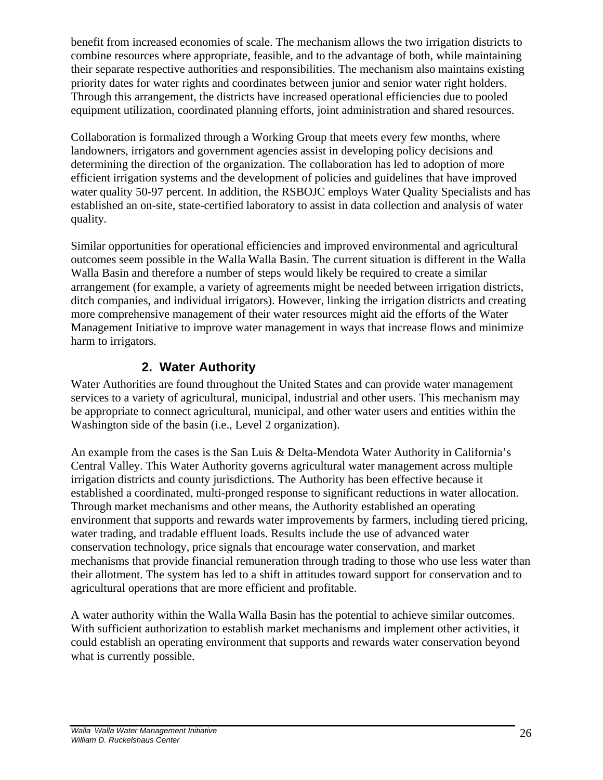benefit from increased economies of scale. The mechanism allows the two irrigation districts to combine resources where appropriate, feasible, and to the advantage of both, while maintaining their separate respective authorities and responsibilities. The mechanism also maintains existing priority dates for water rights and coordinates between junior and senior water right holders. Through this arrangement, the districts have increased operational efficiencies due to pooled equipment utilization, coordinated planning efforts, joint administration and shared resources.

Collaboration is formalized through a Working Group that meets every few months, where landowners, irrigators and government agencies assist in developing policy decisions and determining the direction of the organization. The collaboration has led to adoption of more efficient irrigation systems and the development of policies and guidelines that have improved water quality 50-97 percent. In addition, the RSBOJC employs Water Quality Specialists and has established an on-site, state-certified laboratory to assist in data collection and analysis of water quality.

Similar opportunities for operational efficiencies and improved environmental and agricultural outcomes seem possible in the Walla Walla Basin. The current situation is different in the Walla Walla Basin and therefore a number of steps would likely be required to create a similar arrangement (for example, a variety of agreements might be needed between irrigation districts, ditch companies, and individual irrigators). However, linking the irrigation districts and creating more comprehensive management of their water resources might aid the efforts of the Water Management Initiative to improve water management in ways that increase flows and minimize harm to irrigators.

## **2. Water Authority**

Water Authorities are found throughout the United States and can provide water management services to a variety of agricultural, municipal, industrial and other users. This mechanism may be appropriate to connect agricultural, municipal, and other water users and entities within the Washington side of the basin (i.e., Level 2 organization).

An example from the cases is the San Luis & Delta-Mendota Water Authority in California's Central Valley. This Water Authority governs agricultural water management across multiple irrigation districts and county jurisdictions. The Authority has been effective because it established a coordinated, multi-pronged response to significant reductions in water allocation. Through market mechanisms and other means, the Authority established an operating environment that supports and rewards water improvements by farmers, including tiered pricing, water trading, and tradable effluent loads. Results include the use of advanced water conservation technology, price signals that encourage water conservation, and market mechanisms that provide financial remuneration through trading to those who use less water than their allotment. The system has led to a shift in attitudes toward support for conservation and to agricultural operations that are more efficient and profitable.

A water authority within the Walla Walla Basin has the potential to achieve similar outcomes. With sufficient authorization to establish market mechanisms and implement other activities, it could establish an operating environment that supports and rewards water conservation beyond what is currently possible.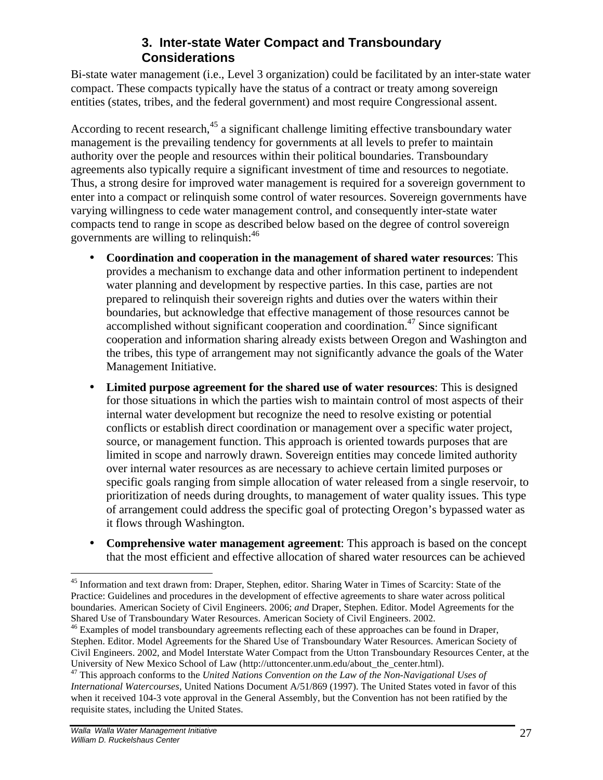## **3. Inter-state Water Compact and Transboundary Considerations**

Bi-state water management (i.e., Level 3 organization) could be facilitated by an inter-state water compact. These compacts typically have the status of a contract or treaty among sovereign entities (states, tribes, and the federal government) and most require Congressional assent.

According to recent research,<sup>45</sup> a significant challenge limiting effective transboundary water management is the prevailing tendency for governments at all levels to prefer to maintain authority over the people and resources within their political boundaries. Transboundary agreements also typically require a significant investment of time and resources to negotiate. Thus, a strong desire for improved water management is required for a sovereign government to enter into a compact or relinquish some control of water resources. Sovereign governments have varying willingness to cede water management control, and consequently inter-state water compacts tend to range in scope as described below based on the degree of control sovereign governments are willing to relinquish: 46

- **Coordination and cooperation in the management of shared water resources**: This provides a mechanism to exchange data and other information pertinent to independent water planning and development by respective parties. In this case, parties are not prepared to relinquish their sovereign rights and duties over the waters within their boundaries, but acknowledge that effective management of those resources cannot be accomplished without significant cooperation and coordination. <sup>47</sup> Since significant cooperation and information sharing already exists between Oregon and Washington and the tribes, this type of arrangement may not significantly advance the goals of the Water Management Initiative.
- **Limited purpose agreement for the shared use of water resources**: This is designed for those situations in which the parties wish to maintain control of most aspects of their internal water development but recognize the need to resolve existing or potential conflicts or establish direct coordination or management over a specific water project, source, or management function. This approach is oriented towards purposes that are limited in scope and narrowly drawn. Sovereign entities may concede limited authority over internal water resources as are necessary to achieve certain limited purposes or specific goals ranging from simple allocation of water released from a single reservoir, to prioritization of needs during droughts, to management of water quality issues. This type of arrangement could address the specific goal of protecting Oregon's bypassed water as it flows through Washington.
- **Comprehensive water management agreement**: This approach is based on the concept that the most efficient and effective allocation of shared water resources can be achieved

<sup>1</sup> <sup>45</sup> Information and text drawn from: Draper, Stephen, editor. Sharing Water in Times of Scarcity: State of the Practice: Guidelines and procedures in the development of effective agreements to share water across political boundaries. American Society of Civil Engineers. 2006; *and* Draper, Stephen. Editor. Model Agreements for the Shared Use of Transboundary Water Resources. American Society of Civil Engineers. 2002.

 $46$  Examples of model transboundary agreements reflecting each of these approaches can be found in Draper, Stephen. Editor. Model Agreements for the Shared Use of Transboundary Water Resources. American Society of Civil Engineers. 2002, and Model Interstate Water Compact from the Utton Transboundary Resources Center, at the University of New Mexico School of Law (http://uttoncenter.unm.edu/about\_the\_center.html).

<sup>&</sup>lt;sup>47</sup> This approach conforms to the *United Nations Convention on the Law of the Non-Navigational Uses of International Watercourses*, United Nations Document A/51/869 (1997). The United States voted in favor of this when it received 104-3 vote approval in the General Assembly, but the Convention has not been ratified by the requisite states, including the United States.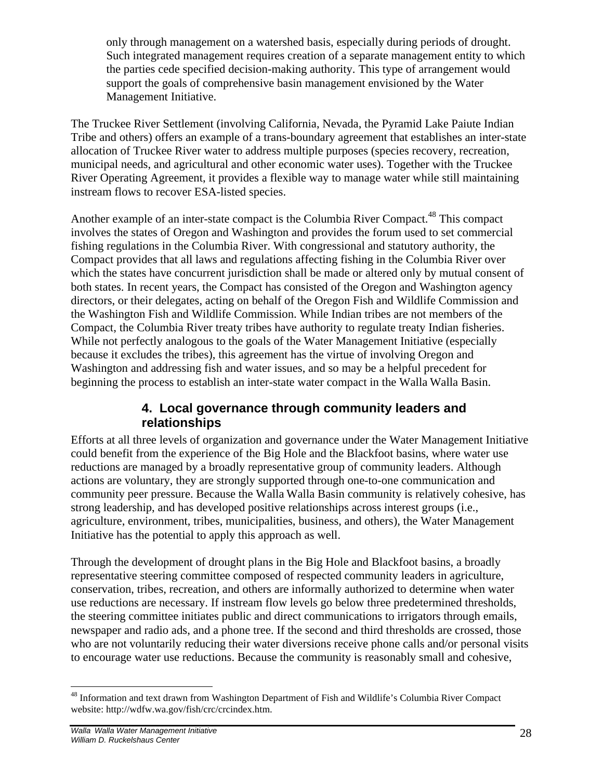only through management on a watershed basis, especially during periods of drought. Such integrated management requires creation of a separate management entity to which the parties cede specified decision-making authority. This type of arrangement would support the goals of comprehensive basin management envisioned by the Water Management Initiative.

The Truckee River Settlement (involving California, Nevada, the Pyramid Lake Paiute Indian Tribe and others) offers an example of a trans-boundary agreement that establishes an inter-state allocation of Truckee River water to address multiple purposes (species recovery, recreation, municipal needs, and agricultural and other economic water uses). Together with the Truckee River Operating Agreement, it provides a flexible way to manage water while still maintaining instream flows to recover ESA-listed species.

Another example of an inter-state compact is the Columbia River Compact.<sup>48</sup> This compact involves the states of Oregon and Washington and provides the forum used to set commercial fishing regulations in the Columbia River. With congressional and statutory authority, the Compact provides that all laws and regulations affecting fishing in the Columbia River over which the states have concurrent jurisdiction shall be made or altered only by mutual consent of both states. In recent years, the Compact has consisted of the Oregon and Washington agency directors, or their delegates, acting on behalf of the Oregon Fish and Wildlife Commission and the Washington Fish and Wildlife Commission. While Indian tribes are not members of the Compact, the Columbia River treaty tribes have authority to regulate treaty Indian fisheries. While not perfectly analogous to the goals of the Water Management Initiative (especially because it excludes the tribes), this agreement has the virtue of involving Oregon and Washington and addressing fish and water issues, and so may be a helpful precedent for beginning the process to establish an inter-state water compact in the Walla Walla Basin.

## **4. Local governance through community leaders and relationships**

Efforts at all three levels of organization and governance under the Water Management Initiative could benefit from the experience of the Big Hole and the Blackfoot basins, where water use reductions are managed by a broadly representative group of community leaders. Although actions are voluntary, they are strongly supported through one-to-one communication and community peer pressure. Because the Walla Walla Basin community is relatively cohesive, has strong leadership, and has developed positive relationships across interest groups (i.e., agriculture, environment, tribes, municipalities, business, and others), the Water Management Initiative has the potential to apply this approach as well.

Through the development of drought plans in the Big Hole and Blackfoot basins, a broadly representative steering committee composed of respected community leaders in agriculture, conservation, tribes, recreation, and others are informally authorized to determine when water use reductions are necessary. If instream flow levels go below three predetermined thresholds, the steering committee initiates public and direct communications to irrigators through emails, newspaper and radio ads, and a phone tree. If the second and third thresholds are crossed, those who are not voluntarily reducing their water diversions receive phone calls and/or personal visits to encourage water use reductions. Because the community is reasonably small and cohesive,

 $\overline{a}$ <sup>48</sup> Information and text drawn from Washington Department of Fish and Wildlife's Columbia River Compact website: http://wdfw.wa.gov/fish/crc/crcindex.htm.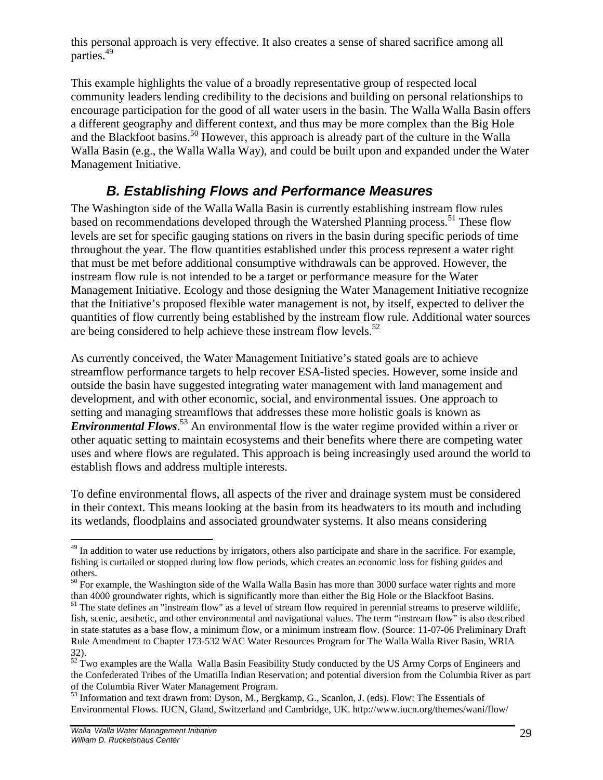this personal approach is very effective. It also creates a sense of shared sacrifice among all parties.<sup>49</sup>

This example highlights the value of a broadly representative group of respected local community leaders lending credibility to the decisions and building on personal relationships to encourage participation for the good of all water users in the basin. The Walla Walla Basin offers a different geography and different context, and thus may be more complex than the Big Hole and the Blackfoot basins.<sup>50</sup> However, this approach is already part of the culture in the Walla Walla Basin (e.g., the Walla Walla Way), and could be built upon and expanded under the Water Management Initiative.

## *B. Establishing Flows and Performance Measures*

The Washington side of the Walla Walla Basin is currently establishing instream flow rules based on recommendations developed through the Watershed Planning process.<sup>51</sup> These flow levels are set for specific gauging stations on rivers in the basin during specific periods of time throughout the year. The flow quantities established under this process represent a water right that must be met before additional consumptive withdrawals can be approved. However, the instream flow rule is not intended to be a target or performance measure for the Water Management Initiative. Ecology and those designing the Water Management Initiative recognize that the Initiative's proposed flexible water management is not, by itself, expected to deliver the quantities of flow currently being established by the instream flow rule. Additional water sources are being considered to help achieve these instream flow levels.<sup>52</sup>

As currently conceived, the Water Management Initiative's stated goals are to achieve streamflow performance targets to help recover ESA-listed species. However, some inside and outside the basin have suggested integrating water management with land management and development, and with other economic, social, and environmental issues. One approach to setting and managing streamflows that addresses these more holistic goals is known as *Environmental Flows*. <sup>53</sup> An environmental flow is the water regime provided within a river or other aquatic setting to maintain ecosystems and their benefits where there are competing water uses and where flows are regulated. This approach is being increasingly used around the world to establish flows and address multiple interests.

To define environmental flows, all aspects of the river and drainage system must be considered in their context. This means looking at the basin from its headwaters to its mouth and including its wetlands, floodplains and associated groundwater systems. It also means considering

 $\overline{a}$  $^{49}$  In addition to water use reductions by irrigators, others also participate and share in the sacrifice. For example, fishing is curtailed or stopped during low flow periods, which creates an economic loss for fishing guides and others.

<sup>&</sup>lt;sup>50</sup> For example, the Washington side of the Walla Walla Basin has more than 3000 surface water rights and more than 4000 groundwater rights, which is significantly more than either the Big Hole or the Blackfoot Basins.

 $<sup>51</sup>$  The state defines an "instream flow" as a level of stream flow required in perennial streams to preserve wildlife,</sup> fish, scenic, aesthetic, and other environmental and navigational values. The term "instream flow" is also described in state statutes as a base flow, a minimum flow, or a minimum instream flow. (Source: 11-07-06 Preliminary Draft Rule Amendment to Chapter 173-532 WAC Water Resources Program for The Walla Walla River Basin, WRIA 32).

 $52<sup>52</sup>$  Two examples are the Walla Walla Basin Feasibility Study conducted by the US Army Corps of Engineers and the Confederated Tribes of the Umatilla Indian Reservation; and potential diversion from the Columbia River as part of the Columbia River Water Management Program.

<sup>&</sup>lt;sup>53</sup> Information and text drawn from: Dyson, M., Bergkamp, G., Scanlon, J. (eds). Flow: The Essentials of Environmental Flows. IUCN, Gland, Switzerland and Cambridge, UK. http://www.iucn.org/themes/wani/flow/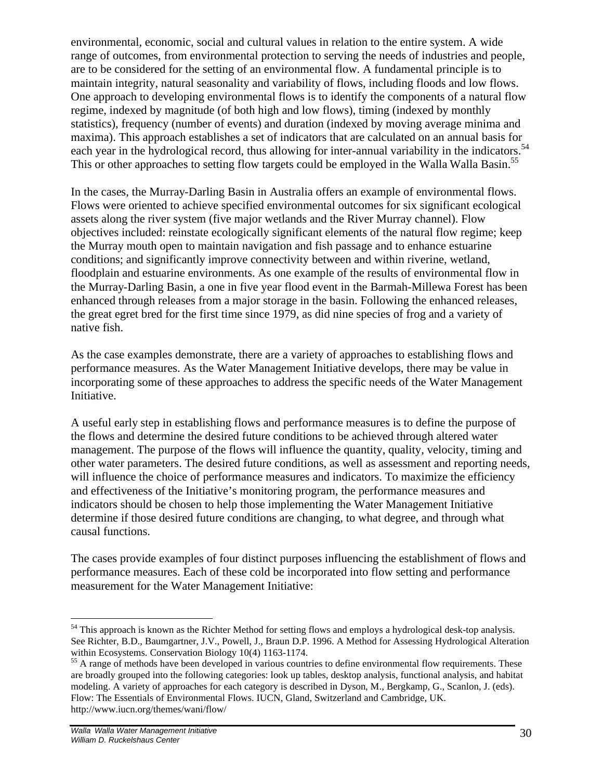environmental, economic, social and cultural values in relation to the entire system. A wide range of outcomes, from environmental protection to serving the needs of industries and people, are to be considered for the setting of an environmental flow. A fundamental principle is to maintain integrity, natural seasonality and variability of flows, including floods and low flows. One approach to developing environmental flows is to identify the components of a natural flow regime, indexed by magnitude (of both high and low flows), timing (indexed by monthly statistics), frequency (number of events) and duration (indexed by moving average minima and maxima). This approach establishes a set of indicators that are calculated on an annual basis for each year in the hydrological record, thus allowing for inter-annual variability in the indicators.<sup>54</sup> This or other approaches to setting flow targets could be employed in the Walla Walla Basin.<sup>55</sup>

In the cases, the Murray-Darling Basin in Australia offers an example of environmental flows. Flows were oriented to achieve specified environmental outcomes for six significant ecological assets along the river system (five major wetlands and the River Murray channel). Flow objectives included: reinstate ecologically significant elements of the natural flow regime; keep the Murray mouth open to maintain navigation and fish passage and to enhance estuarine conditions; and significantly improve connectivity between and within riverine, wetland, floodplain and estuarine environments. As one example of the results of environmental flow in the Murray-Darling Basin, a one in five year flood event in the Barmah-Millewa Forest has been enhanced through releases from a major storage in the basin. Following the enhanced releases, the great egret bred for the first time since 1979, as did nine species of frog and a variety of native fish.

As the case examples demonstrate, there are a variety of approaches to establishing flows and performance measures. As the Water Management Initiative develops, there may be value in incorporating some of these approaches to address the specific needs of the Water Management Initiative.

A useful early step in establishing flows and performance measures is to define the purpose of the flows and determine the desired future conditions to be achieved through altered water management. The purpose of the flows will influence the quantity, quality, velocity, timing and other water parameters. The desired future conditions, as well as assessment and reporting needs, will influence the choice of performance measures and indicators. To maximize the efficiency and effectiveness of the Initiative's monitoring program, the performance measures and indicators should be chosen to help those implementing the Water Management Initiative determine if those desired future conditions are changing, to what degree, and through what causal functions.

The cases provide examples of four distinct purposes influencing the establishment of flows and performance measures. Each of these cold be incorporated into flow setting and performance measurement for the Water Management Initiative:

1

<sup>&</sup>lt;sup>54</sup> This approach is known as the Richter Method for setting flows and employs a hydrological desk-top analysis. See Richter, B.D., Baumgartner, J.V., Powell, J., Braun D.P. 1996. A Method for Assessing Hydrological Alteration within Ecosystems. Conservation Biology 10(4) 1163-1174.

<sup>&</sup>lt;sup>55</sup> A range of methods have been developed in various countries to define environmental flow requirements. These are broadly grouped into the following categories: look up tables, desktop analysis, functional analysis, and habitat modeling. A variety of approaches for each category is described in Dyson, M., Bergkamp, G., Scanlon, J. (eds). Flow: The Essentials of Environmental Flows. IUCN, Gland, Switzerland and Cambridge, UK. http://www.iucn.org/themes/wani/flow/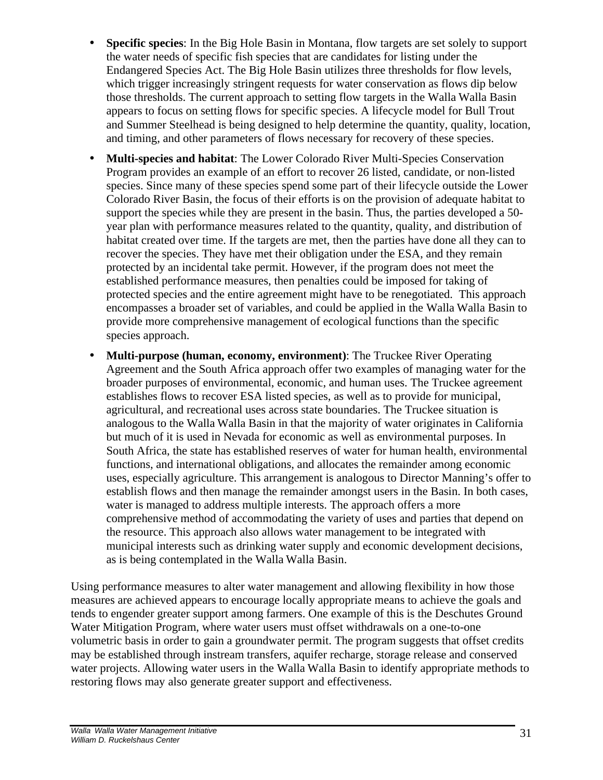- **Specific species**: In the Big Hole Basin in Montana, flow targets are set solely to support the water needs of specific fish species that are candidates for listing under the Endangered Species Act. The Big Hole Basin utilizes three thresholds for flow levels, which trigger increasingly stringent requests for water conservation as flows dip below those thresholds. The current approach to setting flow targets in the Walla Walla Basin appears to focus on setting flows for specific species. A lifecycle model for Bull Trout and Summer Steelhead is being designed to help determine the quantity, quality, location, and timing, and other parameters of flows necessary for recovery of these species.
- **Multi-species and habitat**: The Lower Colorado River Multi-Species Conservation Program provides an example of an effort to recover 26 listed, candidate, or non-listed species. Since many of these species spend some part of their lifecycle outside the Lower Colorado River Basin, the focus of their efforts is on the provision of adequate habitat to support the species while they are present in the basin. Thus, the parties developed a 50 year plan with performance measures related to the quantity, quality, and distribution of habitat created over time. If the targets are met, then the parties have done all they can to recover the species. They have met their obligation under the ESA, and they remain protected by an incidental take permit. However, if the program does not meet the established performance measures, then penalties could be imposed for taking of protected species and the entire agreement might have to be renegotiated. This approach encompasses a broader set of variables, and could be applied in the Walla Walla Basin to provide more comprehensive management of ecological functions than the specific species approach.
- **Multi-purpose (human, economy, environment)**: The Truckee River Operating Agreement and the South Africa approach offer two examples of managing water for the broader purposes of environmental, economic, and human uses. The Truckee agreement establishes flows to recover ESA listed species, as well as to provide for municipal, agricultural, and recreational uses across state boundaries. The Truckee situation is analogous to the Walla Walla Basin in that the majority of water originates in California but much of it is used in Nevada for economic as well as environmental purposes. In South Africa, the state has established reserves of water for human health, environmental functions, and international obligations, and allocates the remainder among economic uses, especially agriculture. This arrangement is analogous to Director Manning's offer to establish flows and then manage the remainder amongst users in the Basin. In both cases, water is managed to address multiple interests. The approach offers a more comprehensive method of accommodating the variety of uses and parties that depend on the resource. This approach also allows water management to be integrated with municipal interests such as drinking water supply and economic development decisions, as is being contemplated in the Walla Walla Basin.

Using performance measures to alter water management and allowing flexibility in how those measures are achieved appears to encourage locally appropriate means to achieve the goals and tends to engender greater support among farmers. One example of this is the Deschutes Ground Water Mitigation Program, where water users must offset withdrawals on a one-to-one volumetric basis in order to gain a groundwater permit. The program suggests that offset credits may be established through instream transfers, aquifer recharge, storage release and conserved water projects. Allowing water users in the Walla Walla Basin to identify appropriate methods to restoring flows may also generate greater support and effectiveness.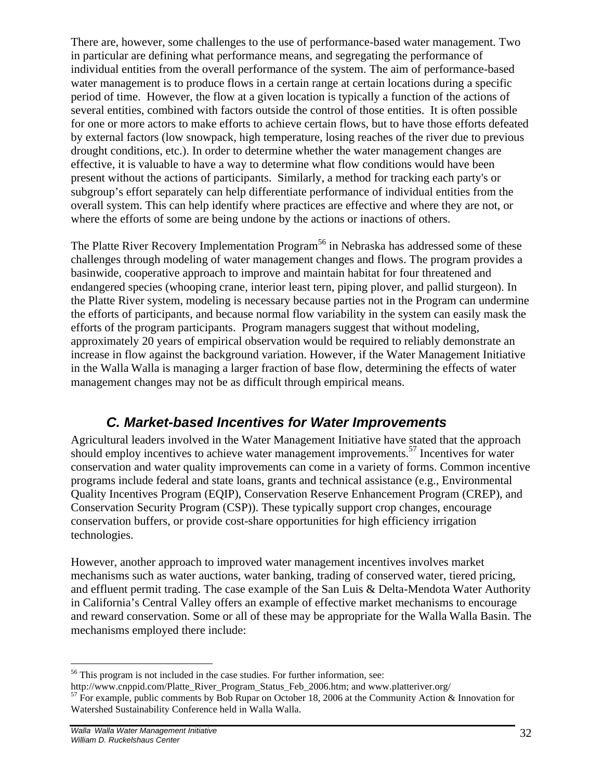There are, however, some challenges to the use of performance-based water management. Two in particular are defining what performance means, and segregating the performance of individual entities from the overall performance of the system. The aim of performance-based water management is to produce flows in a certain range at certain locations during a specific period of time. However, the flow at a given location is typically a function of the actions of several entities, combined with factors outside the control of those entities. It is often possible for one or more actors to make efforts to achieve certain flows, but to have those efforts defeated by external factors (low snowpack, high temperature, losing reaches of the river due to previous drought conditions, etc.). In order to determine whether the water management changes are effective, it is valuable to have a way to determine what flow conditions would have been present without the actions of participants. Similarly, a method for tracking each party's or subgroup's effort separately can help differentiate performance of individual entities from the overall system. This can help identify where practices are effective and where they are not, or where the efforts of some are being undone by the actions or inactions of others.

The Platte River Recovery Implementation Program<sup>56</sup> in Nebraska has addressed some of these challenges through modeling of water management changes and flows. The program provides a basinwide, cooperative approach to improve and maintain habitat for four threatened and endangered species (whooping crane, interior least tern, piping plover, and pallid sturgeon). In the Platte River system, modeling is necessary because parties not in the Program can undermine the efforts of participants, and because normal flow variability in the system can easily mask the efforts of the program participants. Program managers suggest that without modeling, approximately 20 years of empirical observation would be required to reliably demonstrate an increase in flow against the background variation. However, if the Water Management Initiative in the Walla Walla is managing a larger fraction of base flow, determining the effects of water management changes may not be as difficult through empirical means.

# *C. Market-based Incentives for Water Improvements*

Agricultural leaders involved in the Water Management Initiative have stated that the approach should employ incentives to achieve water management improvements.<sup>57</sup> Incentives for water conservation and water quality improvements can come in a variety of forms. Common incentive programs include federal and state loans, grants and technical assistance (e.g., Environmental Quality Incentives Program (EQIP), Conservation Reserve Enhancement Program (CREP), and Conservation Security Program (CSP)). These typically support crop changes, encourage conservation buffers, or provide cost-share opportunities for high efficiency irrigation technologies.

However, another approach to improved water management incentives involves market mechanisms such as water auctions, water banking, trading of conserved water, tiered pricing, and effluent permit trading. The case example of the San Luis & Delta-Mendota Water Authority in California's Central Valley offers an example of effective market mechanisms to encourage and reward conservation. Some or all of these may be appropriate for the Walla Walla Basin. The mechanisms employed there include:

1

 $56$  This program is not included in the case studies. For further information, see:

http://www.cnppid.com/Platte\_River\_Program\_Status\_Feb\_2006.htm; and www.platteriver.org/

 $\frac{1}{57}$  For example, public comments by Bob Rupar on October 18, 2006 at the Community Action & Innovation for Watershed Sustainability Conference held in Walla Walla.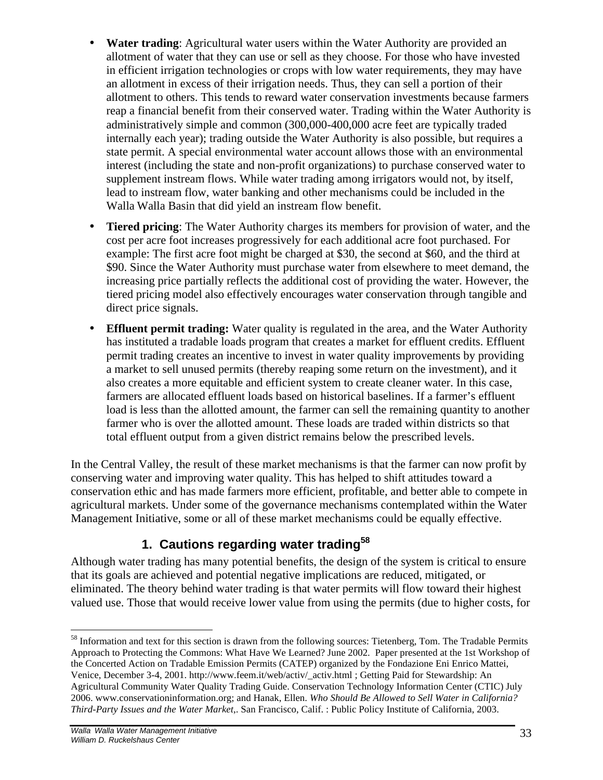- **Water trading**: Agricultural water users within the Water Authority are provided an allotment of water that they can use or sell as they choose. For those who have invested in efficient irrigation technologies or crops with low water requirements, they may have an allotment in excess of their irrigation needs. Thus, they can sell a portion of their allotment to others. This tends to reward water conservation investments because farmers reap a financial benefit from their conserved water. Trading within the Water Authority is administratively simple and common (300,000-400,000 acre feet are typically traded internally each year); trading outside the Water Authority is also possible, but requires a state permit. A special environmental water account allows those with an environmental interest (including the state and non-profit organizations) to purchase conserved water to supplement instream flows. While water trading among irrigators would not, by itself, lead to instream flow, water banking and other mechanisms could be included in the Walla Walla Basin that did yield an instream flow benefit.
- **Tiered pricing**: The Water Authority charges its members for provision of water, and the cost per acre foot increases progressively for each additional acre foot purchased. For example: The first acre foot might be charged at \$30, the second at \$60, and the third at \$90. Since the Water Authority must purchase water from elsewhere to meet demand, the increasing price partially reflects the additional cost of providing the water. However, the tiered pricing model also effectively encourages water conservation through tangible and direct price signals.
- **Effluent permit trading:** Water quality is regulated in the area, and the Water Authority has instituted a tradable loads program that creates a market for effluent credits. Effluent permit trading creates an incentive to invest in water quality improvements by providing a market to sell unused permits (thereby reaping some return on the investment), and it also creates a more equitable and efficient system to create cleaner water. In this case, farmers are allocated effluent loads based on historical baselines. If a farmer's effluent load is less than the allotted amount, the farmer can sell the remaining quantity to another farmer who is over the allotted amount. These loads are traded within districts so that total effluent output from a given district remains below the prescribed levels.

In the Central Valley, the result of these market mechanisms is that the farmer can now profit by conserving water and improving water quality. This has helped to shift attitudes toward a conservation ethic and has made farmers more efficient, profitable, and better able to compete in agricultural markets. Under some of the governance mechanisms contemplated within the Water Management Initiative, some or all of these market mechanisms could be equally effective.

## **1. Cautions regarding water trading<sup>58</sup>**

Although water trading has many potential benefits, the design of the system is critical to ensure that its goals are achieved and potential negative implications are reduced, mitigated, or eliminated. The theory behind water trading is that water permits will flow toward their highest valued use. Those that would receive lower value from using the permits (due to higher costs, for

<sup>&</sup>lt;u>.</u> <sup>58</sup> Information and text for this section is drawn from the following sources: Tietenberg, Tom. The Tradable Permits Approach to Protecting the Commons: What Have We Learned? June 2002. Paper presented at the 1st Workshop of the Concerted Action on Tradable Emission Permits (CATEP) organized by the Fondazione Eni Enrico Mattei, Venice, December 3-4, 2001. http://www.feem.it/web/activ/\_activ.html ; Getting Paid for Stewardship: An Agricultural Community Water Quality Trading Guide. Conservation Technology Information Center (CTIC) July 2006. www.conservationinformation.org; and Hanak, Ellen. *Who Should Be Allowed to Sell Water in California? Third-Party Issues and the Water Market*,. San Francisco, Calif. : Public Policy Institute of California, 2003.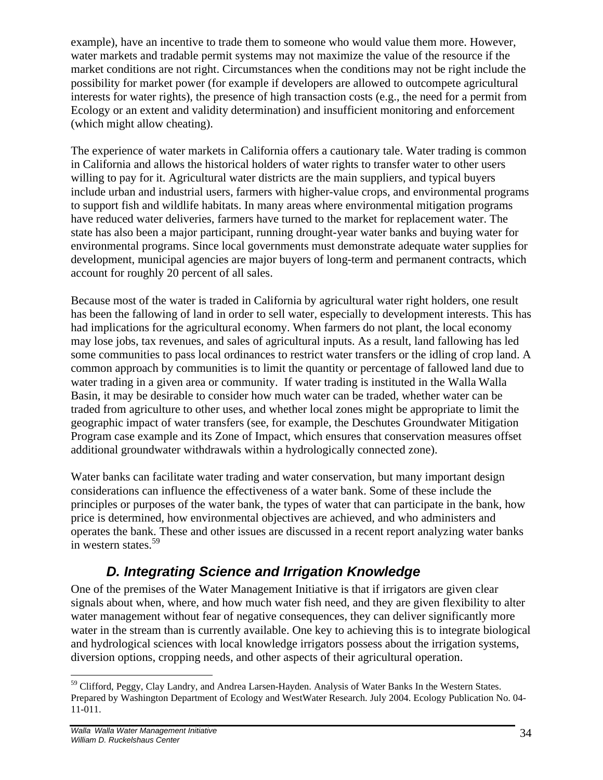example), have an incentive to trade them to someone who would value them more. However, water markets and tradable permit systems may not maximize the value of the resource if the market conditions are not right. Circumstances when the conditions may not be right include the possibility for market power (for example if developers are allowed to outcompete agricultural interests for water rights), the presence of high transaction costs (e.g., the need for a permit from Ecology or an extent and validity determination) and insufficient monitoring and enforcement (which might allow cheating).

The experience of water markets in California offers a cautionary tale. Water trading is common in California and allows the historical holders of water rights to transfer water to other users willing to pay for it. Agricultural water districts are the main suppliers, and typical buyers include urban and industrial users, farmers with higher-value crops, and environmental programs to support fish and wildlife habitats. In many areas where environmental mitigation programs have reduced water deliveries, farmers have turned to the market for replacement water. The state has also been a major participant, running drought-year water banks and buying water for environmental programs. Since local governments must demonstrate adequate water supplies for development, municipal agencies are major buyers of long-term and permanent contracts, which account for roughly 20 percent of all sales.

Because most of the water is traded in California by agricultural water right holders, one result has been the fallowing of land in order to sell water, especially to development interests. This has had implications for the agricultural economy. When farmers do not plant, the local economy may lose jobs, tax revenues, and sales of agricultural inputs. As a result, land fallowing has led some communities to pass local ordinances to restrict water transfers or the idling of crop land. A common approach by communities is to limit the quantity or percentage of fallowed land due to water trading in a given area or community. If water trading is instituted in the Walla Walla Basin, it may be desirable to consider how much water can be traded, whether water can be traded from agriculture to other uses, and whether local zones might be appropriate to limit the geographic impact of water transfers (see, for example, the Deschutes Groundwater Mitigation Program case example and its Zone of Impact, which ensures that conservation measures offset additional groundwater withdrawals within a hydrologically connected zone).

Water banks can facilitate water trading and water conservation, but many important design considerations can influence the effectiveness of a water bank. Some of these include the principles or purposes of the water bank, the types of water that can participate in the bank, how price is determined, how environmental objectives are achieved, and who administers and operates the bank. These and other issues are discussed in a recent report analyzing water banks in western states.<sup>59</sup>

# *D. Integrating Science and Irrigation Knowledge*

One of the premises of the Water Management Initiative is that if irrigators are given clear signals about when, where, and how much water fish need, and they are given flexibility to alter water management without fear of negative consequences, they can deliver significantly more water in the stream than is currently available. One key to achieving this is to integrate biological and hydrological sciences with local knowledge irrigators possess about the irrigation systems, diversion options, cropping needs, and other aspects of their agricultural operation.

<sup>&</sup>lt;u>.</u> <sup>59</sup> Clifford, Peggy, Clay Landry, and Andrea Larsen-Hayden. Analysis of Water Banks In the Western States. Prepared by Washington Department of Ecology and WestWater Research. July 2004. Ecology Publication No. 04- 11-011.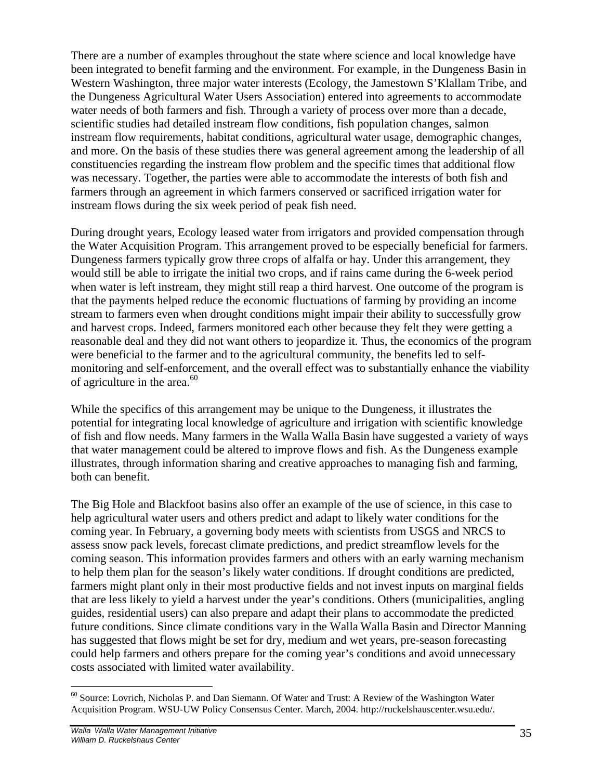There are a number of examples throughout the state where science and local knowledge have been integrated to benefit farming and the environment. For example, in the Dungeness Basin in Western Washington, three major water interests (Ecology, the Jamestown S'Klallam Tribe, and the Dungeness Agricultural Water Users Association) entered into agreements to accommodate water needs of both farmers and fish. Through a variety of process over more than a decade, scientific studies had detailed instream flow conditions, fish population changes, salmon instream flow requirements, habitat conditions, agricultural water usage, demographic changes, and more. On the basis of these studies there was general agreement among the leadership of all constituencies regarding the instream flow problem and the specific times that additional flow was necessary. Together, the parties were able to accommodate the interests of both fish and farmers through an agreement in which farmers conserved or sacrificed irrigation water for instream flows during the six week period of peak fish need.

During drought years, Ecology leased water from irrigators and provided compensation through the Water Acquisition Program. This arrangement proved to be especially beneficial for farmers. Dungeness farmers typically grow three crops of alfalfa or hay. Under this arrangement, they would still be able to irrigate the initial two crops, and if rains came during the 6-week period when water is left instream, they might still reap a third harvest. One outcome of the program is that the payments helped reduce the economic fluctuations of farming by providing an income stream to farmers even when drought conditions might impair their ability to successfully grow and harvest crops. Indeed, farmers monitored each other because they felt they were getting a reasonable deal and they did not want others to jeopardize it. Thus, the economics of the program were beneficial to the farmer and to the agricultural community, the benefits led to selfmonitoring and self-enforcement, and the overall effect was to substantially enhance the viability of agriculture in the area. $60$ 

While the specifics of this arrangement may be unique to the Dungeness, it illustrates the potential for integrating local knowledge of agriculture and irrigation with scientific knowledge of fish and flow needs. Many farmers in the Walla Walla Basin have suggested a variety of ways that water management could be altered to improve flows and fish. As the Dungeness example illustrates, through information sharing and creative approaches to managing fish and farming, both can benefit.

The Big Hole and Blackfoot basins also offer an example of the use of science, in this case to help agricultural water users and others predict and adapt to likely water conditions for the coming year. In February, a governing body meets with scientists from USGS and NRCS to assess snow pack levels, forecast climate predictions, and predict streamflow levels for the coming season. This information provides farmers and others with an early warning mechanism to help them plan for the season's likely water conditions. If drought conditions are predicted, farmers might plant only in their most productive fields and not invest inputs on marginal fields that are less likely to yield a harvest under the year's conditions. Others (municipalities, angling guides, residential users) can also prepare and adapt their plans to accommodate the predicted future conditions. Since climate conditions vary in the Walla Walla Basin and Director Manning has suggested that flows might be set for dry, medium and wet years, pre-season forecasting could help farmers and others prepare for the coming year's conditions and avoid unnecessary costs associated with limited water availability.

 $\overline{a}$ <sup>60</sup> Source: Lovrich, Nicholas P. and Dan Siemann. Of Water and Trust: A Review of the Washington Water Acquisition Program. WSU-UW Policy Consensus Center. March, 2004. http://ruckelshauscenter.wsu.edu/.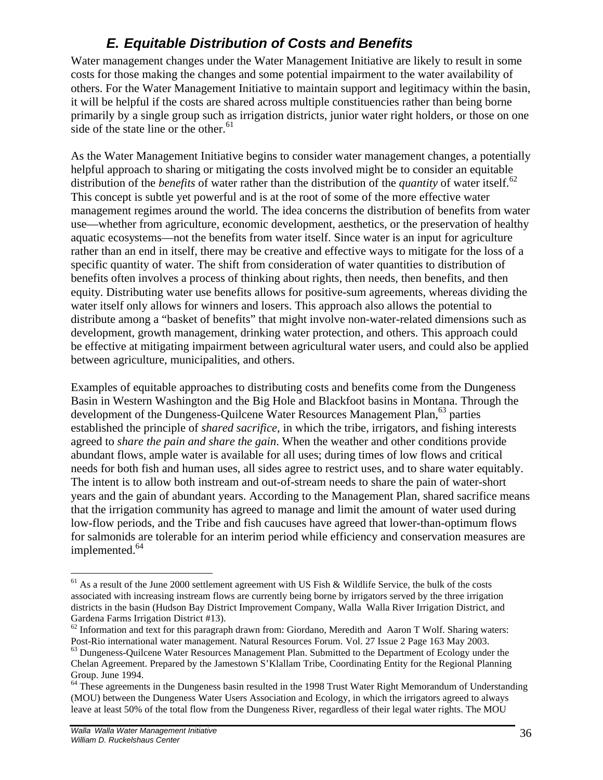# *E. Equitable Distribution of Costs and Benefits*

Water management changes under the Water Management Initiative are likely to result in some costs for those making the changes and some potential impairment to the water availability of others. For the Water Management Initiative to maintain support and legitimacy within the basin, it will be helpful if the costs are shared across multiple constituencies rather than being borne primarily by a single group such as irrigation districts, junior water right holders, or those on one side of the state line or the other.<sup>61</sup>

As the Water Management Initiative begins to consider water management changes, a potentially helpful approach to sharing or mitigating the costs involved might be to consider an equitable distribution of the *benefits* of water rather than the distribution of the *quantity* of water itself.<sup>62</sup> This concept is subtle yet powerful and is at the root of some of the more effective water management regimes around the world. The idea concerns the distribution of benefits from water use—whether from agriculture, economic development, aesthetics, or the preservation of healthy aquatic ecosystems—not the benefits from water itself. Since water is an input for agriculture rather than an end in itself, there may be creative and effective ways to mitigate for the loss of a specific quantity of water. The shift from consideration of water quantities to distribution of benefits often involves a process of thinking about rights, then needs, then benefits, and then equity. Distributing water use benefits allows for positive-sum agreements, whereas dividing the water itself only allows for winners and losers. This approach also allows the potential to distribute among a "basket of benefits" that might involve non-water-related dimensions such as development, growth management, drinking water protection, and others. This approach could be effective at mitigating impairment between agricultural water users, and could also be applied between agriculture, municipalities, and others.

Examples of equitable approaches to distributing costs and benefits come from the Dungeness Basin in Western Washington and the Big Hole and Blackfoot basins in Montana. Through the development of the Dungeness-Quilcene Water Resources Management Plan,<sup>63</sup> parties established the principle of *shared sacrifice*, in which the tribe, irrigators, and fishing interests agreed to *share the pain and share the gain*. When the weather and other conditions provide abundant flows, ample water is available for all uses; during times of low flows and critical needs for both fish and human uses, all sides agree to restrict uses, and to share water equitably. The intent is to allow both instream and out-of-stream needs to share the pain of water-short years and the gain of abundant years. According to the Management Plan, shared sacrifice means that the irrigation community has agreed to manage and limit the amount of water used during low-flow periods, and the Tribe and fish caucuses have agreed that lower-than-optimum flows for salmonids are tolerable for an interim period while efficiency and conservation measures are implemented. 64

 $\overline{a}$ 

 $<sup>61</sup>$  As a result of the June 2000 settlement agreement with US Fish & Wildlife Service, the bulk of the costs</sup> associated with increasing instream flows are currently being borne by irrigators served by the three irrigation districts in the basin (Hudson Bay District Improvement Company, Walla Walla River Irrigation District, and Gardena Farms Irrigation District #13).

 $62$  Information and text for this paragraph drawn from: Giordano, Meredith and Aaron T Wolf. Sharing waters: Post-Rio international water management. Natural Resources Forum. Vol. 27 Issue 2 Page 163 May 2003.

 $<sup>63</sup>$  Dungeness-Ouilcene Water Resources Management Plan. Submitted to the Department of Ecology under the</sup> Chelan Agreement. Prepared by the Jamestown S'Klallam Tribe, Coordinating Entity for the Regional Planning Group. June 1994.

<sup>&</sup>lt;sup>64</sup> These agreements in the Dungeness basin resulted in the 1998 Trust Water Right Memorandum of Understanding (MOU) between the Dungeness Water Users Association and Ecology, in which the irrigators agreed to always leave at least 50% of the total flow from the Dungeness River, regardless of their legal water rights. The MOU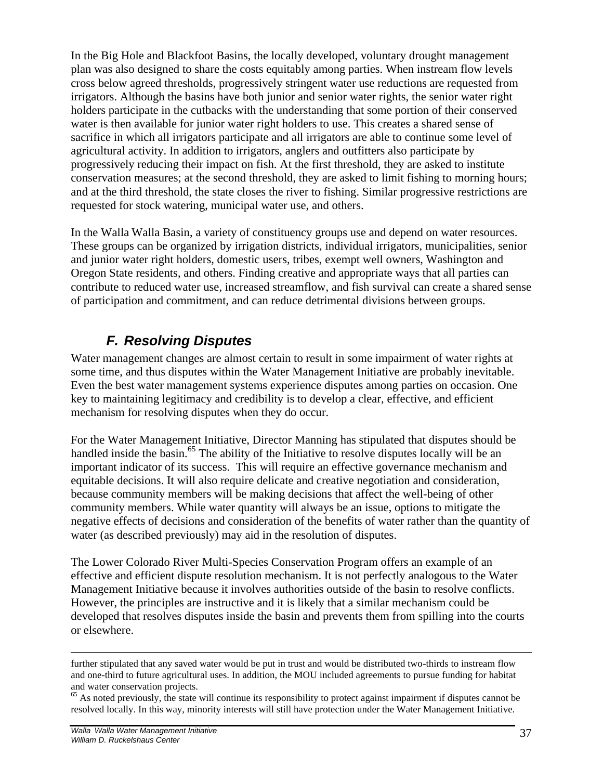In the Big Hole and Blackfoot Basins, the locally developed, voluntary drought management plan was also designed to share the costs equitably among parties. When instream flow levels cross below agreed thresholds, progressively stringent water use reductions are requested from irrigators. Although the basins have both junior and senior water rights, the senior water right holders participate in the cutbacks with the understanding that some portion of their conserved water is then available for junior water right holders to use. This creates a shared sense of sacrifice in which all irrigators participate and all irrigators are able to continue some level of agricultural activity. In addition to irrigators, anglers and outfitters also participate by progressively reducing their impact on fish. At the first threshold, they are asked to institute conservation measures; at the second threshold, they are asked to limit fishing to morning hours; and at the third threshold, the state closes the river to fishing. Similar progressive restrictions are requested for stock watering, municipal water use, and others.

In the Walla Walla Basin, a variety of constituency groups use and depend on water resources. These groups can be organized by irrigation districts, individual irrigators, municipalities, senior and junior water right holders, domestic users, tribes, exempt well owners, Washington and Oregon State residents, and others. Finding creative and appropriate ways that all parties can contribute to reduced water use, increased streamflow, and fish survival can create a shared sense of participation and commitment, and can reduce detrimental divisions between groups.

# *F. Resolving Disputes*

Water management changes are almost certain to result in some impairment of water rights at some time, and thus disputes within the Water Management Initiative are probably inevitable. Even the best water management systems experience disputes among parties on occasion. One key to maintaining legitimacy and credibility is to develop a clear, effective, and efficient mechanism for resolving disputes when they do occur.

For the Water Management Initiative, Director Manning has stipulated that disputes should be handled inside the basin.<sup>65</sup> The ability of the Initiative to resolve disputes locally will be an important indicator of its success. This will require an effective governance mechanism and equitable decisions. It will also require delicate and creative negotiation and consideration, because community members will be making decisions that affect the well-being of other community members. While water quantity will always be an issue, options to mitigate the negative effects of decisions and consideration of the benefits of water rather than the quantity of water (as described previously) may aid in the resolution of disputes.

The Lower Colorado River Multi-Species Conservation Program offers an example of an effective and efficient dispute resolution mechanism. It is not perfectly analogous to the Water Management Initiative because it involves authorities outside of the basin to resolve conflicts. However, the principles are instructive and it is likely that a similar mechanism could be developed that resolves disputes inside the basin and prevents them from spilling into the courts or elsewhere.

1

further stipulated that any saved water would be put in trust and would be distributed two-thirds to instream flow and one-third to future agricultural uses. In addition, the MOU included agreements to pursue funding for habitat and water conservation projects.

 $65$  As noted previously, the state will continue its responsibility to protect against impairment if disputes cannot be resolved locally. In this way, minority interests will still have protection under the Water Management Initiative.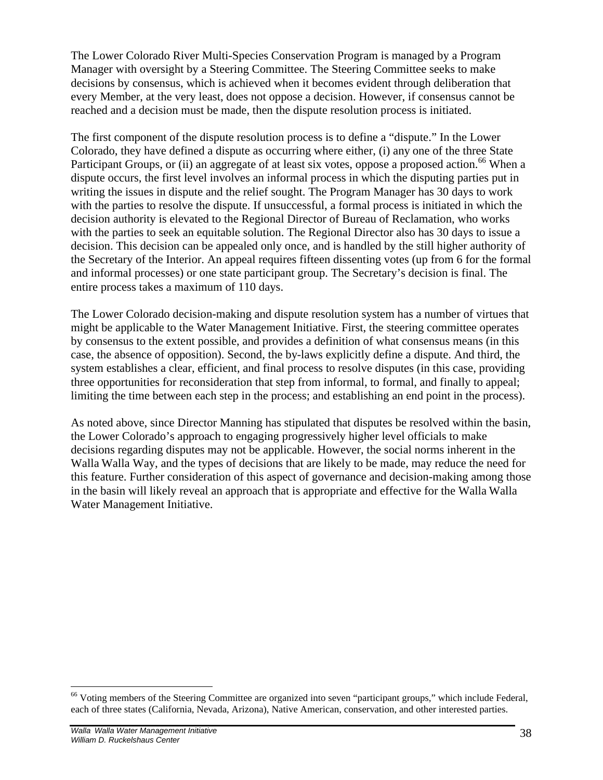The Lower Colorado River Multi-Species Conservation Program is managed by a Program Manager with oversight by a Steering Committee. The Steering Committee seeks to make decisions by consensus, which is achieved when it becomes evident through deliberation that every Member, at the very least, does not oppose a decision. However, if consensus cannot be reached and a decision must be made, then the dispute resolution process is initiated.

The first component of the dispute resolution process is to define a "dispute." In the Lower Colorado, they have defined a dispute as occurring where either, (i) any one of the three State Participant Groups, or (ii) an aggregate of at least six votes, oppose a proposed action.<sup>66</sup> When a dispute occurs, the first level involves an informal process in which the disputing parties put in writing the issues in dispute and the relief sought. The Program Manager has 30 days to work with the parties to resolve the dispute. If unsuccessful, a formal process is initiated in which the decision authority is elevated to the Regional Director of Bureau of Reclamation, who works with the parties to seek an equitable solution. The Regional Director also has 30 days to issue a decision. This decision can be appealed only once, and is handled by the still higher authority of the Secretary of the Interior. An appeal requires fifteen dissenting votes (up from 6 for the formal and informal processes) or one state participant group. The Secretary's decision is final. The entire process takes a maximum of 110 days.

The Lower Colorado decision-making and dispute resolution system has a number of virtues that might be applicable to the Water Management Initiative. First, the steering committee operates by consensus to the extent possible, and provides a definition of what consensus means (in this case, the absence of opposition). Second, the by-laws explicitly define a dispute. And third, the system establishes a clear, efficient, and final process to resolve disputes (in this case, providing three opportunities for reconsideration that step from informal, to formal, and finally to appeal; limiting the time between each step in the process; and establishing an end point in the process).

As noted above, since Director Manning has stipulated that disputes be resolved within the basin, the Lower Colorado's approach to engaging progressively higher level officials to make decisions regarding disputes may not be applicable. However, the social norms inherent in the Walla Walla Way, and the types of decisions that are likely to be made, may reduce the need for this feature. Further consideration of this aspect of governance and decision-making among those in the basin will likely reveal an approach that is appropriate and effective for the Walla Walla Water Management Initiative.

 $\overline{a}$ 

<sup>&</sup>lt;sup>66</sup> Voting members of the Steering Committee are organized into seven "participant groups," which include Federal, each of three states (California, Nevada, Arizona), Native American, conservation, and other interested parties.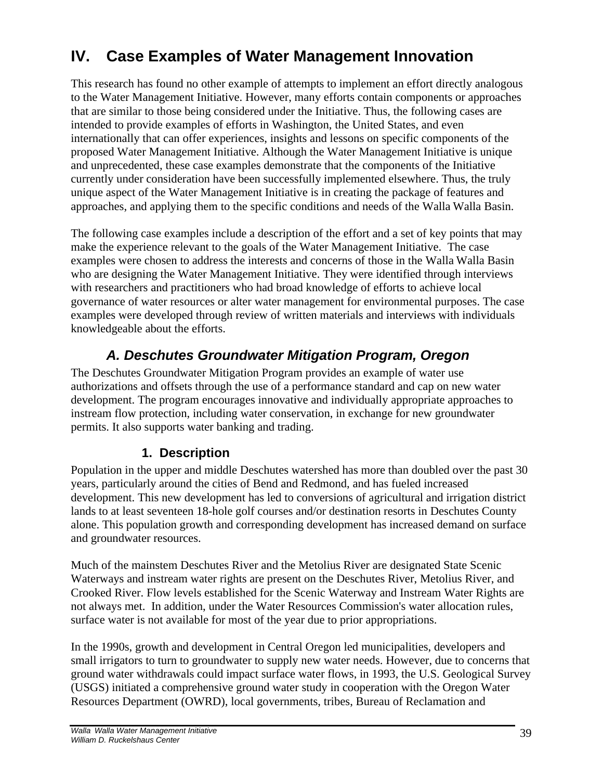# **IV. Case Examples of Water Management Innovation**

This research has found no other example of attempts to implement an effort directly analogous to the Water Management Initiative. However, many efforts contain components or approaches that are similar to those being considered under the Initiative. Thus, the following cases are intended to provide examples of efforts in Washington, the United States, and even internationally that can offer experiences, insights and lessons on specific components of the proposed Water Management Initiative. Although the Water Management Initiative is unique and unprecedented, these case examples demonstrate that the components of the Initiative currently under consideration have been successfully implemented elsewhere. Thus, the truly unique aspect of the Water Management Initiative is in creating the package of features and approaches, and applying them to the specific conditions and needs of the Walla Walla Basin.

The following case examples include a description of the effort and a set of key points that may make the experience relevant to the goals of the Water Management Initiative. The case examples were chosen to address the interests and concerns of those in the Walla Walla Basin who are designing the Water Management Initiative. They were identified through interviews with researchers and practitioners who had broad knowledge of efforts to achieve local governance of water resources or alter water management for environmental purposes. The case examples were developed through review of written materials and interviews with individuals knowledgeable about the efforts.

# *A. Deschutes Groundwater Mitigation Program, Oregon*

The Deschutes Groundwater Mitigation Program provides an example of water use authorizations and offsets through the use of a performance standard and cap on new water development. The program encourages innovative and individually appropriate approaches to instream flow protection, including water conservation, in exchange for new groundwater permits. It also supports water banking and trading.

#### **1. Description**

Population in the upper and middle Deschutes watershed has more than doubled over the past 30 years, particularly around the cities of Bend and Redmond, and has fueled increased development. This new development has led to conversions of agricultural and irrigation district lands to at least seventeen 18-hole golf courses and/or destination resorts in Deschutes County alone. This population growth and corresponding development has increased demand on surface and groundwater resources.

Much of the mainstem Deschutes River and the Metolius River are designated State Scenic Waterways and instream water rights are present on the Deschutes River, Metolius River, and Crooked River. Flow levels established for the Scenic Waterway and Instream Water Rights are not always met. In addition, under the Water Resources Commission's water allocation rules, surface water is not available for most of the year due to prior appropriations.

In the 1990s, growth and development in Central Oregon led municipalities, developers and small irrigators to turn to groundwater to supply new water needs. However, due to concerns that ground water withdrawals could impact surface water flows, in 1993, the U.S. Geological Survey (USGS) initiated a comprehensive ground water study in cooperation with the Oregon Water Resources Department (OWRD), local governments, tribes, Bureau of Reclamation and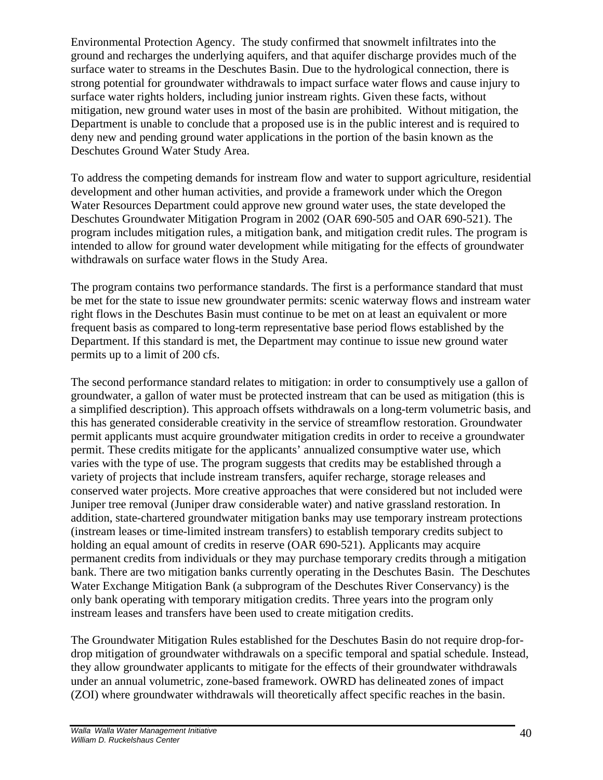Environmental Protection Agency. The study confirmed that snowmelt infiltrates into the ground and recharges the underlying aquifers, and that aquifer discharge provides much of the surface water to streams in the Deschutes Basin. Due to the hydrological connection, there is strong potential for groundwater withdrawals to impact surface water flows and cause injury to surface water rights holders, including junior instream rights. Given these facts, without mitigation, new ground water uses in most of the basin are prohibited. Without mitigation, the Department is unable to conclude that a proposed use is in the public interest and is required to deny new and pending ground water applications in the portion of the basin known as the Deschutes Ground Water Study Area.

To address the competing demands for instream flow and water to support agriculture, residential development and other human activities, and provide a framework under which the Oregon Water Resources Department could approve new ground water uses, the state developed the Deschutes Groundwater Mitigation Program in 2002 (OAR 690-505 and OAR 690-521). The program includes mitigation rules, a mitigation bank, and mitigation credit rules. The program is intended to allow for ground water development while mitigating for the effects of groundwater withdrawals on surface water flows in the Study Area.

The program contains two performance standards. The first is a performance standard that must be met for the state to issue new groundwater permits: scenic waterway flows and instream water right flows in the Deschutes Basin must continue to be met on at least an equivalent or more frequent basis as compared to long-term representative base period flows established by the Department. If this standard is met, the Department may continue to issue new ground water permits up to a limit of 200 cfs.

The second performance standard relates to mitigation: in order to consumptively use a gallon of groundwater, a gallon of water must be protected instream that can be used as mitigation (this is a simplified description). This approach offsets withdrawals on a long-term volumetric basis, and this has generated considerable creativity in the service of streamflow restoration. Groundwater permit applicants must acquire groundwater mitigation credits in order to receive a groundwater permit. These credits mitigate for the applicants' annualized consumptive water use, which varies with the type of use. The program suggests that credits may be established through a variety of projects that include instream transfers, aquifer recharge, storage releases and conserved water projects. More creative approaches that were considered but not included were Juniper tree removal (Juniper draw considerable water) and native grassland restoration. In addition, state-chartered groundwater mitigation banks may use temporary instream protections (instream leases or time-limited instream transfers) to establish temporary credits subject to holding an equal amount of credits in reserve (OAR 690-521). Applicants may acquire permanent credits from individuals or they may purchase temporary credits through a mitigation bank. There are two mitigation banks currently operating in the Deschutes Basin. The Deschutes Water Exchange Mitigation Bank (a subprogram of the Deschutes River Conservancy) is the only bank operating with temporary mitigation credits. Three years into the program only instream leases and transfers have been used to create mitigation credits.

The Groundwater Mitigation Rules established for the Deschutes Basin do not require drop-fordrop mitigation of groundwater withdrawals on a specific temporal and spatial schedule. Instead, they allow groundwater applicants to mitigate for the effects of their groundwater withdrawals under an annual volumetric, zone-based framework. OWRD has delineated zones of impact (ZOI) where groundwater withdrawals will theoretically affect specific reaches in the basin.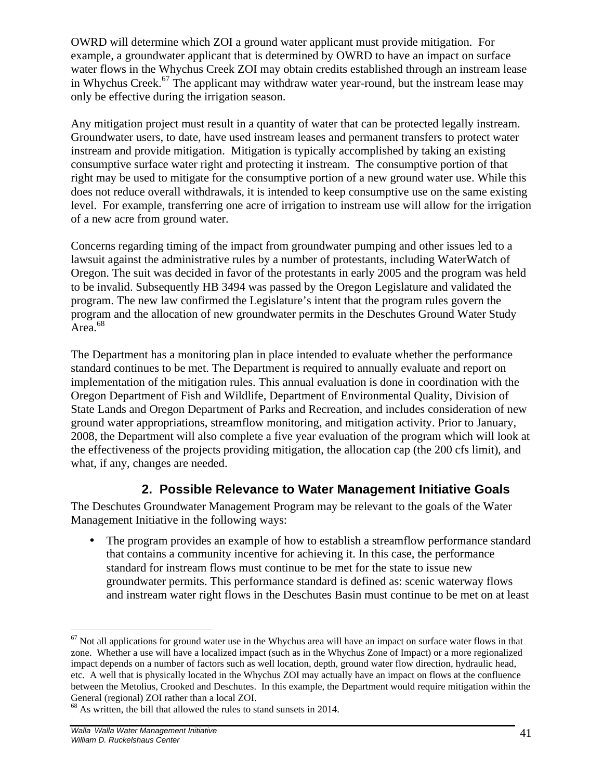OWRD will determine which ZOI a ground water applicant must provide mitigation. For example, a groundwater applicant that is determined by OWRD to have an impact on surface water flows in the Whychus Creek ZOI may obtain credits established through an instream lease in Whychus Creek.<sup>67</sup> The applicant may withdraw water year-round, but the instream lease may only be effective during the irrigation season.

Any mitigation project must result in a quantity of water that can be protected legally instream. Groundwater users, to date, have used instream leases and permanent transfers to protect water instream and provide mitigation. Mitigation is typically accomplished by taking an existing consumptive surface water right and protecting it instream. The consumptive portion of that right may be used to mitigate for the consumptive portion of a new ground water use. While this does not reduce overall withdrawals, it is intended to keep consumptive use on the same existing level. For example, transferring one acre of irrigation to instream use will allow for the irrigation of a new acre from ground water.

Concerns regarding timing of the impact from groundwater pumping and other issues led to a lawsuit against the administrative rules by a number of protestants, including WaterWatch of Oregon. The suit was decided in favor of the protestants in early 2005 and the program was held to be invalid. Subsequently HB 3494 was passed by the Oregon Legislature and validated the program. The new law confirmed the Legislature's intent that the program rules govern the program and the allocation of new groundwater permits in the Deschutes Ground Water Study  $Area<sup>68</sup>$ 

The Department has a monitoring plan in place intended to evaluate whether the performance standard continues to be met. The Department is required to annually evaluate and report on implementation of the mitigation rules. This annual evaluation is done in coordination with the Oregon Department of Fish and Wildlife, Department of Environmental Quality, Division of State Lands and Oregon Department of Parks and Recreation, and includes consideration of new ground water appropriations, streamflow monitoring, and mitigation activity. Prior to January, 2008, the Department will also complete a five year evaluation of the program which will look at the effectiveness of the projects providing mitigation, the allocation cap (the 200 cfs limit), and what, if any, changes are needed.

#### **2. Possible Relevance to Water Management Initiative Goals**

The Deschutes Groundwater Management Program may be relevant to the goals of the Water Management Initiative in the following ways:

• The program provides an example of how to establish a streamflow performance standard that contains a community incentive for achieving it. In this case, the performance standard for instream flows must continue to be met for the state to issue new groundwater permits. This performance standard is defined as: scenic waterway flows and instream water right flows in the Deschutes Basin must continue to be met on at least

<sup>&</sup>lt;u>.</u>  $67$  Not all applications for ground water use in the Whychus area will have an impact on surface water flows in that zone. Whether a use will have a localized impact (such as in the Whychus Zone of Impact) or a more regionalized impact depends on a number of factors such as well location, depth, ground water flow direction, hydraulic head, etc. A well that is physically located in the Whychus ZOI may actually have an impact on flows at the confluence between the Metolius, Crooked and Deschutes. In this example, the Department would require mitigation within the General (regional) ZOI rather than a local ZOI.

<sup>&</sup>lt;sup>68</sup> As written, the bill that allowed the rules to stand sunsets in 2014.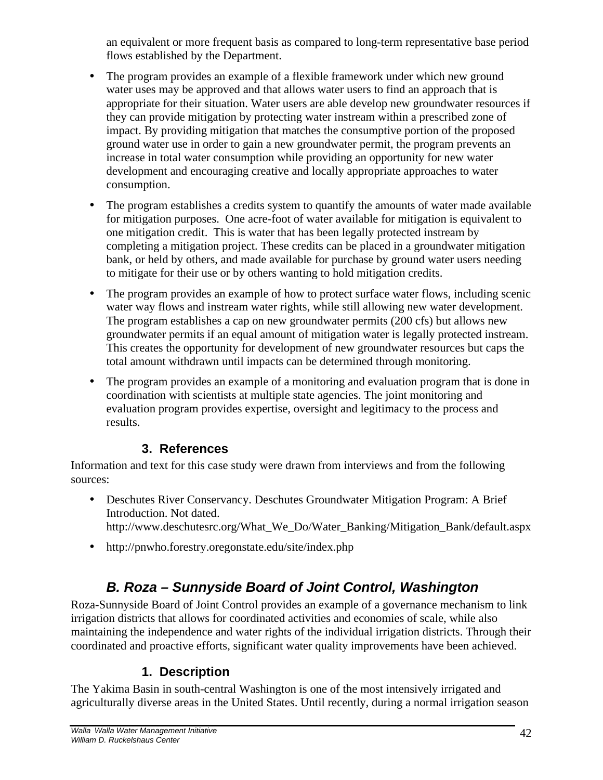an equivalent or more frequent basis as compared to long-term representative base period flows established by the Department.

- The program provides an example of a flexible framework under which new ground water uses may be approved and that allows water users to find an approach that is appropriate for their situation. Water users are able develop new groundwater resources if they can provide mitigation by protecting water instream within a prescribed zone of impact. By providing mitigation that matches the consumptive portion of the proposed ground water use in order to gain a new groundwater permit, the program prevents an increase in total water consumption while providing an opportunity for new water development and encouraging creative and locally appropriate approaches to water consumption.
- The program establishes a credits system to quantify the amounts of water made available for mitigation purposes. One acre-foot of water available for mitigation is equivalent to one mitigation credit. This is water that has been legally protected instream by completing a mitigation project. These credits can be placed in a groundwater mitigation bank, or held by others, and made available for purchase by ground water users needing to mitigate for their use or by others wanting to hold mitigation credits.
- The program provides an example of how to protect surface water flows, including scenic water way flows and instream water rights, while still allowing new water development. The program establishes a cap on new groundwater permits (200 cfs) but allows new groundwater permits if an equal amount of mitigation water is legally protected instream. This creates the opportunity for development of new groundwater resources but caps the total amount withdrawn until impacts can be determined through monitoring.
- The program provides an example of a monitoring and evaluation program that is done in coordination with scientists at multiple state agencies. The joint monitoring and evaluation program provides expertise, oversight and legitimacy to the process and results.

## **3. References**

Information and text for this case study were drawn from interviews and from the following sources:

- Deschutes River Conservancy. Deschutes Groundwater Mitigation Program: A Brief Introduction. Not dated. http://www.deschutesrc.org/What\_We\_Do/Water\_Banking/Mitigation\_Bank/default.aspx
- http://pnwho.forestry.oregonstate.edu/site/index.php

# *B. Roza – Sunnyside Board of Joint Control, Washington*

Roza-Sunnyside Board of Joint Control provides an example of a governance mechanism to link irrigation districts that allows for coordinated activities and economies of scale, while also maintaining the independence and water rights of the individual irrigation districts. Through their coordinated and proactive efforts, significant water quality improvements have been achieved.

## **1. Description**

The Yakima Basin in south-central Washington is one of the most intensively irrigated and agriculturally diverse areas in the United States. Until recently, during a normal irrigation season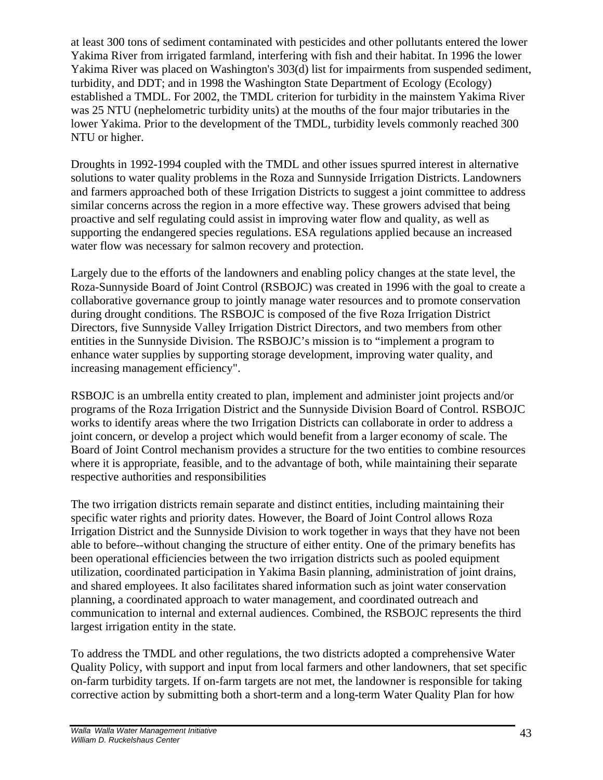at least 300 tons of sediment contaminated with pesticides and other pollutants entered the lower Yakima River from irrigated farmland, interfering with fish and their habitat. In 1996 the lower Yakima River was placed on Washington's 303(d) list for impairments from suspended sediment, turbidity, and DDT; and in 1998 the Washington State Department of Ecology (Ecology) established a TMDL. For 2002, the TMDL criterion for turbidity in the mainstem Yakima River was 25 NTU (nephelometric turbidity units) at the mouths of the four major tributaries in the lower Yakima. Prior to the development of the TMDL, turbidity levels commonly reached 300 NTU or higher.

Droughts in 1992-1994 coupled with the TMDL and other issues spurred interest in alternative solutions to water quality problems in the Roza and Sunnyside Irrigation Districts. Landowners and farmers approached both of these Irrigation Districts to suggest a joint committee to address similar concerns across the region in a more effective way. These growers advised that being proactive and self regulating could assist in improving water flow and quality, as well as supporting the endangered species regulations. ESA regulations applied because an increased water flow was necessary for salmon recovery and protection.

Largely due to the efforts of the landowners and enabling policy changes at the state level, the Roza-Sunnyside Board of Joint Control (RSBOJC) was created in 1996 with the goal to create a collaborative governance group to jointly manage water resources and to promote conservation during drought conditions. The RSBOJC is composed of the five Roza Irrigation District Directors, five Sunnyside Valley Irrigation District Directors, and two members from other entities in the Sunnyside Division. The RSBOJC's mission is to "implement a program to enhance water supplies by supporting storage development, improving water quality, and increasing management efficiency".

RSBOJC is an umbrella entity created to plan, implement and administer joint projects and/or programs of the Roza Irrigation District and the Sunnyside Division Board of Control. RSBOJC works to identify areas where the two Irrigation Districts can collaborate in order to address a joint concern, or develop a project which would benefit from a larger economy of scale. The Board of Joint Control mechanism provides a structure for the two entities to combine resources where it is appropriate, feasible, and to the advantage of both, while maintaining their separate respective authorities and responsibilities

The two irrigation districts remain separate and distinct entities, including maintaining their specific water rights and priority dates. However, the Board of Joint Control allows Roza Irrigation District and the Sunnyside Division to work together in ways that they have not been able to before--without changing the structure of either entity. One of the primary benefits has been operational efficiencies between the two irrigation districts such as pooled equipment utilization, coordinated participation in Yakima Basin planning, administration of joint drains, and shared employees. It also facilitates shared information such as joint water conservation planning, a coordinated approach to water management, and coordinated outreach and communication to internal and external audiences. Combined, the RSBOJC represents the third largest irrigation entity in the state.

To address the TMDL and other regulations, the two districts adopted a comprehensive Water Quality Policy, with support and input from local farmers and other landowners, that set specific on-farm turbidity targets. If on-farm targets are not met, the landowner is responsible for taking corrective action by submitting both a short-term and a long-term Water Quality Plan for how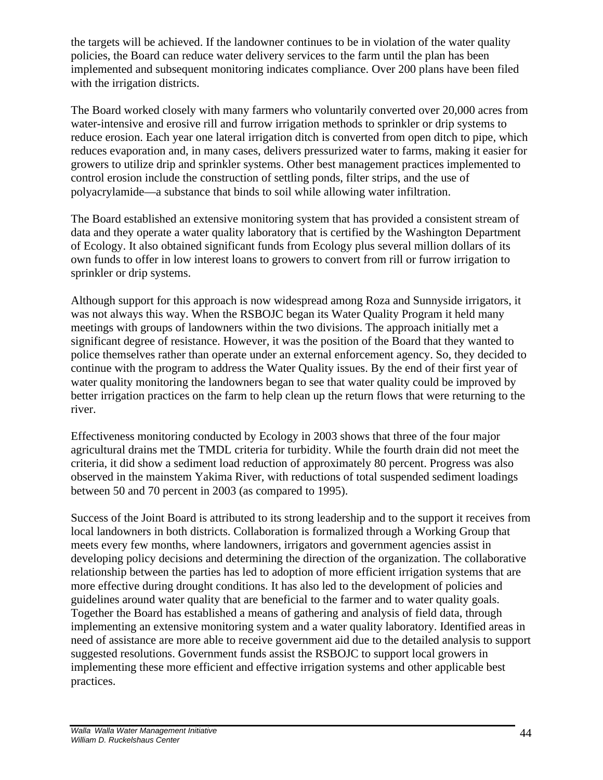the targets will be achieved. If the landowner continues to be in violation of the water quality policies, the Board can reduce water delivery services to the farm until the plan has been implemented and subsequent monitoring indicates compliance. Over 200 plans have been filed with the irrigation districts.

The Board worked closely with many farmers who voluntarily converted over 20,000 acres from water-intensive and erosive rill and furrow irrigation methods to sprinkler or drip systems to reduce erosion. Each year one lateral irrigation ditch is converted from open ditch to pipe, which reduces evaporation and, in many cases, delivers pressurized water to farms, making it easier for growers to utilize drip and sprinkler systems. Other best management practices implemented to control erosion include the construction of settling ponds, filter strips, and the use of polyacrylamide—a substance that binds to soil while allowing water infiltration.

The Board established an extensive monitoring system that has provided a consistent stream of data and they operate a water quality laboratory that is certified by the Washington Department of Ecology. It also obtained significant funds from Ecology plus several million dollars of its own funds to offer in low interest loans to growers to convert from rill or furrow irrigation to sprinkler or drip systems.

Although support for this approach is now widespread among Roza and Sunnyside irrigators, it was not always this way. When the RSBOJC began its Water Quality Program it held many meetings with groups of landowners within the two divisions. The approach initially met a significant degree of resistance. However, it was the position of the Board that they wanted to police themselves rather than operate under an external enforcement agency. So, they decided to continue with the program to address the Water Quality issues. By the end of their first year of water quality monitoring the landowners began to see that water quality could be improved by better irrigation practices on the farm to help clean up the return flows that were returning to the river.

Effectiveness monitoring conducted by Ecology in 2003 shows that three of the four major agricultural drains met the TMDL criteria for turbidity. While the fourth drain did not meet the criteria, it did show a sediment load reduction of approximately 80 percent. Progress was also observed in the mainstem Yakima River, with reductions of total suspended sediment loadings between 50 and 70 percent in 2003 (as compared to 1995).

Success of the Joint Board is attributed to its strong leadership and to the support it receives from local landowners in both districts. Collaboration is formalized through a Working Group that meets every few months, where landowners, irrigators and government agencies assist in developing policy decisions and determining the direction of the organization. The collaborative relationship between the parties has led to adoption of more efficient irrigation systems that are more effective during drought conditions. It has also led to the development of policies and guidelines around water quality that are beneficial to the farmer and to water quality goals. Together the Board has established a means of gathering and analysis of field data, through implementing an extensive monitoring system and a water quality laboratory. Identified areas in need of assistance are more able to receive government aid due to the detailed analysis to support suggested resolutions. Government funds assist the RSBOJC to support local growers in implementing these more efficient and effective irrigation systems and other applicable best practices.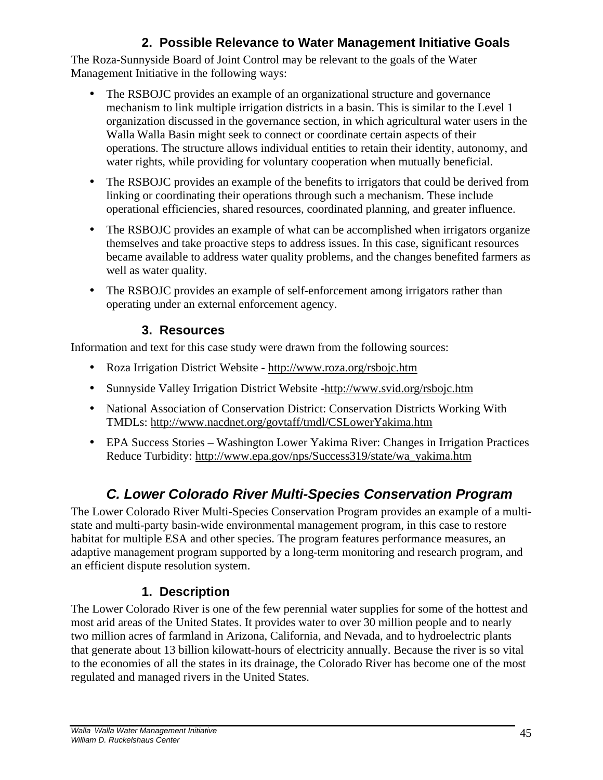## **2. Possible Relevance to Water Management Initiative Goals**

The Roza-Sunnyside Board of Joint Control may be relevant to the goals of the Water Management Initiative in the following ways:

- The RSBOJC provides an example of an organizational structure and governance mechanism to link multiple irrigation districts in a basin. This is similar to the Level 1 organization discussed in the governance section, in which agricultural water users in the Walla Walla Basin might seek to connect or coordinate certain aspects of their operations. The structure allows individual entities to retain their identity, autonomy, and water rights, while providing for voluntary cooperation when mutually beneficial.
- The RSBOJC provides an example of the benefits to irrigators that could be derived from linking or coordinating their operations through such a mechanism. These include operational efficiencies, shared resources, coordinated planning, and greater influence.
- The RSBOJC provides an example of what can be accomplished when irrigators organize themselves and take proactive steps to address issues. In this case, significant resources became available to address water quality problems, and the changes benefited farmers as well as water quality.
- The RSBOJC provides an example of self-enforcement among irrigators rather than operating under an external enforcement agency.

#### **3. Resources**

Information and text for this case study were drawn from the following sources:

- Roza Irrigation District Website http://www.roza.org/rsbojc.htm
- Sunnyside Valley Irrigation District Website **-**http://www.svid.org/rsbojc.htm
- National Association of Conservation District: Conservation Districts Working With TMDLs: http://www.nacdnet.org/govtaff/tmdl/CSLowerYakima.htm
- EPA Success Stories Washington Lower Yakima River: Changes in Irrigation Practices Reduce Turbidity: http://www.epa.gov/nps/Success319/state/wa\_yakima.htm

# *C. Lower Colorado River Multi-Species Conservation Program*

The Lower Colorado River Multi-Species Conservation Program provides an example of a multistate and multi-party basin-wide environmental management program, in this case to restore habitat for multiple ESA and other species. The program features performance measures, an adaptive management program supported by a long-term monitoring and research program, and an efficient dispute resolution system.

# **1. Description**

The Lower Colorado River is one of the few perennial water supplies for some of the hottest and most arid areas of the United States. It provides water to over 30 million people and to nearly two million acres of farmland in Arizona, California, and Nevada, and to hydroelectric plants that generate about 13 billion kilowatt-hours of electricity annually. Because the river is so vital to the economies of all the states in its drainage, the Colorado River has become one of the most regulated and managed rivers in the United States.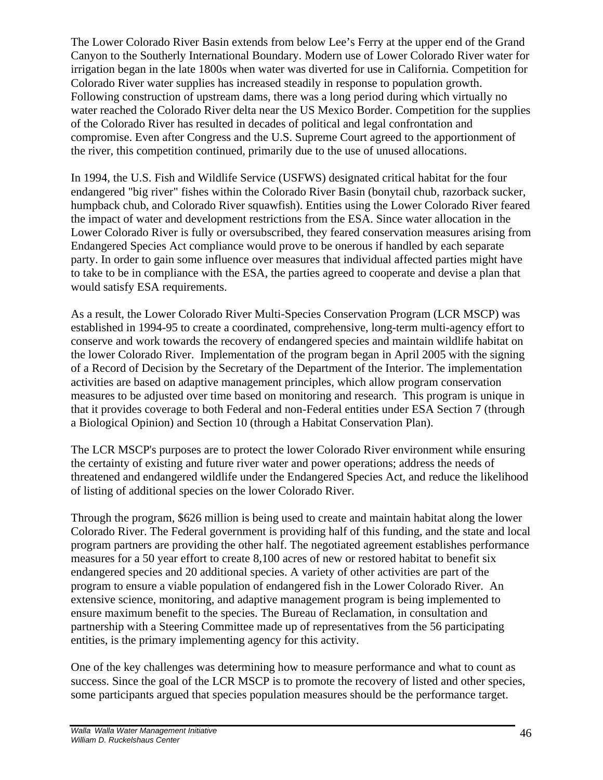The Lower Colorado River Basin extends from below Lee's Ferry at the upper end of the Grand Canyon to the Southerly International Boundary. Modern use of Lower Colorado River water for irrigation began in the late 1800s when water was diverted for use in California. Competition for Colorado River water supplies has increased steadily in response to population growth. Following construction of upstream dams, there was a long period during which virtually no water reached the Colorado River delta near the US Mexico Border. Competition for the supplies of the Colorado River has resulted in decades of political and legal confrontation and compromise. Even after Congress and the U.S. Supreme Court agreed to the apportionment of the river, this competition continued, primarily due to the use of unused allocations.

In 1994, the U.S. Fish and Wildlife Service (USFWS) designated critical habitat for the four endangered "big river" fishes within the Colorado River Basin (bonytail chub, razorback sucker, humpback chub, and Colorado River squawfish). Entities using the Lower Colorado River feared the impact of water and development restrictions from the ESA. Since water allocation in the Lower Colorado River is fully or oversubscribed, they feared conservation measures arising from Endangered Species Act compliance would prove to be onerous if handled by each separate party. In order to gain some influence over measures that individual affected parties might have to take to be in compliance with the ESA, the parties agreed to cooperate and devise a plan that would satisfy ESA requirements.

As a result, the Lower Colorado River Multi-Species Conservation Program (LCR MSCP) was established in 1994-95 to create a coordinated, comprehensive, long-term multi-agency effort to conserve and work towards the recovery of endangered species and maintain wildlife habitat on the lower Colorado River. Implementation of the program began in April 2005 with the signing of a Record of Decision by the Secretary of the Department of the Interior. The implementation activities are based on adaptive management principles, which allow program conservation measures to be adjusted over time based on monitoring and research. This program is unique in that it provides coverage to both Federal and non-Federal entities under ESA Section 7 (through a Biological Opinion) and Section 10 (through a Habitat Conservation Plan).

The LCR MSCP's purposes are to protect the lower Colorado River environment while ensuring the certainty of existing and future river water and power operations; address the needs of threatened and endangered wildlife under the Endangered Species Act, and reduce the likelihood of listing of additional species on the lower Colorado River.

Through the program, \$626 million is being used to create and maintain habitat along the lower Colorado River. The Federal government is providing half of this funding, and the state and local program partners are providing the other half. The negotiated agreement establishes performance measures for a 50 year effort to create 8,100 acres of new or restored habitat to benefit six endangered species and 20 additional species. A variety of other activities are part of the program to ensure a viable population of endangered fish in the Lower Colorado River. An extensive science, monitoring, and adaptive management program is being implemented to ensure maximum benefit to the species. The Bureau of Reclamation, in consultation and partnership with a Steering Committee made up of representatives from the 56 participating entities, is the primary implementing agency for this activity.

One of the key challenges was determining how to measure performance and what to count as success. Since the goal of the LCR MSCP is to promote the recovery of listed and other species, some participants argued that species population measures should be the performance target.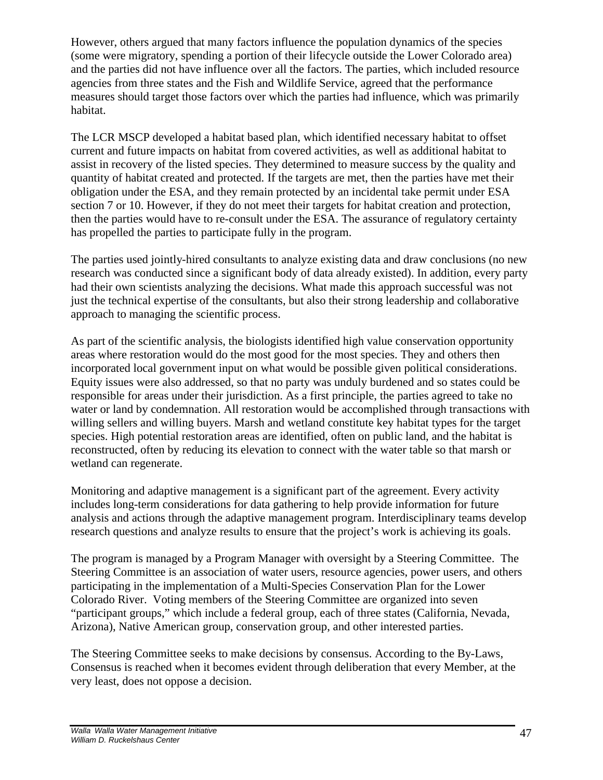However, others argued that many factors influence the population dynamics of the species (some were migratory, spending a portion of their lifecycle outside the Lower Colorado area) and the parties did not have influence over all the factors. The parties, which included resource agencies from three states and the Fish and Wildlife Service, agreed that the performance measures should target those factors over which the parties had influence, which was primarily habitat.

The LCR MSCP developed a habitat based plan, which identified necessary habitat to offset current and future impacts on habitat from covered activities, as well as additional habitat to assist in recovery of the listed species. They determined to measure success by the quality and quantity of habitat created and protected. If the targets are met, then the parties have met their obligation under the ESA, and they remain protected by an incidental take permit under ESA section 7 or 10. However, if they do not meet their targets for habitat creation and protection, then the parties would have to re-consult under the ESA. The assurance of regulatory certainty has propelled the parties to participate fully in the program.

The parties used jointly-hired consultants to analyze existing data and draw conclusions (no new research was conducted since a significant body of data already existed). In addition, every party had their own scientists analyzing the decisions. What made this approach successful was not just the technical expertise of the consultants, but also their strong leadership and collaborative approach to managing the scientific process.

As part of the scientific analysis, the biologists identified high value conservation opportunity areas where restoration would do the most good for the most species. They and others then incorporated local government input on what would be possible given political considerations. Equity issues were also addressed, so that no party was unduly burdened and so states could be responsible for areas under their jurisdiction. As a first principle, the parties agreed to take no water or land by condemnation. All restoration would be accomplished through transactions with willing sellers and willing buyers. Marsh and wetland constitute key habitat types for the target species. High potential restoration areas are identified, often on public land, and the habitat is reconstructed, often by reducing its elevation to connect with the water table so that marsh or wetland can regenerate.

Monitoring and adaptive management is a significant part of the agreement. Every activity includes long-term considerations for data gathering to help provide information for future analysis and actions through the adaptive management program. Interdisciplinary teams develop research questions and analyze results to ensure that the project's work is achieving its goals.

The program is managed by a Program Manager with oversight by a Steering Committee. The Steering Committee is an association of water users, resource agencies, power users, and others participating in the implementation of a Multi-Species Conservation Plan for the Lower Colorado River. Voting members of the Steering Committee are organized into seven "participant groups," which include a federal group, each of three states (California, Nevada, Arizona), Native American group, conservation group, and other interested parties.

The Steering Committee seeks to make decisions by consensus. According to the By-Laws, Consensus is reached when it becomes evident through deliberation that every Member, at the very least, does not oppose a decision.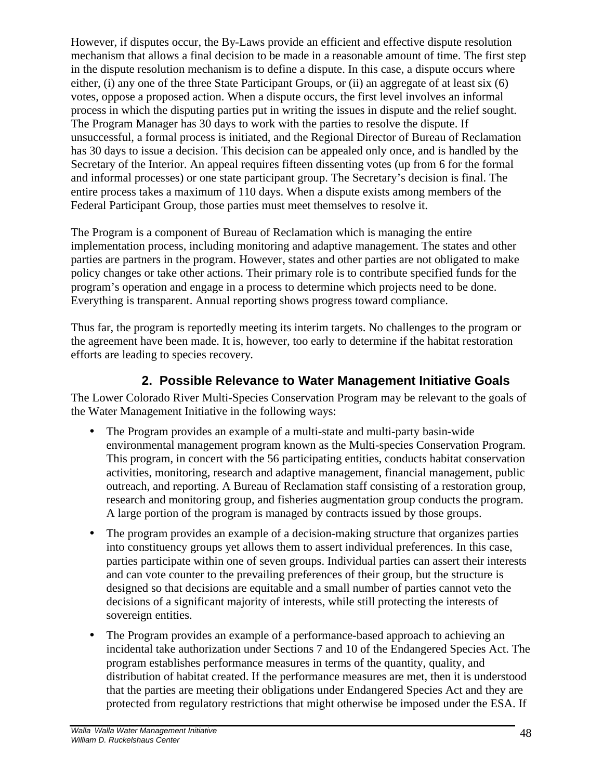However, if disputes occur, the By-Laws provide an efficient and effective dispute resolution mechanism that allows a final decision to be made in a reasonable amount of time. The first step in the dispute resolution mechanism is to define a dispute. In this case, a dispute occurs where either, (i) any one of the three State Participant Groups, or (ii) an aggregate of at least six (6) votes, oppose a proposed action. When a dispute occurs, the first level involves an informal process in which the disputing parties put in writing the issues in dispute and the relief sought. The Program Manager has 30 days to work with the parties to resolve the dispute. If unsuccessful, a formal process is initiated, and the Regional Director of Bureau of Reclamation has 30 days to issue a decision. This decision can be appealed only once, and is handled by the Secretary of the Interior. An appeal requires fifteen dissenting votes (up from 6 for the formal and informal processes) or one state participant group. The Secretary's decision is final. The entire process takes a maximum of 110 days. When a dispute exists among members of the Federal Participant Group, those parties must meet themselves to resolve it.

The Program is a component of Bureau of Reclamation which is managing the entire implementation process, including monitoring and adaptive management. The states and other parties are partners in the program. However, states and other parties are not obligated to make policy changes or take other actions. Their primary role is to contribute specified funds for the program's operation and engage in a process to determine which projects need to be done. Everything is transparent. Annual reporting shows progress toward compliance.

Thus far, the program is reportedly meeting its interim targets. No challenges to the program or the agreement have been made. It is, however, too early to determine if the habitat restoration efforts are leading to species recovery.

#### **2. Possible Relevance to Water Management Initiative Goals**

The Lower Colorado River Multi-Species Conservation Program may be relevant to the goals of the Water Management Initiative in the following ways:

- The Program provides an example of a multi-state and multi-party basin-wide environmental management program known as the Multi-species Conservation Program. This program, in concert with the 56 participating entities, conducts habitat conservation activities, monitoring, research and adaptive management, financial management, public outreach, and reporting. A Bureau of Reclamation staff consisting of a restoration group, research and monitoring group, and fisheries augmentation group conducts the program. A large portion of the program is managed by contracts issued by those groups.
- The program provides an example of a decision-making structure that organizes parties into constituency groups yet allows them to assert individual preferences. In this case, parties participate within one of seven groups. Individual parties can assert their interests and can vote counter to the prevailing preferences of their group, but the structure is designed so that decisions are equitable and a small number of parties cannot veto the decisions of a significant majority of interests, while still protecting the interests of sovereign entities.
- The Program provides an example of a performance-based approach to achieving an incidental take authorization under Sections 7 and 10 of the Endangered Species Act. The program establishes performance measures in terms of the quantity, quality, and distribution of habitat created. If the performance measures are met, then it is understood that the parties are meeting their obligations under Endangered Species Act and they are protected from regulatory restrictions that might otherwise be imposed under the ESA. If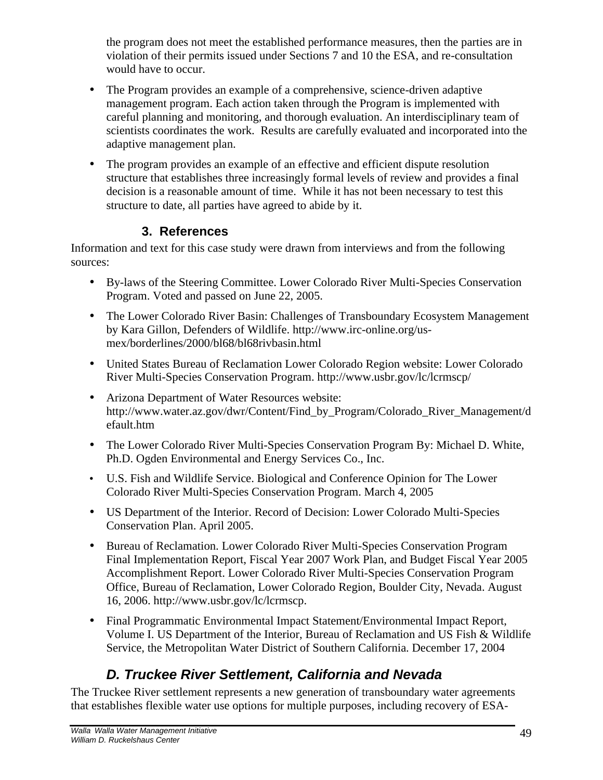the program does not meet the established performance measures, then the parties are in violation of their permits issued under Sections 7 and 10 the ESA, and re-consultation would have to occur.

- The Program provides an example of a comprehensive, science-driven adaptive management program. Each action taken through the Program is implemented with careful planning and monitoring, and thorough evaluation. An interdisciplinary team of scientists coordinates the work. Results are carefully evaluated and incorporated into the adaptive management plan.
- The program provides an example of an effective and efficient dispute resolution structure that establishes three increasingly formal levels of review and provides a final decision is a reasonable amount of time. While it has not been necessary to test this structure to date, all parties have agreed to abide by it.

#### **3. References**

Information and text for this case study were drawn from interviews and from the following sources:

- By-laws of the Steering Committee. Lower Colorado River Multi-Species Conservation Program. Voted and passed on June 22, 2005.
- The Lower Colorado River Basin: Challenges of Transboundary Ecosystem Management by Kara Gillon, Defenders of Wildlife. http://www.irc-online.org/usmex/borderlines/2000/bl68/bl68rivbasin.html
- United States Bureau of Reclamation Lower Colorado Region website: Lower Colorado River Multi-Species Conservation Program. http://www.usbr.gov/lc/lcrmscp/
- Arizona Department of Water Resources website: http://www.water.az.gov/dwr/Content/Find\_by\_Program/Colorado\_River\_Management/d efault.htm
- The Lower Colorado River Multi-Species Conservation Program By: Michael D. White, Ph.D. Ogden Environmental and Energy Services Co., Inc.
- U.S. Fish and Wildlife Service. Biological and Conference Opinion for The Lower Colorado River Multi-Species Conservation Program. March 4, 2005
- US Department of the Interior. Record of Decision: Lower Colorado Multi-Species Conservation Plan. April 2005.
- Bureau of Reclamation. Lower Colorado River Multi-Species Conservation Program Final Implementation Report, Fiscal Year 2007 Work Plan, and Budget Fiscal Year 2005 Accomplishment Report. Lower Colorado River Multi-Species Conservation Program Office, Bureau of Reclamation, Lower Colorado Region, Boulder City, Nevada. August 16, 2006. http://www.usbr.gov/lc/lcrmscp.
- Final Programmatic Environmental Impact Statement/Environmental Impact Report, Volume I. US Department of the Interior, Bureau of Reclamation and US Fish & Wildlife Service, the Metropolitan Water District of Southern California. December 17, 2004

# *D. Truckee River Settlement, California and Nevada*

The Truckee River settlement represents a new generation of transboundary water agreements that establishes flexible water use options for multiple purposes, including recovery of ESA-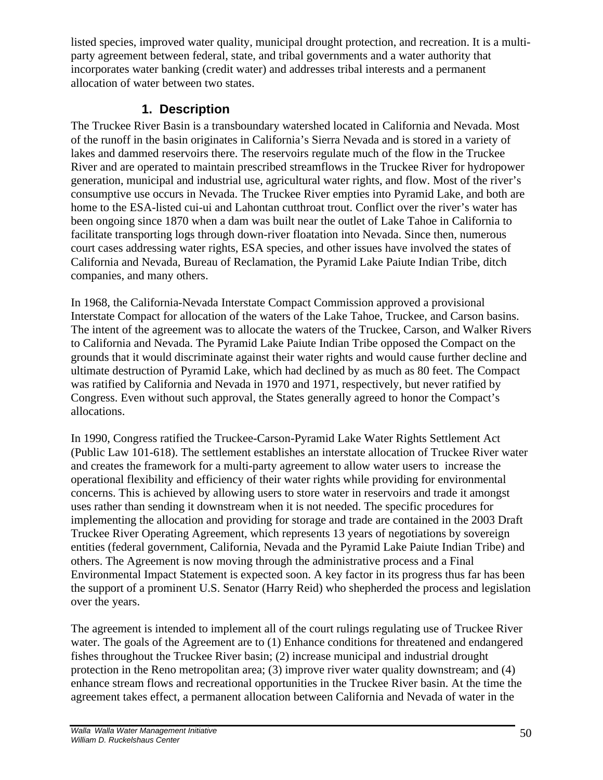listed species, improved water quality, municipal drought protection, and recreation. It is a multiparty agreement between federal, state, and tribal governments and a water authority that incorporates water banking (credit water) and addresses tribal interests and a permanent allocation of water between two states.

#### **1. Description**

The Truckee River Basin is a transboundary watershed located in California and Nevada. Most of the runoff in the basin originates in California's Sierra Nevada and is stored in a variety of lakes and dammed reservoirs there. The reservoirs regulate much of the flow in the Truckee River and are operated to maintain prescribed streamflows in the Truckee River for hydropower generation, municipal and industrial use, agricultural water rights, and flow. Most of the river's consumptive use occurs in Nevada. The Truckee River empties into Pyramid Lake, and both are home to the ESA-listed cui-ui and Lahontan cutthroat trout. Conflict over the river's water has been ongoing since 1870 when a dam was built near the outlet of Lake Tahoe in California to facilitate transporting logs through down-river floatation into Nevada. Since then, numerous court cases addressing water rights, ESA species, and other issues have involved the states of California and Nevada, Bureau of Reclamation, the Pyramid Lake Paiute Indian Tribe, ditch companies, and many others.

In 1968, the California-Nevada Interstate Compact Commission approved a provisional Interstate Compact for allocation of the waters of the Lake Tahoe, Truckee, and Carson basins. The intent of the agreement was to allocate the waters of the Truckee, Carson, and Walker Rivers to California and Nevada. The Pyramid Lake Paiute Indian Tribe opposed the Compact on the grounds that it would discriminate against their water rights and would cause further decline and ultimate destruction of Pyramid Lake, which had declined by as much as 80 feet. The Compact was ratified by California and Nevada in 1970 and 1971, respectively, but never ratified by Congress. Even without such approval, the States generally agreed to honor the Compact's allocations.

In 1990, Congress ratified the Truckee-Carson-Pyramid Lake Water Rights Settlement Act (Public Law 101-618). The settlement establishes an interstate allocation of Truckee River water and creates the framework for a multi-party agreement to allow water users to increase the operational flexibility and efficiency of their water rights while providing for environmental concerns. This is achieved by allowing users to store water in reservoirs and trade it amongst uses rather than sending it downstream when it is not needed. The specific procedures for implementing the allocation and providing for storage and trade are contained in the 2003 Draft Truckee River Operating Agreement, which represents 13 years of negotiations by sovereign entities (federal government, California, Nevada and the Pyramid Lake Paiute Indian Tribe) and others. The Agreement is now moving through the administrative process and a Final Environmental Impact Statement is expected soon. A key factor in its progress thus far has been the support of a prominent U.S. Senator (Harry Reid) who shepherded the process and legislation over the years.

The agreement is intended to implement all of the court rulings regulating use of Truckee River water. The goals of the Agreement are to (1) Enhance conditions for threatened and endangered fishes throughout the Truckee River basin; (2) increase municipal and industrial drought protection in the Reno metropolitan area; (3) improve river water quality downstream; and (4) enhance stream flows and recreational opportunities in the Truckee River basin. At the time the agreement takes effect, a permanent allocation between California and Nevada of water in the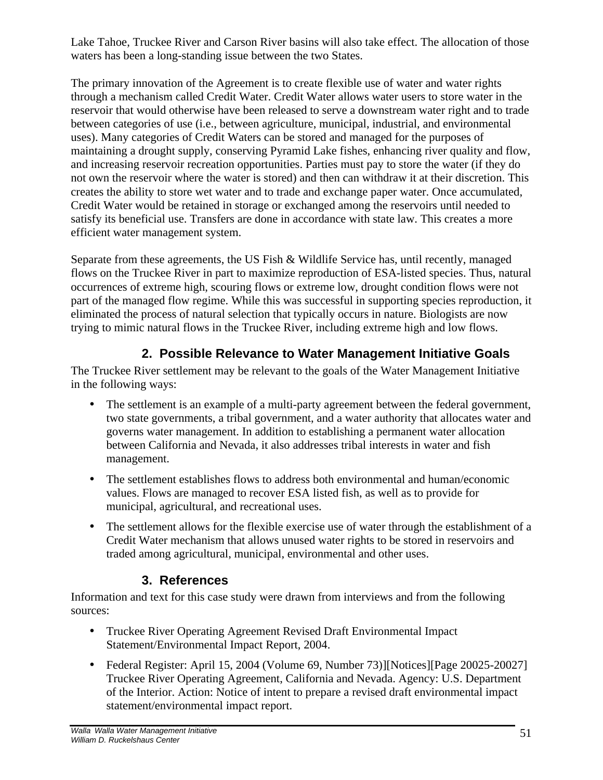Lake Tahoe, Truckee River and Carson River basins will also take effect. The allocation of those waters has been a long-standing issue between the two States.

The primary innovation of the Agreement is to create flexible use of water and water rights through a mechanism called Credit Water. Credit Water allows water users to store water in the reservoir that would otherwise have been released to serve a downstream water right and to trade between categories of use (i.e., between agriculture, municipal, industrial, and environmental uses). Many categories of Credit Waters can be stored and managed for the purposes of maintaining a drought supply, conserving Pyramid Lake fishes, enhancing river quality and flow, and increasing reservoir recreation opportunities. Parties must pay to store the water (if they do not own the reservoir where the water is stored) and then can withdraw it at their discretion. This creates the ability to store wet water and to trade and exchange paper water. Once accumulated, Credit Water would be retained in storage or exchanged among the reservoirs until needed to satisfy its beneficial use. Transfers are done in accordance with state law. This creates a more efficient water management system.

Separate from these agreements, the US Fish & Wildlife Service has, until recently, managed flows on the Truckee River in part to maximize reproduction of ESA-listed species. Thus, natural occurrences of extreme high, scouring flows or extreme low, drought condition flows were not part of the managed flow regime. While this was successful in supporting species reproduction, it eliminated the process of natural selection that typically occurs in nature. Biologists are now trying to mimic natural flows in the Truckee River, including extreme high and low flows.

## **2. Possible Relevance to Water Management Initiative Goals**

The Truckee River settlement may be relevant to the goals of the Water Management Initiative in the following ways:

- The settlement is an example of a multi-party agreement between the federal government, two state governments, a tribal government, and a water authority that allocates water and governs water management. In addition to establishing a permanent water allocation between California and Nevada, it also addresses tribal interests in water and fish management.
- The settlement establishes flows to address both environmental and human/economic values. Flows are managed to recover ESA listed fish, as well as to provide for municipal, agricultural, and recreational uses.
- The settlement allows for the flexible exercise use of water through the establishment of a Credit Water mechanism that allows unused water rights to be stored in reservoirs and traded among agricultural, municipal, environmental and other uses.

#### **3. References**

Information and text for this case study were drawn from interviews and from the following sources:

- Truckee River Operating Agreement Revised Draft Environmental Impact Statement/Environmental Impact Report, 2004.
- Federal Register: April 15, 2004 (Volume 69, Number 73)][Notices][Page 20025-20027] Truckee River Operating Agreement, California and Nevada. Agency: U.S. Department of the Interior. Action: Notice of intent to prepare a revised draft environmental impact statement/environmental impact report.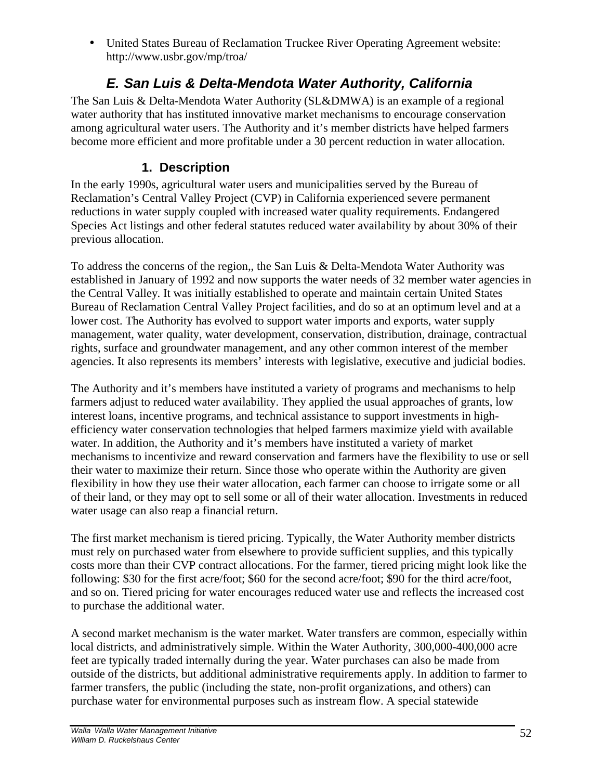• United States Bureau of Reclamation Truckee River Operating Agreement website: http://www.usbr.gov/mp/troa/

# *E. San Luis & Delta-Mendota Water Authority, California*

The San Luis & Delta-Mendota Water Authority (SL&DMWA) is an example of a regional water authority that has instituted innovative market mechanisms to encourage conservation among agricultural water users. The Authority and it's member districts have helped farmers become more efficient and more profitable under a 30 percent reduction in water allocation.

#### **1. Description**

In the early 1990s, agricultural water users and municipalities served by the Bureau of Reclamation's Central Valley Project (CVP) in California experienced severe permanent reductions in water supply coupled with increased water quality requirements. Endangered Species Act listings and other federal statutes reduced water availability by about 30% of their previous allocation.

To address the concerns of the region,, the San Luis & Delta-Mendota Water Authority was established in January of 1992 and now supports the water needs of 32 member water agencies in the Central Valley. It was initially established to operate and maintain certain United States Bureau of Reclamation Central Valley Project facilities, and do so at an optimum level and at a lower cost. The Authority has evolved to support water imports and exports, water supply management, water quality, water development, conservation, distribution, drainage, contractual rights, surface and groundwater management, and any other common interest of the member agencies. It also represents its members' interests with legislative, executive and judicial bodies.

The Authority and it's members have instituted a variety of programs and mechanisms to help farmers adjust to reduced water availability. They applied the usual approaches of grants, low interest loans, incentive programs, and technical assistance to support investments in highefficiency water conservation technologies that helped farmers maximize yield with available water. In addition, the Authority and it's members have instituted a variety of market mechanisms to incentivize and reward conservation and farmers have the flexibility to use or sell their water to maximize their return. Since those who operate within the Authority are given flexibility in how they use their water allocation, each farmer can choose to irrigate some or all of their land, or they may opt to sell some or all of their water allocation. Investments in reduced water usage can also reap a financial return.

The first market mechanism is tiered pricing. Typically, the Water Authority member districts must rely on purchased water from elsewhere to provide sufficient supplies, and this typically costs more than their CVP contract allocations. For the farmer, tiered pricing might look like the following: \$30 for the first acre/foot; \$60 for the second acre/foot; \$90 for the third acre/foot, and so on. Tiered pricing for water encourages reduced water use and reflects the increased cost to purchase the additional water.

A second market mechanism is the water market. Water transfers are common, especially within local districts, and administratively simple. Within the Water Authority, 300,000-400,000 acre feet are typically traded internally during the year. Water purchases can also be made from outside of the districts, but additional administrative requirements apply. In addition to farmer to farmer transfers, the public (including the state, non-profit organizations, and others) can purchase water for environmental purposes such as instream flow. A special statewide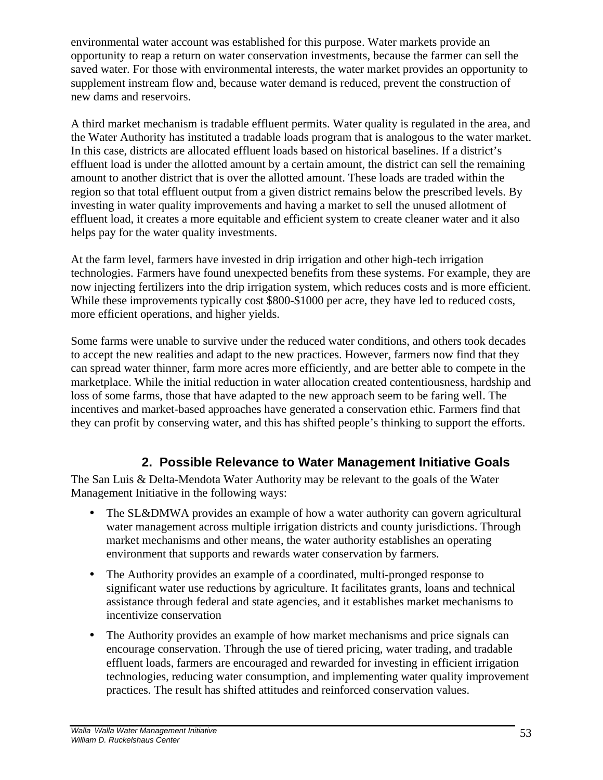environmental water account was established for this purpose. Water markets provide an opportunity to reap a return on water conservation investments, because the farmer can sell the saved water. For those with environmental interests, the water market provides an opportunity to supplement instream flow and, because water demand is reduced, prevent the construction of new dams and reservoirs.

A third market mechanism is tradable effluent permits. Water quality is regulated in the area, and the Water Authority has instituted a tradable loads program that is analogous to the water market. In this case, districts are allocated effluent loads based on historical baselines. If a district's effluent load is under the allotted amount by a certain amount, the district can sell the remaining amount to another district that is over the allotted amount. These loads are traded within the region so that total effluent output from a given district remains below the prescribed levels. By investing in water quality improvements and having a market to sell the unused allotment of effluent load, it creates a more equitable and efficient system to create cleaner water and it also helps pay for the water quality investments.

At the farm level, farmers have invested in drip irrigation and other high-tech irrigation technologies. Farmers have found unexpected benefits from these systems. For example, they are now injecting fertilizers into the drip irrigation system, which reduces costs and is more efficient. While these improvements typically cost \$800-\$1000 per acre, they have led to reduced costs, more efficient operations, and higher yields.

Some farms were unable to survive under the reduced water conditions, and others took decades to accept the new realities and adapt to the new practices. However, farmers now find that they can spread water thinner, farm more acres more efficiently, and are better able to compete in the marketplace. While the initial reduction in water allocation created contentiousness, hardship and loss of some farms, those that have adapted to the new approach seem to be faring well. The incentives and market-based approaches have generated a conservation ethic. Farmers find that they can profit by conserving water, and this has shifted people's thinking to support the efforts.

## **2. Possible Relevance to Water Management Initiative Goals**

The San Luis & Delta-Mendota Water Authority may be relevant to the goals of the Water Management Initiative in the following ways:

- The SL&DMWA provides an example of how a water authority can govern agricultural water management across multiple irrigation districts and county jurisdictions. Through market mechanisms and other means, the water authority establishes an operating environment that supports and rewards water conservation by farmers.
- The Authority provides an example of a coordinated, multi-pronged response to significant water use reductions by agriculture. It facilitates grants, loans and technical assistance through federal and state agencies, and it establishes market mechanisms to incentivize conservation
- The Authority provides an example of how market mechanisms and price signals can encourage conservation. Through the use of tiered pricing, water trading, and tradable effluent loads, farmers are encouraged and rewarded for investing in efficient irrigation technologies, reducing water consumption, and implementing water quality improvement practices. The result has shifted attitudes and reinforced conservation values.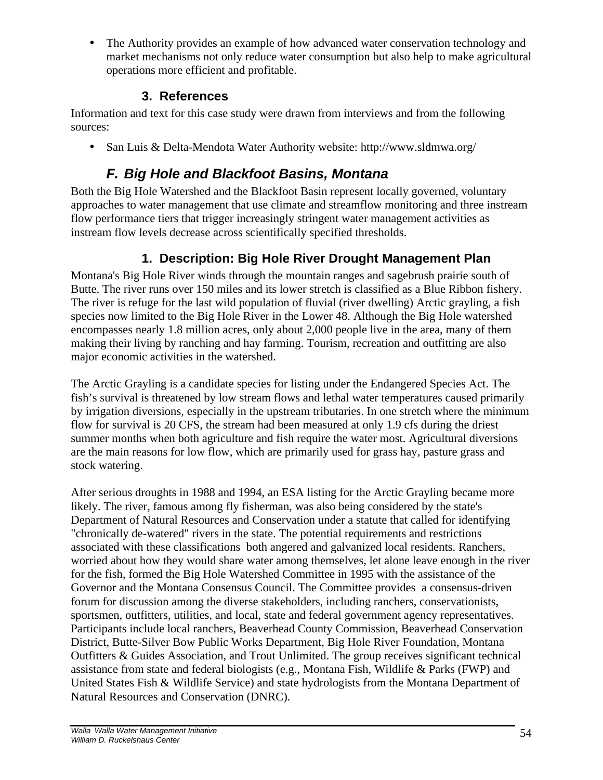• The Authority provides an example of how advanced water conservation technology and market mechanisms not only reduce water consumption but also help to make agricultural operations more efficient and profitable.

#### **3. References**

Information and text for this case study were drawn from interviews and from the following sources:

• San Luis & Delta-Mendota Water Authority website: http://www.sldmwa.org/

# *F. Big Hole and Blackfoot Basins, Montana*

Both the Big Hole Watershed and the Blackfoot Basin represent locally governed, voluntary approaches to water management that use climate and streamflow monitoring and three instream flow performance tiers that trigger increasingly stringent water management activities as instream flow levels decrease across scientifically specified thresholds.

## **1. Description: Big Hole River Drought Management Plan**

Montana's Big Hole River winds through the mountain ranges and sagebrush prairie south of Butte. The river runs over 150 miles and its lower stretch is classified as a Blue Ribbon fishery. The river is refuge for the last wild population of fluvial (river dwelling) Arctic grayling, a fish species now limited to the Big Hole River in the Lower 48. Although the Big Hole watershed encompasses nearly 1.8 million acres, only about 2,000 people live in the area, many of them making their living by ranching and hay farming. Tourism, recreation and outfitting are also major economic activities in the watershed.

The Arctic Grayling is a candidate species for listing under the Endangered Species Act. The fish's survival is threatened by low stream flows and lethal water temperatures caused primarily by irrigation diversions, especially in the upstream tributaries. In one stretch where the minimum flow for survival is 20 CFS, the stream had been measured at only 1.9 cfs during the driest summer months when both agriculture and fish require the water most. Agricultural diversions are the main reasons for low flow, which are primarily used for grass hay, pasture grass and stock watering.

After serious droughts in 1988 and 1994, an ESA listing for the Arctic Grayling became more likely. The river, famous among fly fisherman, was also being considered by the state's Department of Natural Resources and Conservation under a statute that called for identifying "chronically de-watered" rivers in the state. The potential requirements and restrictions associated with these classifications both angered and galvanized local residents. Ranchers, worried about how they would share water among themselves, let alone leave enough in the river for the fish, formed the Big Hole Watershed Committee in 1995 with the assistance of the Governor and the Montana Consensus Council. The Committee provides a consensus-driven forum for discussion among the diverse stakeholders, including ranchers, conservationists, sportsmen, outfitters, utilities, and local, state and federal government agency representatives. Participants include local ranchers, Beaverhead County Commission, Beaverhead Conservation District, Butte-Silver Bow Public Works Department, Big Hole River Foundation, Montana Outfitters & Guides Association, and Trout Unlimited. The group receives significant technical assistance from state and federal biologists (e.g., Montana Fish, Wildlife & Parks (FWP) and United States Fish & Wildlife Service) and state hydrologists from the Montana Department of Natural Resources and Conservation (DNRC).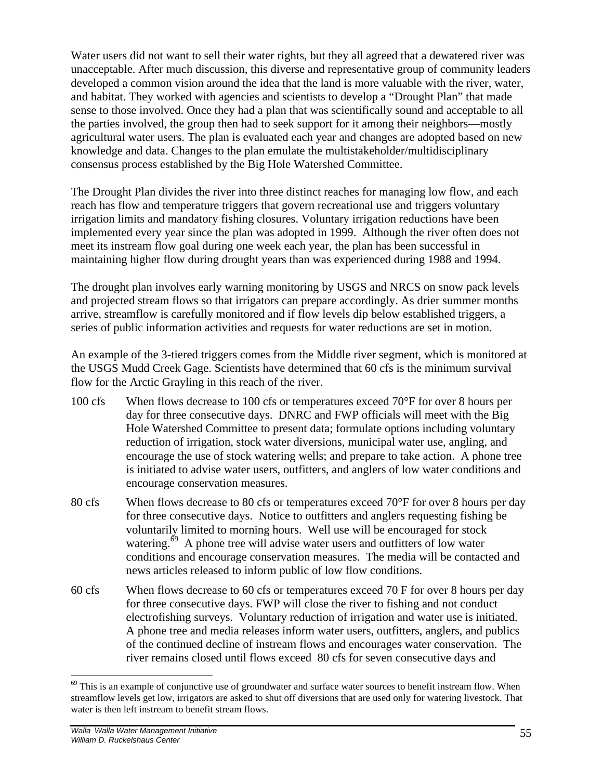Water users did not want to sell their water rights, but they all agreed that a dewatered river was unacceptable. After much discussion, this diverse and representative group of community leaders developed a common vision around the idea that the land is more valuable with the river, water, and habitat. They worked with agencies and scientists to develop a "Drought Plan" that made sense to those involved. Once they had a plan that was scientifically sound and acceptable to all the parties involved, the group then had to seek support for it among their neighbors—mostly agricultural water users. The plan is evaluated each year and changes are adopted based on new knowledge and data. Changes to the plan emulate the multistakeholder/multidisciplinary consensus process established by the Big Hole Watershed Committee.

The Drought Plan divides the river into three distinct reaches for managing low flow, and each reach has flow and temperature triggers that govern recreational use and triggers voluntary irrigation limits and mandatory fishing closures. Voluntary irrigation reductions have been implemented every year since the plan was adopted in 1999. Although the river often does not meet its instream flow goal during one week each year, the plan has been successful in maintaining higher flow during drought years than was experienced during 1988 and 1994.

The drought plan involves early warning monitoring by USGS and NRCS on snow pack levels and projected stream flows so that irrigators can prepare accordingly. As drier summer months arrive, streamflow is carefully monitored and if flow levels dip below established triggers, a series of public information activities and requests for water reductions are set in motion.

An example of the 3-tiered triggers comes from the Middle river segment, which is monitored at the USGS Mudd Creek Gage. Scientists have determined that 60 cfs is the minimum survival flow for the Arctic Grayling in this reach of the river.

- 100 cfs When flows decrease to 100 cfs or temperatures exceed 70°F for over 8 hours per day for three consecutive days. DNRC and FWP officials will meet with the Big Hole Watershed Committee to present data; formulate options including voluntary reduction of irrigation, stock water diversions, municipal water use, angling, and encourage the use of stock watering wells; and prepare to take action. A phone tree is initiated to advise water users, outfitters, and anglers of low water conditions and encourage conservation measures.
- 80 cfs When flows decrease to 80 cfs or temperatures exceed 70°F for over 8 hours per day for three consecutive days. Notice to outfitters and anglers requesting fishing be voluntarily limited to morning hours. Well use will be encouraged for stock watering.<sup>69</sup> A phone tree will advise water users and outfitters of low water conditions and encourage conservation measures. The media will be contacted and news articles released to inform public of low flow conditions.
- 60 cfs When flows decrease to 60 cfs or temperatures exceed 70 F for over 8 hours per day for three consecutive days. FWP will close the river to fishing and not conduct electrofishing surveys. Voluntary reduction of irrigation and water use is initiated. A phone tree and media releases inform water users, outfitters, anglers, and publics of the continued decline of instream flows and encourages water conservation. The river remains closed until flows exceed 80 cfs for seven consecutive days and

 $\overline{a}$ 

 $69$  This is an example of conjunctive use of groundwater and surface water sources to benefit instream flow. When streamflow levels get low, irrigators are asked to shut off diversions that are used only for watering livestock. That water is then left instream to benefit stream flows.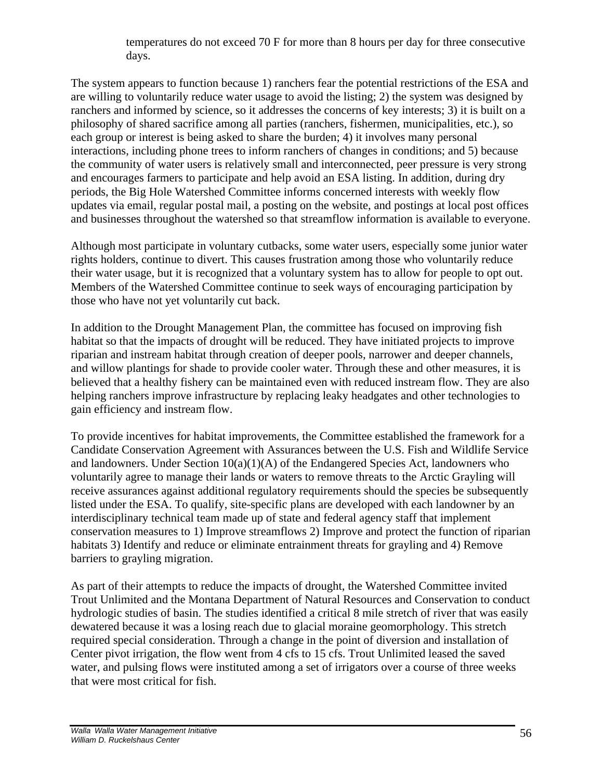temperatures do not exceed 70 F for more than 8 hours per day for three consecutive days.

The system appears to function because 1) ranchers fear the potential restrictions of the ESA and are willing to voluntarily reduce water usage to avoid the listing; 2) the system was designed by ranchers and informed by science, so it addresses the concerns of key interests; 3) it is built on a philosophy of shared sacrifice among all parties (ranchers, fishermen, municipalities, etc.), so each group or interest is being asked to share the burden; 4) it involves many personal interactions, including phone trees to inform ranchers of changes in conditions; and 5) because the community of water users is relatively small and interconnected, peer pressure is very strong and encourages farmers to participate and help avoid an ESA listing. In addition, during dry periods, the Big Hole Watershed Committee informs concerned interests with weekly flow updates via email, regular postal mail, a posting on the website, and postings at local post offices and businesses throughout the watershed so that streamflow information is available to everyone.

Although most participate in voluntary cutbacks, some water users, especially some junior water rights holders, continue to divert. This causes frustration among those who voluntarily reduce their water usage, but it is recognized that a voluntary system has to allow for people to opt out. Members of the Watershed Committee continue to seek ways of encouraging participation by those who have not yet voluntarily cut back.

In addition to the Drought Management Plan, the committee has focused on improving fish habitat so that the impacts of drought will be reduced. They have initiated projects to improve riparian and instream habitat through creation of deeper pools, narrower and deeper channels, and willow plantings for shade to provide cooler water. Through these and other measures, it is believed that a healthy fishery can be maintained even with reduced instream flow. They are also helping ranchers improve infrastructure by replacing leaky headgates and other technologies to gain efficiency and instream flow.

To provide incentives for habitat improvements, the Committee established the framework for a Candidate Conservation Agreement with Assurances between the U.S. Fish and Wildlife Service and landowners. Under Section 10(a)(1)(A) of the Endangered Species Act, landowners who voluntarily agree to manage their lands or waters to remove threats to the Arctic Grayling will receive assurances against additional regulatory requirements should the species be subsequently listed under the ESA. To qualify, site-specific plans are developed with each landowner by an interdisciplinary technical team made up of state and federal agency staff that implement conservation measures to 1) Improve streamflows 2) Improve and protect the function of riparian habitats 3) Identify and reduce or eliminate entrainment threats for grayling and 4) Remove barriers to grayling migration.

As part of their attempts to reduce the impacts of drought, the Watershed Committee invited Trout Unlimited and the Montana Department of Natural Resources and Conservation to conduct hydrologic studies of basin. The studies identified a critical 8 mile stretch of river that was easily dewatered because it was a losing reach due to glacial moraine geomorphology. This stretch required special consideration. Through a change in the point of diversion and installation of Center pivot irrigation, the flow went from 4 cfs to 15 cfs. Trout Unlimited leased the saved water, and pulsing flows were instituted among a set of irrigators over a course of three weeks that were most critical for fish.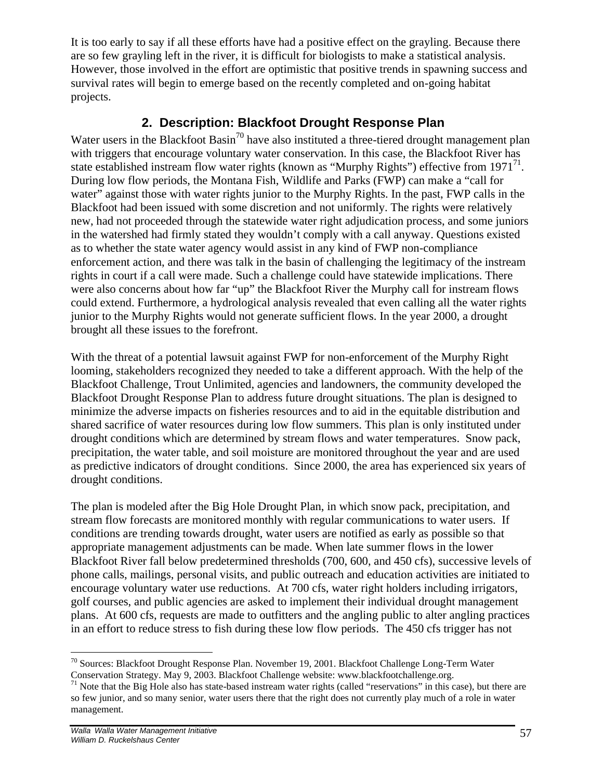It is too early to say if all these efforts have had a positive effect on the grayling. Because there are so few grayling left in the river, it is difficult for biologists to make a statistical analysis. However, those involved in the effort are optimistic that positive trends in spawning success and survival rates will begin to emerge based on the recently completed and on-going habitat projects.

#### **2. Description: Blackfoot Drought Response Plan**

Water users in the Blackfoot Basin<sup>70</sup> have also instituted a three-tiered drought management plan with triggers that encourage voluntary water conservation. In this case, the Blackfoot River has state established instream flow water rights (known as "Murphy Rights") effective from  $1971^{71}$ . During low flow periods, the Montana Fish, Wildlife and Parks (FWP) can make a "call for water" against those with water rights junior to the Murphy Rights. In the past, FWP calls in the Blackfoot had been issued with some discretion and not uniformly. The rights were relatively new, had not proceeded through the statewide water right adjudication process, and some juniors in the watershed had firmly stated they wouldn't comply with a call anyway. Questions existed as to whether the state water agency would assist in any kind of FWP non-compliance enforcement action, and there was talk in the basin of challenging the legitimacy of the instream rights in court if a call were made. Such a challenge could have statewide implications. There were also concerns about how far "up" the Blackfoot River the Murphy call for instream flows could extend. Furthermore, a hydrological analysis revealed that even calling all the water rights junior to the Murphy Rights would not generate sufficient flows. In the year 2000, a drought brought all these issues to the forefront.

With the threat of a potential lawsuit against FWP for non-enforcement of the Murphy Right looming, stakeholders recognized they needed to take a different approach. With the help of the Blackfoot Challenge, Trout Unlimited, agencies and landowners, the community developed the Blackfoot Drought Response Plan to address future drought situations. The plan is designed to minimize the adverse impacts on fisheries resources and to aid in the equitable distribution and shared sacrifice of water resources during low flow summers. This plan is only instituted under drought conditions which are determined by stream flows and water temperatures. Snow pack, precipitation, the water table, and soil moisture are monitored throughout the year and are used as predictive indicators of drought conditions. Since 2000, the area has experienced six years of drought conditions.

The plan is modeled after the Big Hole Drought Plan, in which snow pack, precipitation, and stream flow forecasts are monitored monthly with regular communications to water users. If conditions are trending towards drought, water users are notified as early as possible so that appropriate management adjustments can be made. When late summer flows in the lower Blackfoot River fall below predetermined thresholds (700, 600, and 450 cfs), successive levels of phone calls, mailings, personal visits, and public outreach and education activities are initiated to encourage voluntary water use reductions. At 700 cfs, water right holders including irrigators, golf courses, and public agencies are asked to implement their individual drought management plans. At 600 cfs, requests are made to outfitters and the angling public to alter angling practices in an effort to reduce stress to fish during these low flow periods. The 450 cfs trigger has not

 $\overline{a}$  $70$  Sources: Blackfoot Drought Response Plan. November 19, 2001. Blackfoot Challenge Long-Term Water Conservation Strategy. May 9, 2003. Blackfoot Challenge website: www.blackfootchallenge.org.

 $71$  Note that the Big Hole also has state-based instream water rights (called "reservations" in this case), but there are so few junior, and so many senior, water users there that the right does not currently play much of a role in water management.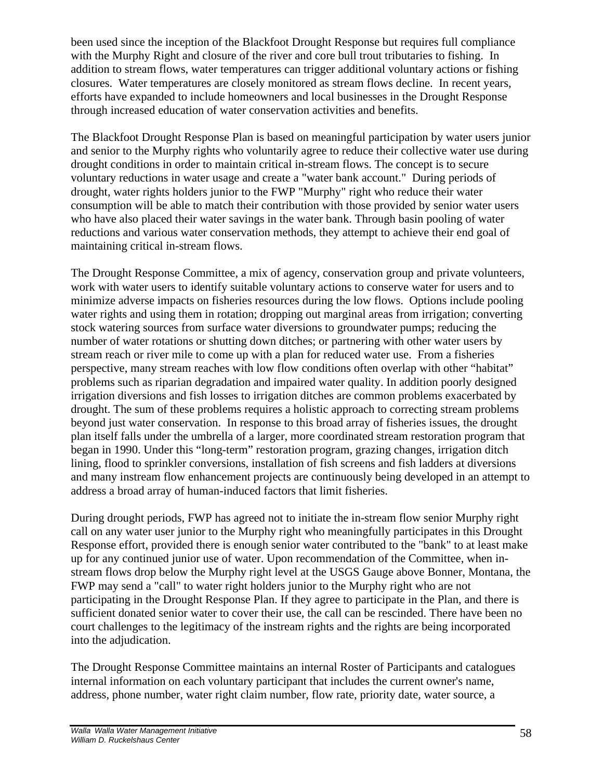been used since the inception of the Blackfoot Drought Response but requires full compliance with the Murphy Right and closure of the river and core bull trout tributaries to fishing. In addition to stream flows, water temperatures can trigger additional voluntary actions or fishing closures. Water temperatures are closely monitored as stream flows decline. In recent years, efforts have expanded to include homeowners and local businesses in the Drought Response through increased education of water conservation activities and benefits.

The Blackfoot Drought Response Plan is based on meaningful participation by water users junior and senior to the Murphy rights who voluntarily agree to reduce their collective water use during drought conditions in order to maintain critical in-stream flows. The concept is to secure voluntary reductions in water usage and create a "water bank account." During periods of drought, water rights holders junior to the FWP "Murphy" right who reduce their water consumption will be able to match their contribution with those provided by senior water users who have also placed their water savings in the water bank. Through basin pooling of water reductions and various water conservation methods, they attempt to achieve their end goal of maintaining critical in-stream flows.

The Drought Response Committee, a mix of agency, conservation group and private volunteers, work with water users to identify suitable voluntary actions to conserve water for users and to minimize adverse impacts on fisheries resources during the low flows. Options include pooling water rights and using them in rotation; dropping out marginal areas from irrigation; converting stock watering sources from surface water diversions to groundwater pumps; reducing the number of water rotations or shutting down ditches; or partnering with other water users by stream reach or river mile to come up with a plan for reduced water use. From a fisheries perspective, many stream reaches with low flow conditions often overlap with other "habitat" problems such as riparian degradation and impaired water quality. In addition poorly designed irrigation diversions and fish losses to irrigation ditches are common problems exacerbated by drought. The sum of these problems requires a holistic approach to correcting stream problems beyond just water conservation. In response to this broad array of fisheries issues, the drought plan itself falls under the umbrella of a larger, more coordinated stream restoration program that began in 1990. Under this "long-term" restoration program, grazing changes, irrigation ditch lining, flood to sprinkler conversions, installation of fish screens and fish ladders at diversions and many instream flow enhancement projects are continuously being developed in an attempt to address a broad array of human-induced factors that limit fisheries.

During drought periods, FWP has agreed not to initiate the in-stream flow senior Murphy right call on any water user junior to the Murphy right who meaningfully participates in this Drought Response effort, provided there is enough senior water contributed to the "bank" to at least make up for any continued junior use of water. Upon recommendation of the Committee, when instream flows drop below the Murphy right level at the USGS Gauge above Bonner, Montana, the FWP may send a "call" to water right holders junior to the Murphy right who are not participating in the Drought Response Plan. If they agree to participate in the Plan, and there is sufficient donated senior water to cover their use, the call can be rescinded. There have been no court challenges to the legitimacy of the instream rights and the rights are being incorporated into the adjudication.

The Drought Response Committee maintains an internal Roster of Participants and catalogues internal information on each voluntary participant that includes the current owner's name, address, phone number, water right claim number, flow rate, priority date, water source, a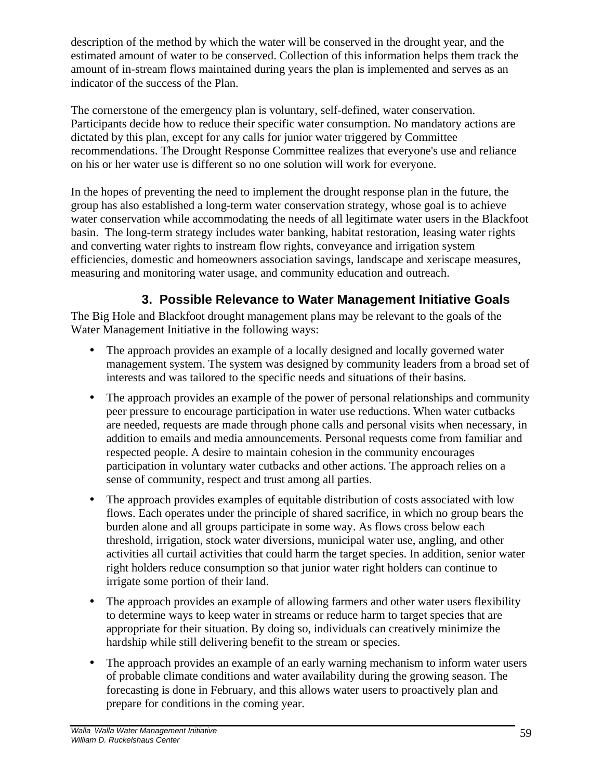description of the method by which the water will be conserved in the drought year, and the estimated amount of water to be conserved. Collection of this information helps them track the amount of in-stream flows maintained during years the plan is implemented and serves as an indicator of the success of the Plan.

The cornerstone of the emergency plan is voluntary, self-defined, water conservation. Participants decide how to reduce their specific water consumption. No mandatory actions are dictated by this plan, except for any calls for junior water triggered by Committee recommendations. The Drought Response Committee realizes that everyone's use and reliance on his or her water use is different so no one solution will work for everyone.

In the hopes of preventing the need to implement the drought response plan in the future, the group has also established a long-term water conservation strategy, whose goal is to achieve water conservation while accommodating the needs of all legitimate water users in the Blackfoot basin. The long-term strategy includes water banking, habitat restoration, leasing water rights and converting water rights to instream flow rights, conveyance and irrigation system efficiencies, domestic and homeowners association savings, landscape and xeriscape measures, measuring and monitoring water usage, and community education and outreach.

# **3. Possible Relevance to Water Management Initiative Goals**

The Big Hole and Blackfoot drought management plans may be relevant to the goals of the Water Management Initiative in the following ways:

- The approach provides an example of a locally designed and locally governed water management system. The system was designed by community leaders from a broad set of interests and was tailored to the specific needs and situations of their basins.
- The approach provides an example of the power of personal relationships and community peer pressure to encourage participation in water use reductions. When water cutbacks are needed, requests are made through phone calls and personal visits when necessary, in addition to emails and media announcements. Personal requests come from familiar and respected people. A desire to maintain cohesion in the community encourages participation in voluntary water cutbacks and other actions. The approach relies on a sense of community, respect and trust among all parties.
- The approach provides examples of equitable distribution of costs associated with low flows. Each operates under the principle of shared sacrifice, in which no group bears the burden alone and all groups participate in some way. As flows cross below each threshold, irrigation, stock water diversions, municipal water use, angling, and other activities all curtail activities that could harm the target species. In addition, senior water right holders reduce consumption so that junior water right holders can continue to irrigate some portion of their land.
- The approach provides an example of allowing farmers and other water users flexibility to determine ways to keep water in streams or reduce harm to target species that are appropriate for their situation. By doing so, individuals can creatively minimize the hardship while still delivering benefit to the stream or species.
- The approach provides an example of an early warning mechanism to inform water users of probable climate conditions and water availability during the growing season. The forecasting is done in February, and this allows water users to proactively plan and prepare for conditions in the coming year.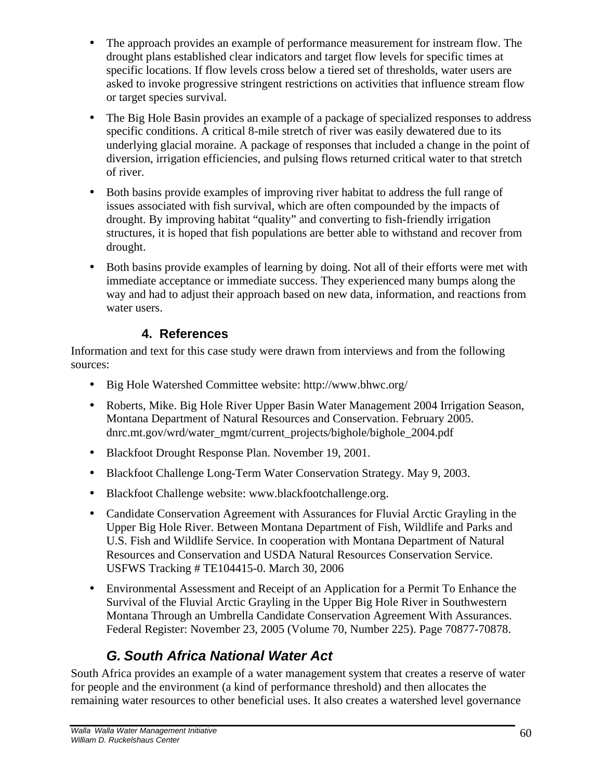- The approach provides an example of performance measurement for instream flow. The drought plans established clear indicators and target flow levels for specific times at specific locations. If flow levels cross below a tiered set of thresholds, water users are asked to invoke progressive stringent restrictions on activities that influence stream flow or target species survival.
- The Big Hole Basin provides an example of a package of specialized responses to address specific conditions. A critical 8-mile stretch of river was easily dewatered due to its underlying glacial moraine. A package of responses that included a change in the point of diversion, irrigation efficiencies, and pulsing flows returned critical water to that stretch of river.
- Both basins provide examples of improving river habitat to address the full range of issues associated with fish survival, which are often compounded by the impacts of drought. By improving habitat "quality" and converting to fish-friendly irrigation structures, it is hoped that fish populations are better able to withstand and recover from drought.
- Both basins provide examples of learning by doing. Not all of their efforts were met with immediate acceptance or immediate success. They experienced many bumps along the way and had to adjust their approach based on new data, information, and reactions from water users.

#### **4. References**

Information and text for this case study were drawn from interviews and from the following sources:

- Big Hole Watershed Committee website: http://www.bhwc.org/
- Roberts, Mike. Big Hole River Upper Basin Water Management 2004 Irrigation Season, Montana Department of Natural Resources and Conservation. February 2005. dnrc.mt.gov/wrd/water\_mgmt/current\_projects/bighole/bighole\_2004.pdf
- Blackfoot Drought Response Plan. November 19, 2001.
- Blackfoot Challenge Long-Term Water Conservation Strategy. May 9, 2003.
- Blackfoot Challenge website: www.blackfootchallenge.org.
- Candidate Conservation Agreement with Assurances for Fluvial Arctic Grayling in the Upper Big Hole River. Between Montana Department of Fish, Wildlife and Parks and U.S. Fish and Wildlife Service. In cooperation with Montana Department of Natural Resources and Conservation and USDA Natural Resources Conservation Service. USFWS Tracking # TE104415-0. March 30, 2006
- Environmental Assessment and Receipt of an Application for a Permit To Enhance the Survival of the Fluvial Arctic Grayling in the Upper Big Hole River in Southwestern Montana Through an Umbrella Candidate Conservation Agreement With Assurances. Federal Register: November 23, 2005 (Volume 70, Number 225). Page 70877-70878.

# *G. South Africa National Water Act*

South Africa provides an example of a water management system that creates a reserve of water for people and the environment (a kind of performance threshold) and then allocates the remaining water resources to other beneficial uses. It also creates a watershed level governance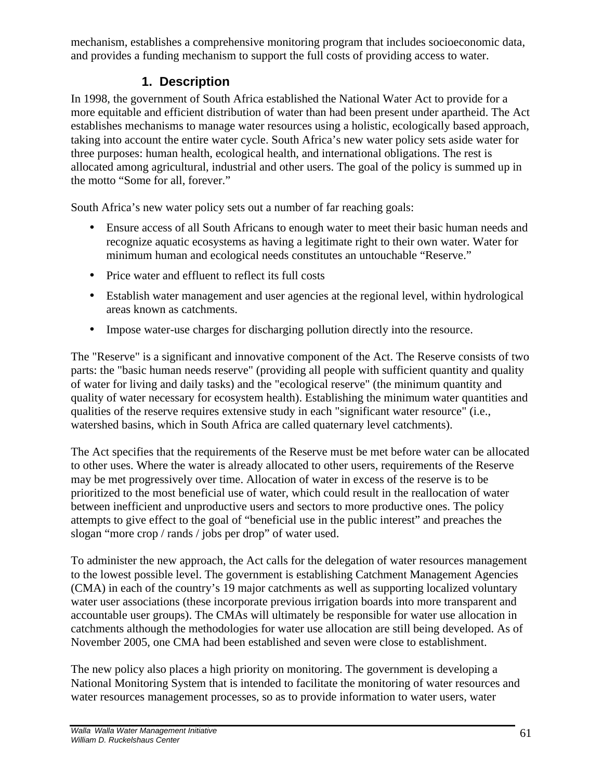mechanism, establishes a comprehensive monitoring program that includes socioeconomic data, and provides a funding mechanism to support the full costs of providing access to water.

#### **1. Description**

In 1998, the government of South Africa established the National Water Act to provide for a more equitable and efficient distribution of water than had been present under apartheid. The Act establishes mechanisms to manage water resources using a holistic, ecologically based approach, taking into account the entire water cycle. South Africa's new water policy sets aside water for three purposes: human health, ecological health, and international obligations. The rest is allocated among agricultural, industrial and other users. The goal of the policy is summed up in the motto "Some for all, forever."

South Africa's new water policy sets out a number of far reaching goals:

- Ensure access of all South Africans to enough water to meet their basic human needs and recognize aquatic ecosystems as having a legitimate right to their own water. Water for minimum human and ecological needs constitutes an untouchable "Reserve."
- Price water and effluent to reflect its full costs
- Establish water management and user agencies at the regional level, within hydrological areas known as catchments.
- Impose water-use charges for discharging pollution directly into the resource.

The "Reserve" is a significant and innovative component of the Act. The Reserve consists of two parts: the "basic human needs reserve" (providing all people with sufficient quantity and quality of water for living and daily tasks) and the "ecological reserve" (the minimum quantity and quality of water necessary for ecosystem health). Establishing the minimum water quantities and qualities of the reserve requires extensive study in each "significant water resource" (i.e., watershed basins, which in South Africa are called quaternary level catchments).

The Act specifies that the requirements of the Reserve must be met before water can be allocated to other uses. Where the water is already allocated to other users, requirements of the Reserve may be met progressively over time. Allocation of water in excess of the reserve is to be prioritized to the most beneficial use of water, which could result in the reallocation of water between inefficient and unproductive users and sectors to more productive ones. The policy attempts to give effect to the goal of "beneficial use in the public interest" and preaches the slogan "more crop / rands / jobs per drop" of water used.

To administer the new approach, the Act calls for the delegation of water resources management to the lowest possible level. The government is establishing Catchment Management Agencies (CMA) in each of the country's 19 major catchments as well as supporting localized voluntary water user associations (these incorporate previous irrigation boards into more transparent and accountable user groups). The CMAs will ultimately be responsible for water use allocation in catchments although the methodologies for water use allocation are still being developed. As of November 2005, one CMA had been established and seven were close to establishment.

The new policy also places a high priority on monitoring. The government is developing a National Monitoring System that is intended to facilitate the monitoring of water resources and water resources management processes, so as to provide information to water users, water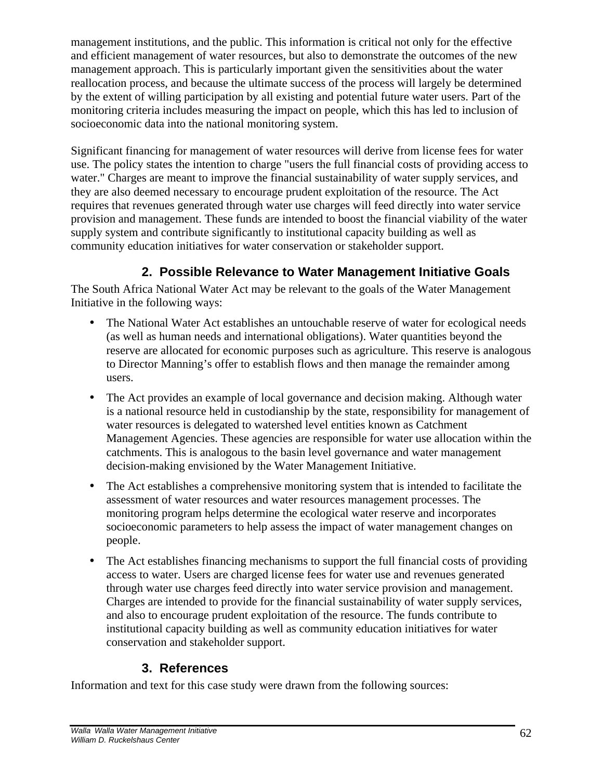management institutions, and the public. This information is critical not only for the effective and efficient management of water resources, but also to demonstrate the outcomes of the new management approach. This is particularly important given the sensitivities about the water reallocation process, and because the ultimate success of the process will largely be determined by the extent of willing participation by all existing and potential future water users. Part of the monitoring criteria includes measuring the impact on people, which this has led to inclusion of socioeconomic data into the national monitoring system.

Significant financing for management of water resources will derive from license fees for water use. The policy states the intention to charge "users the full financial costs of providing access to water." Charges are meant to improve the financial sustainability of water supply services, and they are also deemed necessary to encourage prudent exploitation of the resource. The Act requires that revenues generated through water use charges will feed directly into water service provision and management. These funds are intended to boost the financial viability of the water supply system and contribute significantly to institutional capacity building as well as community education initiatives for water conservation or stakeholder support.

## **2. Possible Relevance to Water Management Initiative Goals**

The South Africa National Water Act may be relevant to the goals of the Water Management Initiative in the following ways:

- The National Water Act establishes an untouchable reserve of water for ecological needs (as well as human needs and international obligations). Water quantities beyond the reserve are allocated for economic purposes such as agriculture. This reserve is analogous to Director Manning's offer to establish flows and then manage the remainder among users.
- The Act provides an example of local governance and decision making. Although water is a national resource held in custodianship by the state, responsibility for management of water resources is delegated to watershed level entities known as Catchment Management Agencies. These agencies are responsible for water use allocation within the catchments. This is analogous to the basin level governance and water management decision-making envisioned by the Water Management Initiative.
- The Act establishes a comprehensive monitoring system that is intended to facilitate the assessment of water resources and water resources management processes. The monitoring program helps determine the ecological water reserve and incorporates socioeconomic parameters to help assess the impact of water management changes on people.
- The Act establishes financing mechanisms to support the full financial costs of providing access to water. Users are charged license fees for water use and revenues generated through water use charges feed directly into water service provision and management. Charges are intended to provide for the financial sustainability of water supply services, and also to encourage prudent exploitation of the resource. The funds contribute to institutional capacity building as well as community education initiatives for water conservation and stakeholder support.

#### **3. References**

Information and text for this case study were drawn from the following sources: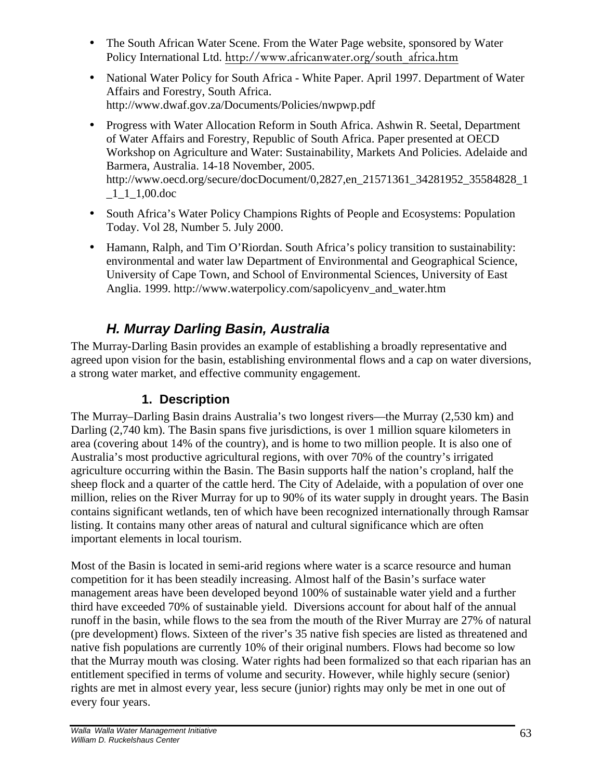- The South African Water Scene. From the Water Page website, sponsored by Water Policy International Ltd. http://www.africanwater.org/south\_africa.htm
- National Water Policy for South Africa White Paper. April 1997. Department of Water Affairs and Forestry, South Africa. http://www.dwaf.gov.za/Documents/Policies/nwpwp.pdf
- Progress with Water Allocation Reform in South Africa. Ashwin R. Seetal, Department of Water Affairs and Forestry, Republic of South Africa. Paper presented at OECD Workshop on Agriculture and Water: Sustainability, Markets And Policies. Adelaide and Barmera, Australia. 14-18 November, 2005. http://www.oecd.org/secure/docDocument/0,2827,en\_21571361\_34281952\_35584828\_1 \_1\_1\_1,00.doc
- South Africa's Water Policy Champions Rights of People and Ecosystems: Population Today. Vol 28, Number 5. July 2000.
- Hamann, Ralph, and Tim O'Riordan. South Africa's policy transition to sustainability: environmental and water law Department of Environmental and Geographical Science, University of Cape Town, and School of Environmental Sciences, University of East Anglia. 1999. http://www.waterpolicy.com/sapolicyenv\_and\_water.htm

# *H. Murray Darling Basin, Australia*

The Murray-Darling Basin provides an example of establishing a broadly representative and agreed upon vision for the basin, establishing environmental flows and a cap on water diversions, a strong water market, and effective community engagement.

## **1. Description**

The Murray–Darling Basin drains Australia's two longest rivers—the Murray (2,530 km) and Darling (2,740 km). The Basin spans five jurisdictions, is over 1 million square kilometers in area (covering about 14% of the country), and is home to two million people. It is also one of Australia's most productive agricultural regions, with over 70% of the country's irrigated agriculture occurring within the Basin. The Basin supports half the nation's cropland, half the sheep flock and a quarter of the cattle herd. The City of Adelaide, with a population of over one million, relies on the River Murray for up to 90% of its water supply in drought years. The Basin contains significant wetlands, ten of which have been recognized internationally through Ramsar listing. It contains many other areas of natural and cultural significance which are often important elements in local tourism.

Most of the Basin is located in semi-arid regions where water is a scarce resource and human competition for it has been steadily increasing. Almost half of the Basin's surface water management areas have been developed beyond 100% of sustainable water yield and a further third have exceeded 70% of sustainable yield. Diversions account for about half of the annual runoff in the basin, while flows to the sea from the mouth of the River Murray are 27% of natural (pre development) flows. Sixteen of the river's 35 native fish species are listed as threatened and native fish populations are currently 10% of their original numbers. Flows had become so low that the Murray mouth was closing. Water rights had been formalized so that each riparian has an entitlement specified in terms of volume and security. However, while highly secure (senior) rights are met in almost every year, less secure (junior) rights may only be met in one out of every four years.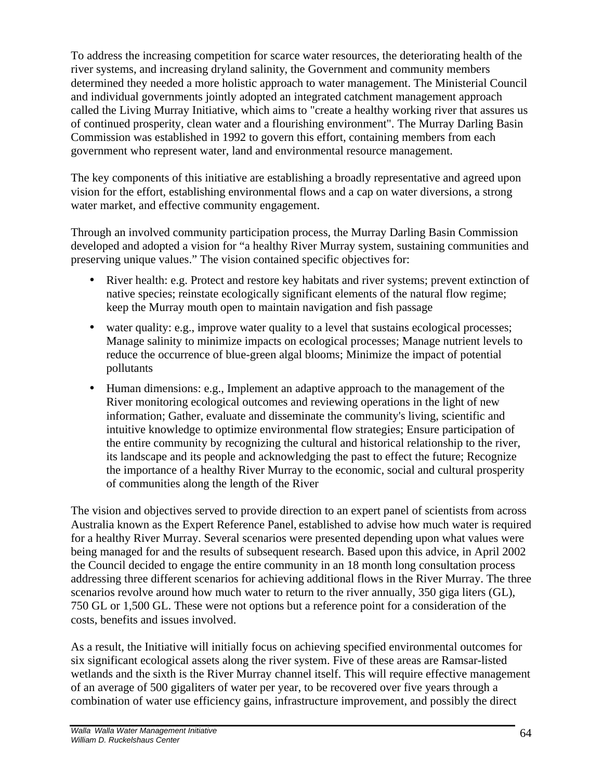To address the increasing competition for scarce water resources, the deteriorating health of the river systems, and increasing dryland salinity, the Government and community members determined they needed a more holistic approach to water management. The Ministerial Council and individual governments jointly adopted an integrated catchment management approach called the Living Murray Initiative, which aims to "create a healthy working river that assures us of continued prosperity, clean water and a flourishing environment". The Murray Darling Basin Commission was established in 1992 to govern this effort, containing members from each government who represent water, land and environmental resource management.

The key components of this initiative are establishing a broadly representative and agreed upon vision for the effort, establishing environmental flows and a cap on water diversions, a strong water market, and effective community engagement.

Through an involved community participation process, the Murray Darling Basin Commission developed and adopted a vision for "a healthy River Murray system, sustaining communities and preserving unique values." The vision contained specific objectives for:

- River health: e.g. Protect and restore key habitats and river systems; prevent extinction of native species; reinstate ecologically significant elements of the natural flow regime; keep the Murray mouth open to maintain navigation and fish passage
- water quality: e.g., improve water quality to a level that sustains ecological processes; Manage salinity to minimize impacts on ecological processes; Manage nutrient levels to reduce the occurrence of blue-green algal blooms; Minimize the impact of potential pollutants
- Human dimensions: e.g., Implement an adaptive approach to the management of the River monitoring ecological outcomes and reviewing operations in the light of new information; Gather, evaluate and disseminate the community's living, scientific and intuitive knowledge to optimize environmental flow strategies; Ensure participation of the entire community by recognizing the cultural and historical relationship to the river, its landscape and its people and acknowledging the past to effect the future; Recognize the importance of a healthy River Murray to the economic, social and cultural prosperity of communities along the length of the River

The vision and objectives served to provide direction to an expert panel of scientists from across Australia known as the Expert Reference Panel, established to advise how much water is required for a healthy River Murray. Several scenarios were presented depending upon what values were being managed for and the results of subsequent research. Based upon this advice, in April 2002 the Council decided to engage the entire community in an 18 month long consultation process addressing three different scenarios for achieving additional flows in the River Murray. The three scenarios revolve around how much water to return to the river annually, 350 giga liters (GL), 750 GL or 1,500 GL. These were not options but a reference point for a consideration of the costs, benefits and issues involved.

As a result, the Initiative will initially focus on achieving specified environmental outcomes for six significant ecological assets along the river system. Five of these areas are Ramsar-listed wetlands and the sixth is the River Murray channel itself. This will require effective management of an average of 500 gigaliters of water per year, to be recovered over five years through a combination of water use efficiency gains, infrastructure improvement, and possibly the direct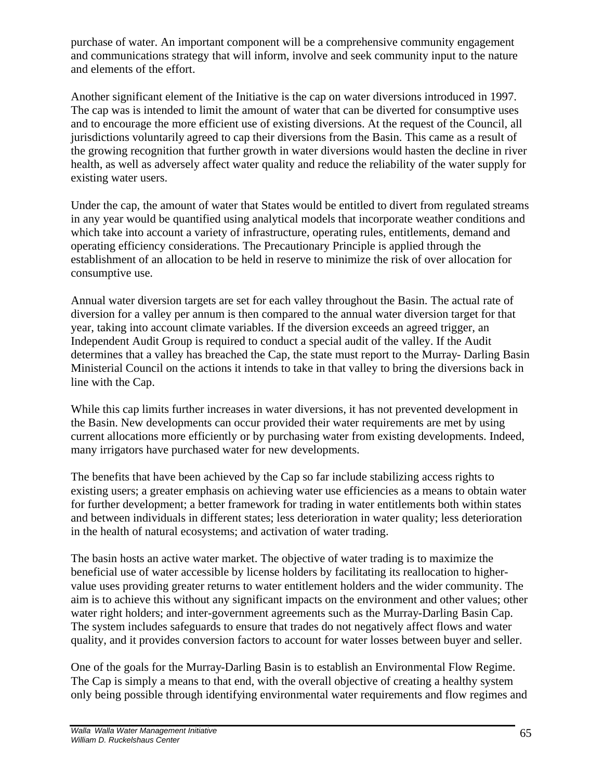purchase of water. An important component will be a comprehensive community engagement and communications strategy that will inform, involve and seek community input to the nature and elements of the effort.

Another significant element of the Initiative is the cap on water diversions introduced in 1997. The cap was is intended to limit the amount of water that can be diverted for consumptive uses and to encourage the more efficient use of existing diversions. At the request of the Council, all jurisdictions voluntarily agreed to cap their diversions from the Basin. This came as a result of the growing recognition that further growth in water diversions would hasten the decline in river health, as well as adversely affect water quality and reduce the reliability of the water supply for existing water users.

Under the cap, the amount of water that States would be entitled to divert from regulated streams in any year would be quantified using analytical models that incorporate weather conditions and which take into account a variety of infrastructure, operating rules, entitlements, demand and operating efficiency considerations. The Precautionary Principle is applied through the establishment of an allocation to be held in reserve to minimize the risk of over allocation for consumptive use.

Annual water diversion targets are set for each valley throughout the Basin. The actual rate of diversion for a valley per annum is then compared to the annual water diversion target for that year, taking into account climate variables. If the diversion exceeds an agreed trigger, an Independent Audit Group is required to conduct a special audit of the valley. If the Audit determines that a valley has breached the Cap, the state must report to the Murray- Darling Basin Ministerial Council on the actions it intends to take in that valley to bring the diversions back in line with the Cap.

While this cap limits further increases in water diversions, it has not prevented development in the Basin. New developments can occur provided their water requirements are met by using current allocations more efficiently or by purchasing water from existing developments. Indeed, many irrigators have purchased water for new developments.

The benefits that have been achieved by the Cap so far include stabilizing access rights to existing users; a greater emphasis on achieving water use efficiencies as a means to obtain water for further development; a better framework for trading in water entitlements both within states and between individuals in different states; less deterioration in water quality; less deterioration in the health of natural ecosystems; and activation of water trading.

The basin hosts an active water market. The objective of water trading is to maximize the beneficial use of water accessible by license holders by facilitating its reallocation to highervalue uses providing greater returns to water entitlement holders and the wider community. The aim is to achieve this without any significant impacts on the environment and other values; other water right holders; and inter-government agreements such as the Murray-Darling Basin Cap. The system includes safeguards to ensure that trades do not negatively affect flows and water quality, and it provides conversion factors to account for water losses between buyer and seller.

One of the goals for the Murray-Darling Basin is to establish an Environmental Flow Regime. The Cap is simply a means to that end, with the overall objective of creating a healthy system only being possible through identifying environmental water requirements and flow regimes and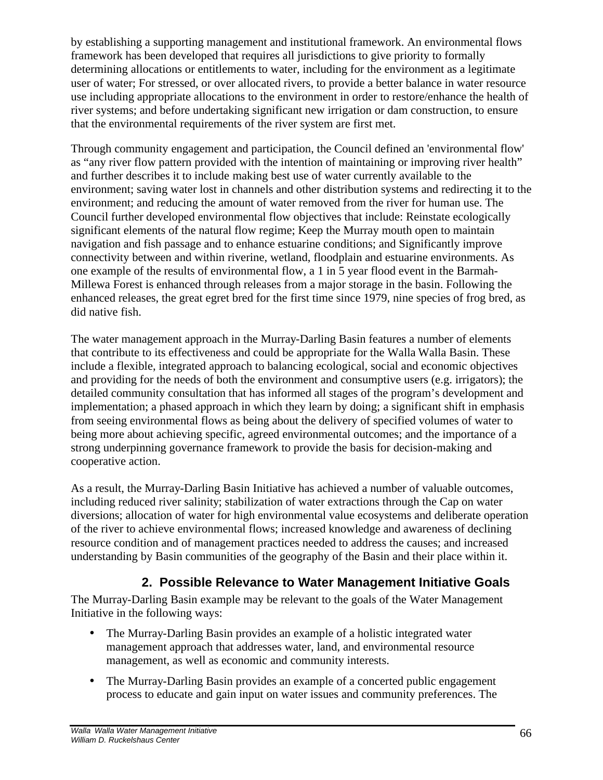by establishing a supporting management and institutional framework. An environmental flows framework has been developed that requires all jurisdictions to give priority to formally determining allocations or entitlements to water, including for the environment as a legitimate user of water; For stressed, or over allocated rivers, to provide a better balance in water resource use including appropriate allocations to the environment in order to restore/enhance the health of river systems; and before undertaking significant new irrigation or dam construction, to ensure that the environmental requirements of the river system are first met.

Through community engagement and participation, the Council defined an 'environmental flow' as "any river flow pattern provided with the intention of maintaining or improving river health" and further describes it to include making best use of water currently available to the environment; saving water lost in channels and other distribution systems and redirecting it to the environment; and reducing the amount of water removed from the river for human use. The Council further developed environmental flow objectives that include: Reinstate ecologically significant elements of the natural flow regime; Keep the Murray mouth open to maintain navigation and fish passage and to enhance estuarine conditions; and Significantly improve connectivity between and within riverine, wetland, floodplain and estuarine environments. As one example of the results of environmental flow, a 1 in 5 year flood event in the Barmah-Millewa Forest is enhanced through releases from a major storage in the basin. Following the enhanced releases, the great egret bred for the first time since 1979, nine species of frog bred, as did native fish.

The water management approach in the Murray-Darling Basin features a number of elements that contribute to its effectiveness and could be appropriate for the Walla Walla Basin. These include a flexible, integrated approach to balancing ecological, social and economic objectives and providing for the needs of both the environment and consumptive users (e.g. irrigators); the detailed community consultation that has informed all stages of the program's development and implementation; a phased approach in which they learn by doing; a significant shift in emphasis from seeing environmental flows as being about the delivery of specified volumes of water to being more about achieving specific, agreed environmental outcomes; and the importance of a strong underpinning governance framework to provide the basis for decision-making and cooperative action.

As a result, the Murray-Darling Basin Initiative has achieved a number of valuable outcomes, including reduced river salinity; stabilization of water extractions through the Cap on water diversions; allocation of water for high environmental value ecosystems and deliberate operation of the river to achieve environmental flows; increased knowledge and awareness of declining resource condition and of management practices needed to address the causes; and increased understanding by Basin communities of the geography of the Basin and their place within it.

## **2. Possible Relevance to Water Management Initiative Goals**

The Murray-Darling Basin example may be relevant to the goals of the Water Management Initiative in the following ways:

- The Murray-Darling Basin provides an example of a holistic integrated water management approach that addresses water, land, and environmental resource management, as well as economic and community interests.
- The Murray-Darling Basin provides an example of a concerted public engagement process to educate and gain input on water issues and community preferences. The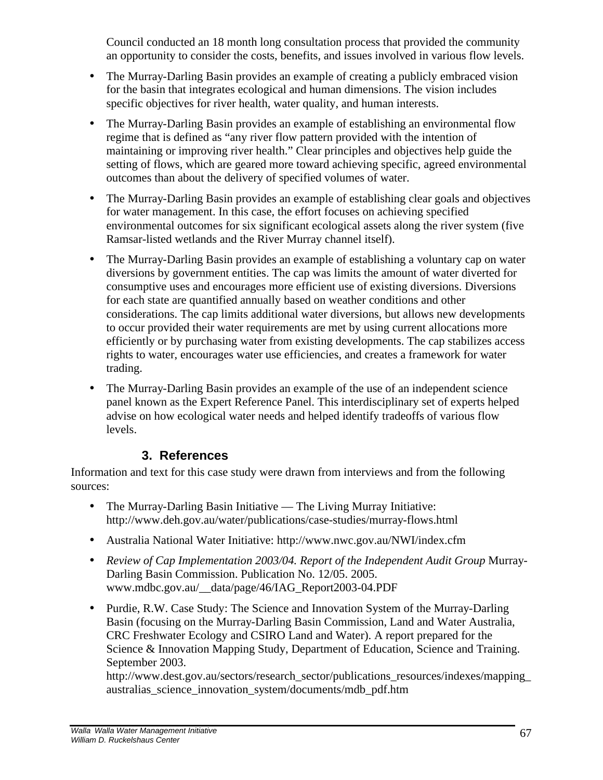Council conducted an 18 month long consultation process that provided the community an opportunity to consider the costs, benefits, and issues involved in various flow levels.

- The Murray-Darling Basin provides an example of creating a publicly embraced vision for the basin that integrates ecological and human dimensions. The vision includes specific objectives for river health, water quality, and human interests.
- The Murray-Darling Basin provides an example of establishing an environmental flow regime that is defined as "any river flow pattern provided with the intention of maintaining or improving river health." Clear principles and objectives help guide the setting of flows, which are geared more toward achieving specific, agreed environmental outcomes than about the delivery of specified volumes of water.
- The Murray-Darling Basin provides an example of establishing clear goals and objectives for water management. In this case, the effort focuses on achieving specified environmental outcomes for six significant ecological assets along the river system (five Ramsar-listed wetlands and the River Murray channel itself).
- The Murray-Darling Basin provides an example of establishing a voluntary cap on water diversions by government entities. The cap was limits the amount of water diverted for consumptive uses and encourages more efficient use of existing diversions. Diversions for each state are quantified annually based on weather conditions and other considerations. The cap limits additional water diversions, but allows new developments to occur provided their water requirements are met by using current allocations more efficiently or by purchasing water from existing developments. The cap stabilizes access rights to water, encourages water use efficiencies, and creates a framework for water trading.
- The Murray-Darling Basin provides an example of the use of an independent science panel known as the Expert Reference Panel. This interdisciplinary set of experts helped advise on how ecological water needs and helped identify tradeoffs of various flow levels.

## **3. References**

Information and text for this case study were drawn from interviews and from the following sources:

- The Murray-Darling Basin Initiative The Living Murray Initiative: http://www.deh.gov.au/water/publications/case-studies/murray-flows.html
- Australia National Water Initiative: http://www.nwc.gov.au/NWI/index.cfm
- *Review of Cap Implementation 2003/04. Report of the Independent Audit Group Murray-*Darling Basin Commission. Publication No. 12/05. 2005. www.mdbc.gov.au/\_\_data/page/46/IAG\_Report2003-04.PDF
- Purdie, R.W. Case Study: The Science and Innovation System of the Murray-Darling Basin (focusing on the Murray-Darling Basin Commission, Land and Water Australia, CRC Freshwater Ecology and CSIRO Land and Water). A report prepared for the Science & Innovation Mapping Study, Department of Education, Science and Training. September 2003.

http://www.dest.gov.au/sectors/research\_sector/publications\_resources/indexes/mapping\_ australias\_science\_innovation\_system/documents/mdb\_pdf.htm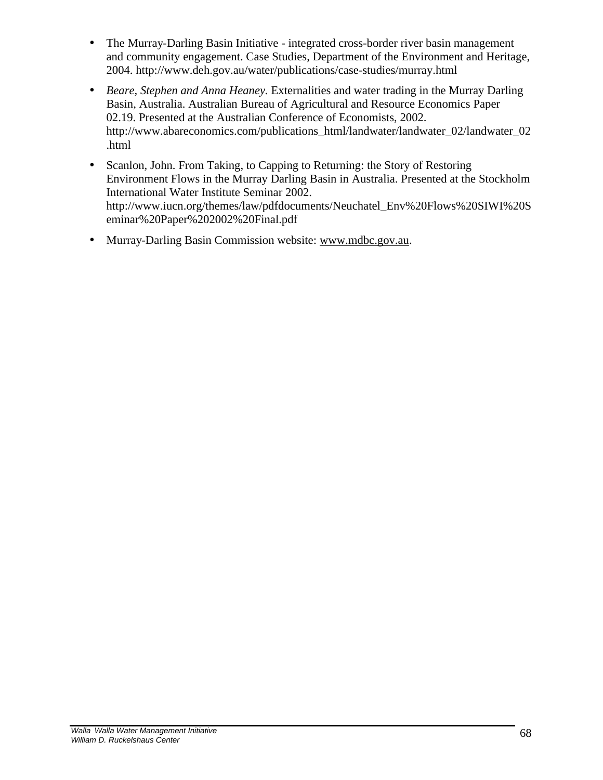- The Murray-Darling Basin Initiative integrated cross-border river basin management and community engagement. Case Studies, Department of the Environment and Heritage, 2004. http://www.deh.gov.au/water/publications/case-studies/murray.html
- *Beare, Stephen and Anna Heaney.* Externalities and water trading in the Murray Darling Basin, Australia. Australian Bureau of Agricultural and Resource Economics Paper 02.19. Presented at the Australian Conference of Economists, 2002. http://www.abareconomics.com/publications\_html/landwater/landwater\_02/landwater\_02 .html
- Scanlon, John. From Taking, to Capping to Returning: the Story of Restoring Environment Flows in the Murray Darling Basin in Australia. Presented at the Stockholm International Water Institute Seminar 2002. http://www.iucn.org/themes/law/pdfdocuments/Neuchatel\_Env%20Flows%20SIWI%20S eminar%20Paper%202002%20Final.pdf
- Murray-Darling Basin Commission website: www.mdbc.gov.au.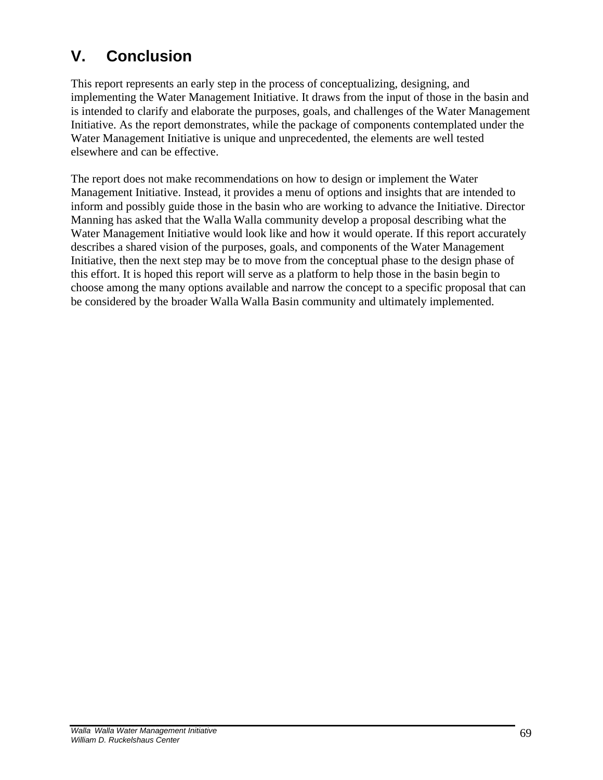# **V. Conclusion**

This report represents an early step in the process of conceptualizing, designing, and implementing the Water Management Initiative. It draws from the input of those in the basin and is intended to clarify and elaborate the purposes, goals, and challenges of the Water Management Initiative. As the report demonstrates, while the package of components contemplated under the Water Management Initiative is unique and unprecedented, the elements are well tested elsewhere and can be effective.

The report does not make recommendations on how to design or implement the Water Management Initiative. Instead, it provides a menu of options and insights that are intended to inform and possibly guide those in the basin who are working to advance the Initiative. Director Manning has asked that the Walla Walla community develop a proposal describing what the Water Management Initiative would look like and how it would operate. If this report accurately describes a shared vision of the purposes, goals, and components of the Water Management Initiative, then the next step may be to move from the conceptual phase to the design phase of this effort. It is hoped this report will serve as a platform to help those in the basin begin to choose among the many options available and narrow the concept to a specific proposal that can be considered by the broader Walla Walla Basin community and ultimately implemented.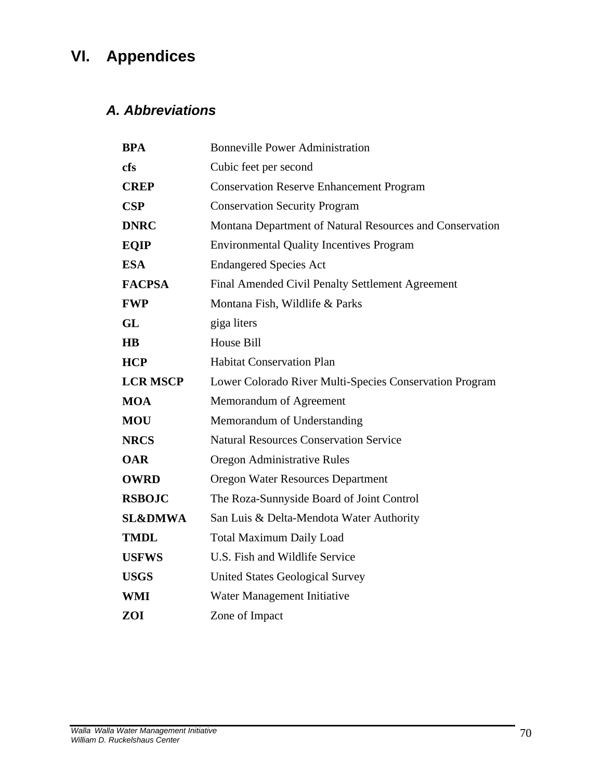# **VI. Appendices**

## *A. Abbreviations*

| <b>BPA</b>         | <b>Bonneville Power Administration</b>                   |
|--------------------|----------------------------------------------------------|
| cfs                | Cubic feet per second                                    |
| <b>CREP</b>        | <b>Conservation Reserve Enhancement Program</b>          |
| <b>CSP</b>         | <b>Conservation Security Program</b>                     |
| <b>DNRC</b>        | Montana Department of Natural Resources and Conservation |
| <b>EQIP</b>        | <b>Environmental Quality Incentives Program</b>          |
| <b>ESA</b>         | <b>Endangered Species Act</b>                            |
| <b>FACPSA</b>      | Final Amended Civil Penalty Settlement Agreement         |
| <b>FWP</b>         | Montana Fish, Wildlife & Parks                           |
| GL                 | giga liters                                              |
| $\overline{H}$     | House Bill                                               |
| <b>HCP</b>         | <b>Habitat Conservation Plan</b>                         |
| <b>LCR MSCP</b>    | Lower Colorado River Multi-Species Conservation Program  |
| <b>MOA</b>         | Memorandum of Agreement                                  |
| <b>MOU</b>         | Memorandum of Understanding                              |
| <b>NRCS</b>        | <b>Natural Resources Conservation Service</b>            |
| <b>OAR</b>         | Oregon Administrative Rules                              |
| <b>OWRD</b>        | <b>Oregon Water Resources Department</b>                 |
| <b>RSBOJC</b>      | The Roza-Sunnyside Board of Joint Control                |
| <b>SL&amp;DMWA</b> | San Luis & Delta-Mendota Water Authority                 |
| <b>TMDL</b>        | <b>Total Maximum Daily Load</b>                          |
| <b>USFWS</b>       | U.S. Fish and Wildlife Service                           |
| <b>USGS</b>        | <b>United States Geological Survey</b>                   |
| WMI                | Water Management Initiative                              |
| ZOI                | Zone of Impact                                           |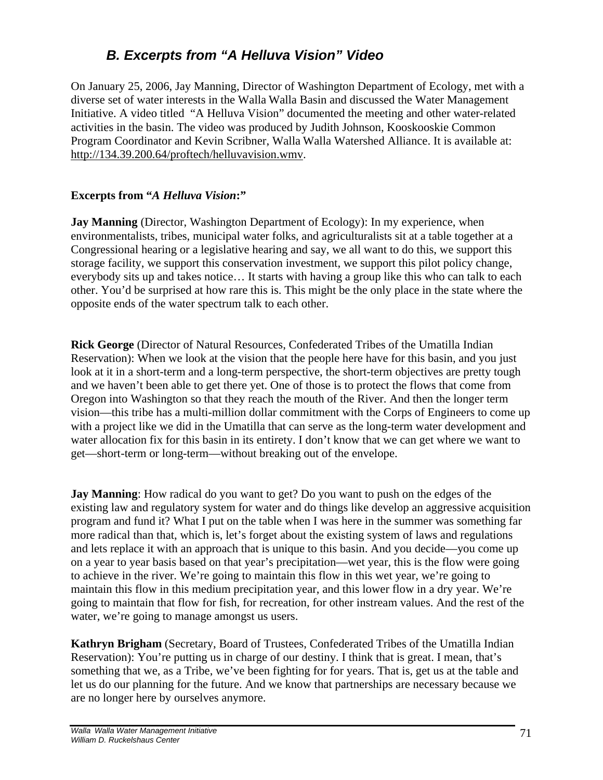## *B. Excerpts from "A Helluva Vision" Video*

On January 25, 2006, Jay Manning, Director of Washington Department of Ecology, met with a diverse set of water interests in the Walla Walla Basin and discussed the Water Management Initiative. A video titled "A Helluva Vision" documented the meeting and other water-related activities in the basin. The video was produced by Judith Johnson, Kooskooskie Common Program Coordinator and Kevin Scribner, Walla Walla Watershed Alliance. It is available at: http://134.39.200.64/proftech/helluvavision.wmv.

## **Excerpts from "***A Helluva Vision***:"**

**Jay Manning** (Director, Washington Department of Ecology): In my experience, when environmentalists, tribes, municipal water folks, and agriculturalists sit at a table together at a Congressional hearing or a legislative hearing and say, we all want to do this, we support this storage facility, we support this conservation investment, we support this pilot policy change, everybody sits up and takes notice… It starts with having a group like this who can talk to each other. You'd be surprised at how rare this is. This might be the only place in the state where the opposite ends of the water spectrum talk to each other.

**Rick George** (Director of Natural Resources, Confederated Tribes of the Umatilla Indian Reservation): When we look at the vision that the people here have for this basin, and you just look at it in a short-term and a long-term perspective, the short-term objectives are pretty tough and we haven't been able to get there yet. One of those is to protect the flows that come from Oregon into Washington so that they reach the mouth of the River. And then the longer term vision—this tribe has a multi-million dollar commitment with the Corps of Engineers to come up with a project like we did in the Umatilla that can serve as the long-term water development and water allocation fix for this basin in its entirety. I don't know that we can get where we want to get—short-term or long-term—without breaking out of the envelope.

**Jay Manning**: How radical do you want to get? Do you want to push on the edges of the existing law and regulatory system for water and do things like develop an aggressive acquisition program and fund it? What I put on the table when I was here in the summer was something far more radical than that, which is, let's forget about the existing system of laws and regulations and lets replace it with an approach that is unique to this basin. And you decide—you come up on a year to year basis based on that year's precipitation—wet year, this is the flow were going to achieve in the river. We're going to maintain this flow in this wet year, we're going to maintain this flow in this medium precipitation year, and this lower flow in a dry year. We're going to maintain that flow for fish, for recreation, for other instream values. And the rest of the water, we're going to manage amongst us users.

**Kathryn Brigham** (Secretary, Board of Trustees, Confederated Tribes of the Umatilla Indian Reservation): You're putting us in charge of our destiny. I think that is great. I mean, that's something that we, as a Tribe, we've been fighting for for years. That is, get us at the table and let us do our planning for the future. And we know that partnerships are necessary because we are no longer here by ourselves anymore.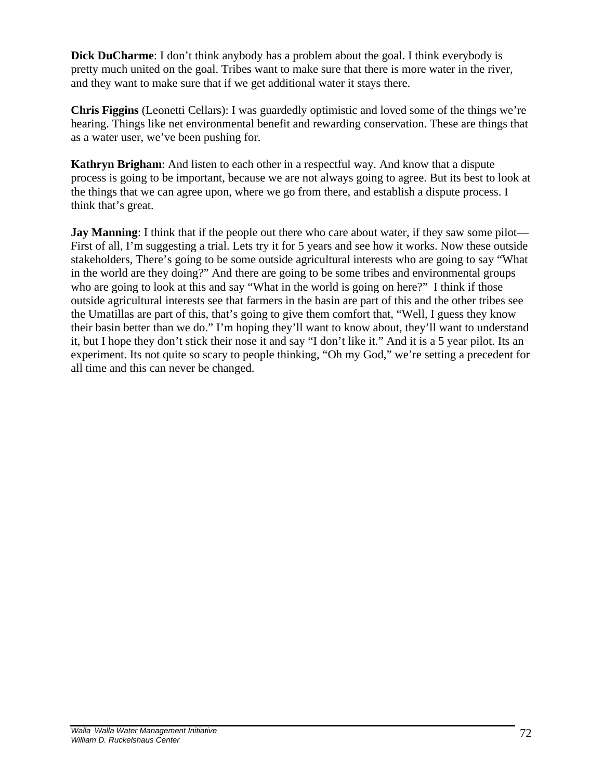**Dick DuCharme**: I don't think anybody has a problem about the goal. I think everybody is pretty much united on the goal. Tribes want to make sure that there is more water in the river, and they want to make sure that if we get additional water it stays there.

**Chris Figgins** (Leonetti Cellars): I was guardedly optimistic and loved some of the things we're hearing. Things like net environmental benefit and rewarding conservation. These are things that as a water user, we've been pushing for.

**Kathryn Brigham**: And listen to each other in a respectful way. And know that a dispute process is going to be important, because we are not always going to agree. But its best to look at the things that we can agree upon, where we go from there, and establish a dispute process. I think that's great.

**Jay Manning**: I think that if the people out there who care about water, if they saw some pilot— First of all, I'm suggesting a trial. Lets try it for 5 years and see how it works. Now these outside stakeholders, There's going to be some outside agricultural interests who are going to say "What in the world are they doing?" And there are going to be some tribes and environmental groups who are going to look at this and say "What in the world is going on here?" I think if those outside agricultural interests see that farmers in the basin are part of this and the other tribes see the Umatillas are part of this, that's going to give them comfort that, "Well, I guess they know their basin better than we do." I'm hoping they'll want to know about, they'll want to understand it, but I hope they don't stick their nose it and say "I don't like it." And it is a 5 year pilot. Its an experiment. Its not quite so scary to people thinking, "Oh my God," we're setting a precedent for all time and this can never be changed.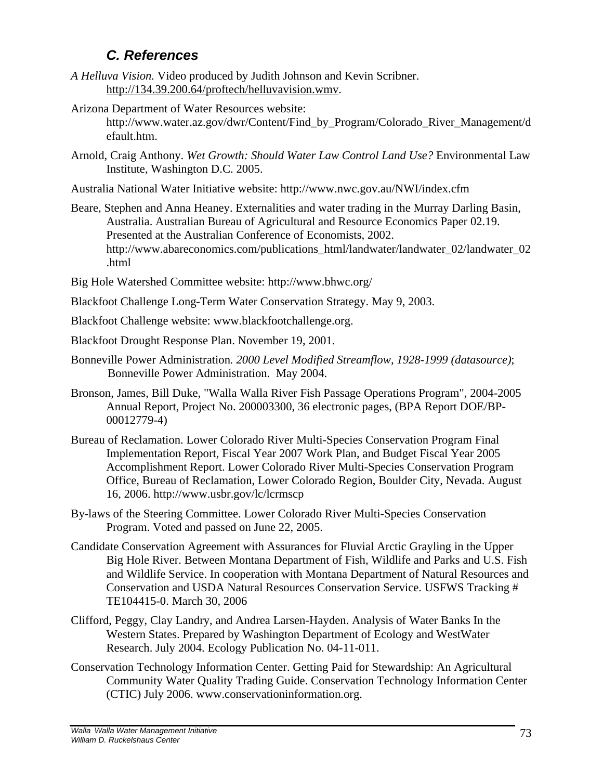## *C. References*

- *A Helluva Vision.* Video produced by Judith Johnson and Kevin Scribner. http://134.39.200.64/proftech/helluvavision.wmv.
- Arizona Department of Water Resources website: http://www.water.az.gov/dwr/Content/Find\_by\_Program/Colorado\_River\_Management/d efault.htm.
- Arnold, Craig Anthony. *Wet Growth: Should Water Law Control Land Use?* Environmental Law Institute, Washington D.C. 2005.
- Australia National Water Initiative website: http://www.nwc.gov.au/NWI/index.cfm
- Beare, Stephen and Anna Heaney. Externalities and water trading in the Murray Darling Basin, Australia. Australian Bureau of Agricultural and Resource Economics Paper 02.19. Presented at the Australian Conference of Economists, 2002. http://www.abareconomics.com/publications\_html/landwater/landwater\_02/landwater\_02 .html
- Big Hole Watershed Committee website: http://www.bhwc.org/
- Blackfoot Challenge Long-Term Water Conservation Strategy. May 9, 2003.
- Blackfoot Challenge website: www.blackfootchallenge.org.
- Blackfoot Drought Response Plan. November 19, 2001.
- Bonneville Power Administration*. 2000 Level Modified Streamflow, 1928-1999 (datasource)*; Bonneville Power Administration. May 2004.
- Bronson, James, Bill Duke, "Walla Walla River Fish Passage Operations Program", 2004-2005 Annual Report, Project No. 200003300, 36 electronic pages, (BPA Report DOE/BP-00012779-4)
- Bureau of Reclamation. Lower Colorado River Multi-Species Conservation Program Final Implementation Report, Fiscal Year 2007 Work Plan, and Budget Fiscal Year 2005 Accomplishment Report. Lower Colorado River Multi-Species Conservation Program Office, Bureau of Reclamation, Lower Colorado Region, Boulder City, Nevada. August 16, 2006. http://www.usbr.gov/lc/lcrmscp
- By-laws of the Steering Committee. Lower Colorado River Multi-Species Conservation Program. Voted and passed on June 22, 2005.
- Candidate Conservation Agreement with Assurances for Fluvial Arctic Grayling in the Upper Big Hole River. Between Montana Department of Fish, Wildlife and Parks and U.S. Fish and Wildlife Service. In cooperation with Montana Department of Natural Resources and Conservation and USDA Natural Resources Conservation Service. USFWS Tracking # TE104415-0. March 30, 2006
- Clifford, Peggy, Clay Landry, and Andrea Larsen-Hayden. Analysis of Water Banks In the Western States. Prepared by Washington Department of Ecology and WestWater Research. July 2004. Ecology Publication No. 04-11-011.
- Conservation Technology Information Center. Getting Paid for Stewardship: An Agricultural Community Water Quality Trading Guide. Conservation Technology Information Center (CTIC) July 2006. www.conservationinformation.org.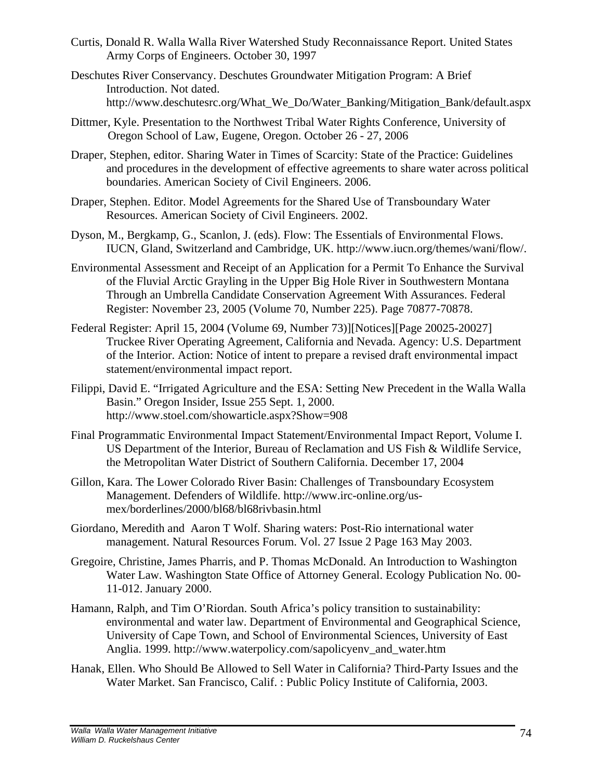- Curtis, Donald R. Walla Walla River Watershed Study Reconnaissance Report. United States Army Corps of Engineers. October 30, 1997
- Deschutes River Conservancy. Deschutes Groundwater Mitigation Program: A Brief Introduction. Not dated. http://www.deschutesrc.org/What\_We\_Do/Water\_Banking/Mitigation\_Bank/default.aspx
- Dittmer, Kyle. Presentation to the Northwest Tribal Water Rights Conference, University of Oregon School of Law, Eugene, Oregon. October 26 - 27, 2006
- Draper, Stephen, editor. Sharing Water in Times of Scarcity: State of the Practice: Guidelines and procedures in the development of effective agreements to share water across political boundaries. American Society of Civil Engineers. 2006.
- Draper, Stephen. Editor. Model Agreements for the Shared Use of Transboundary Water Resources. American Society of Civil Engineers. 2002.
- Dyson, M., Bergkamp, G., Scanlon, J. (eds). Flow: The Essentials of Environmental Flows. IUCN, Gland, Switzerland and Cambridge, UK. http://www.iucn.org/themes/wani/flow/.
- Environmental Assessment and Receipt of an Application for a Permit To Enhance the Survival of the Fluvial Arctic Grayling in the Upper Big Hole River in Southwestern Montana Through an Umbrella Candidate Conservation Agreement With Assurances. Federal Register: November 23, 2005 (Volume 70, Number 225). Page 70877-70878.
- Federal Register: April 15, 2004 (Volume 69, Number 73)][Notices][Page 20025-20027] Truckee River Operating Agreement, California and Nevada. Agency: U.S. Department of the Interior. Action: Notice of intent to prepare a revised draft environmental impact statement/environmental impact report.
- Filippi, David E. "Irrigated Agriculture and the ESA: Setting New Precedent in the Walla Walla Basin." Oregon Insider, Issue 255 Sept. 1, 2000. http://www.stoel.com/showarticle.aspx?Show=908
- Final Programmatic Environmental Impact Statement/Environmental Impact Report, Volume I. US Department of the Interior, Bureau of Reclamation and US Fish & Wildlife Service, the Metropolitan Water District of Southern California. December 17, 2004
- Gillon, Kara. The Lower Colorado River Basin: Challenges of Transboundary Ecosystem Management. Defenders of Wildlife. http://www.irc-online.org/usmex/borderlines/2000/bl68/bl68rivbasin.html
- Giordano, Meredith and Aaron T Wolf. Sharing waters: Post-Rio international water management. Natural Resources Forum. Vol. 27 Issue 2 Page 163 May 2003.
- Gregoire, Christine, James Pharris, and P. Thomas McDonald. An Introduction to Washington Water Law. Washington State Office of Attorney General. Ecology Publication No. 00- 11-012. January 2000.
- Hamann, Ralph, and Tim O'Riordan. South Africa's policy transition to sustainability: environmental and water law. Department of Environmental and Geographical Science, University of Cape Town, and School of Environmental Sciences, University of East Anglia. 1999. http://www.waterpolicy.com/sapolicyenv\_and\_water.htm
- Hanak, Ellen. Who Should Be Allowed to Sell Water in California? Third-Party Issues and the Water Market. San Francisco, Calif. : Public Policy Institute of California, 2003.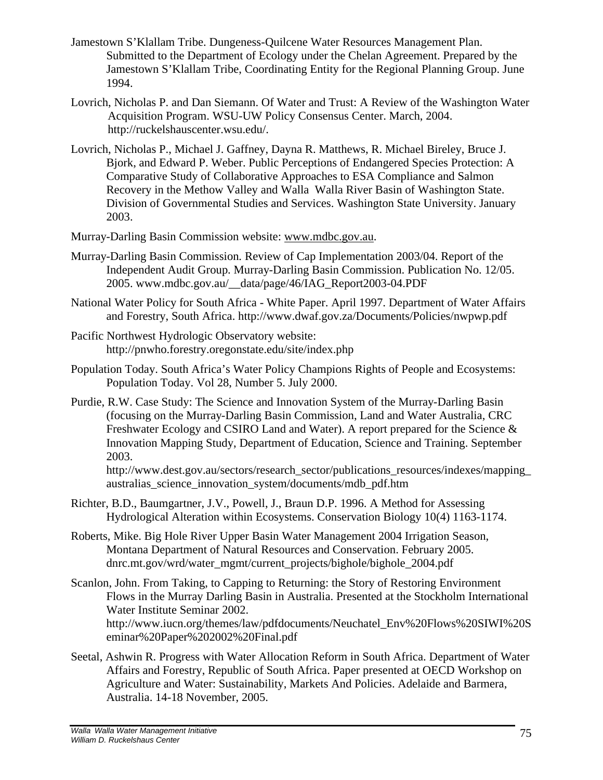- Jamestown S'Klallam Tribe. Dungeness-Quilcene Water Resources Management Plan. Submitted to the Department of Ecology under the Chelan Agreement. Prepared by the Jamestown S'Klallam Tribe, Coordinating Entity for the Regional Planning Group. June 1994.
- Lovrich, Nicholas P. and Dan Siemann. Of Water and Trust: A Review of the Washington Water Acquisition Program. WSU-UW Policy Consensus Center. March, 2004. http://ruckelshauscenter.wsu.edu/.
- Lovrich, Nicholas P., Michael J. Gaffney, Dayna R. Matthews, R. Michael Bireley, Bruce J. Bjork, and Edward P. Weber. Public Perceptions of Endangered Species Protection: A Comparative Study of Collaborative Approaches to ESA Compliance and Salmon Recovery in the Methow Valley and Walla Walla River Basin of Washington State. Division of Governmental Studies and Services. Washington State University. January 2003.
- Murray-Darling Basin Commission website: www.mdbc.gov.au.
- Murray-Darling Basin Commission*.* Review of Cap Implementation 2003/04. Report of the Independent Audit Group. Murray-Darling Basin Commission. Publication No. 12/05. 2005. www.mdbc.gov.au/\_\_data/page/46/IAG\_Report2003-04.PDF
- National Water Policy for South Africa White Paper. April 1997. Department of Water Affairs and Forestry, South Africa. http://www.dwaf.gov.za/Documents/Policies/nwpwp.pdf
- Pacific Northwest Hydrologic Observatory website: http://pnwho.forestry.oregonstate.edu/site/index.php
- Population Today. South Africa's Water Policy Champions Rights of People and Ecosystems: Population Today. Vol 28, Number 5. July 2000.
- Purdie, R.W. Case Study: The Science and Innovation System of the Murray-Darling Basin (focusing on the Murray-Darling Basin Commission, Land and Water Australia, CRC Freshwater Ecology and CSIRO Land and Water). A report prepared for the Science & Innovation Mapping Study, Department of Education, Science and Training. September 2003.

http://www.dest.gov.au/sectors/research\_sector/publications\_resources/indexes/mapping\_ australias\_science\_innovation\_system/documents/mdb\_pdf.htm

- Richter, B.D., Baumgartner, J.V., Powell, J., Braun D.P. 1996. A Method for Assessing Hydrological Alteration within Ecosystems. Conservation Biology 10(4) 1163-1174.
- Roberts, Mike. Big Hole River Upper Basin Water Management 2004 Irrigation Season, Montana Department of Natural Resources and Conservation. February 2005. dnrc.mt.gov/wrd/water\_mgmt/current\_projects/bighole/bighole\_2004.pdf
- Scanlon, John. From Taking, to Capping to Returning: the Story of Restoring Environment Flows in the Murray Darling Basin in Australia. Presented at the Stockholm International Water Institute Seminar 2002. http://www.iucn.org/themes/law/pdfdocuments/Neuchatel\_Env%20Flows%20SIWI%20S eminar%20Paper%202002%20Final.pdf
- Seetal, Ashwin R. Progress with Water Allocation Reform in South Africa. Department of Water Affairs and Forestry, Republic of South Africa. Paper presented at OECD Workshop on Agriculture and Water: Sustainability, Markets And Policies. Adelaide and Barmera, Australia. 14-18 November, 2005.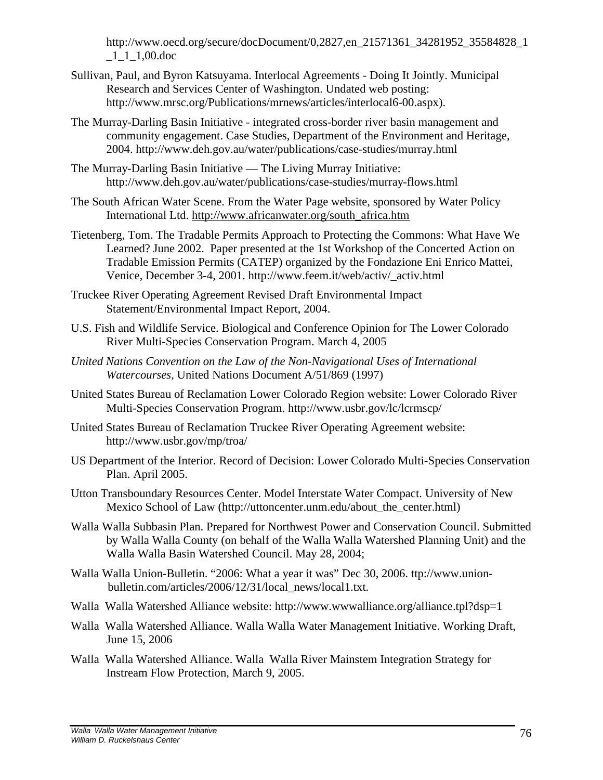http://www.oecd.org/secure/docDocument/0,2827,en\_21571361\_34281952\_35584828\_1  $-1$ <sub>-1</sub> $-1,00$ .doc

- Sullivan, Paul, and Byron Katsuyama. Interlocal Agreements Doing It Jointly. Municipal Research and Services Center of Washington. Undated web posting: http://www.mrsc.org/Publications/mrnews/articles/interlocal6-00.aspx).
- The Murray-Darling Basin Initiative integrated cross-border river basin management and community engagement. Case Studies, Department of the Environment and Heritage, 2004. http://www.deh.gov.au/water/publications/case-studies/murray.html
- The Murray-Darling Basin Initiative The Living Murray Initiative: http://www.deh.gov.au/water/publications/case-studies/murray-flows.html
- The South African Water Scene. From the Water Page website, sponsored by Water Policy International Ltd. http://www.africanwater.org/south\_africa.htm
- Tietenberg, Tom. The Tradable Permits Approach to Protecting the Commons: What Have We Learned? June 2002. Paper presented at the 1st Workshop of the Concerted Action on Tradable Emission Permits (CATEP) organized by the Fondazione Eni Enrico Mattei, Venice, December 3-4, 2001. http://www.feem.it/web/activ/\_activ.html
- Truckee River Operating Agreement Revised Draft Environmental Impact Statement/Environmental Impact Report, 2004.
- U.S. Fish and Wildlife Service. Biological and Conference Opinion for The Lower Colorado River Multi-Species Conservation Program. March 4, 2005
- *United Nations Convention on the Law of the Non-Navigational Uses of International Watercourses*, United Nations Document A/51/869 (1997)
- United States Bureau of Reclamation Lower Colorado Region website: Lower Colorado River Multi-Species Conservation Program. http://www.usbr.gov/lc/lcrmscp/
- United States Bureau of Reclamation Truckee River Operating Agreement website: http://www.usbr.gov/mp/troa/
- US Department of the Interior. Record of Decision: Lower Colorado Multi-Species Conservation Plan. April 2005.
- Utton Transboundary Resources Center. Model Interstate Water Compact. University of New Mexico School of Law (http://uttoncenter.unm.edu/about\_the\_center.html)
- Walla Walla Subbasin Plan. Prepared for Northwest Power and Conservation Council. Submitted by Walla Walla County (on behalf of the Walla Walla Watershed Planning Unit) and the Walla Walla Basin Watershed Council. May 28, 2004;
- Walla Walla Union-Bulletin. "2006: What a year it was" Dec 30, 2006. ttp://www.unionbulletin.com/articles/2006/12/31/local\_news/local1.txt.
- Walla Walla Watershed Alliance website: http://www.wwwalliance.org/alliance.tpl?dsp=1
- Walla Walla Watershed Alliance. Walla Walla Water Management Initiative. Working Draft, June 15, 2006
- Walla Walla Watershed Alliance. Walla Walla River Mainstem Integration Strategy for Instream Flow Protection, March 9, 2005.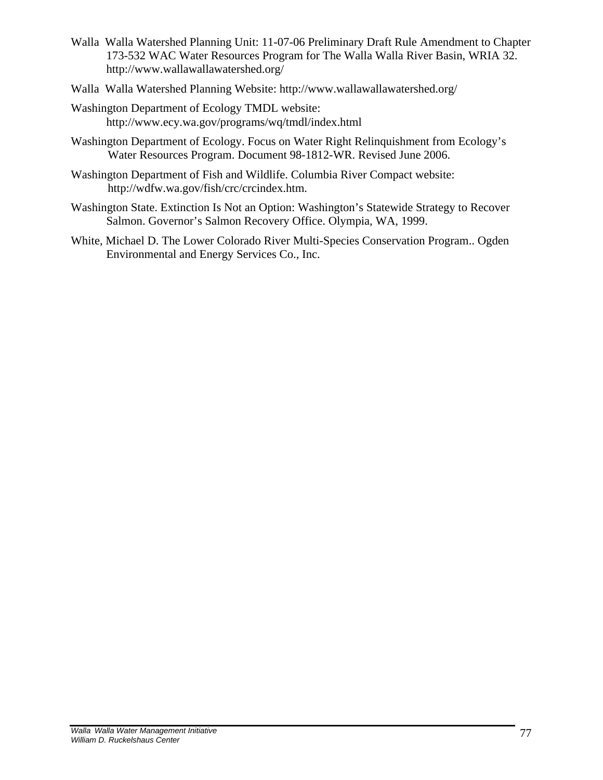- Walla Walla Watershed Planning Unit: 11-07-06 Preliminary Draft Rule Amendment to Chapter 173-532 WAC Water Resources Program for The Walla Walla River Basin, WRIA 32. http://www.wallawallawatershed.org/
- Walla Walla Watershed Planning Website: http://www.wallawallawatershed.org/
- Washington Department of Ecology TMDL website: http://www.ecy.wa.gov/programs/wq/tmdl/index.html
- Washington Department of Ecology. Focus on Water Right Relinquishment from Ecology's Water Resources Program. Document 98-1812-WR. Revised June 2006.
- Washington Department of Fish and Wildlife. Columbia River Compact website: http://wdfw.wa.gov/fish/crc/crcindex.htm.
- Washington State. Extinction Is Not an Option: Washington's Statewide Strategy to Recover Salmon. Governor's Salmon Recovery Office. Olympia, WA, 1999.
- White, Michael D. The Lower Colorado River Multi-Species Conservation Program.. Ogden Environmental and Energy Services Co., Inc.